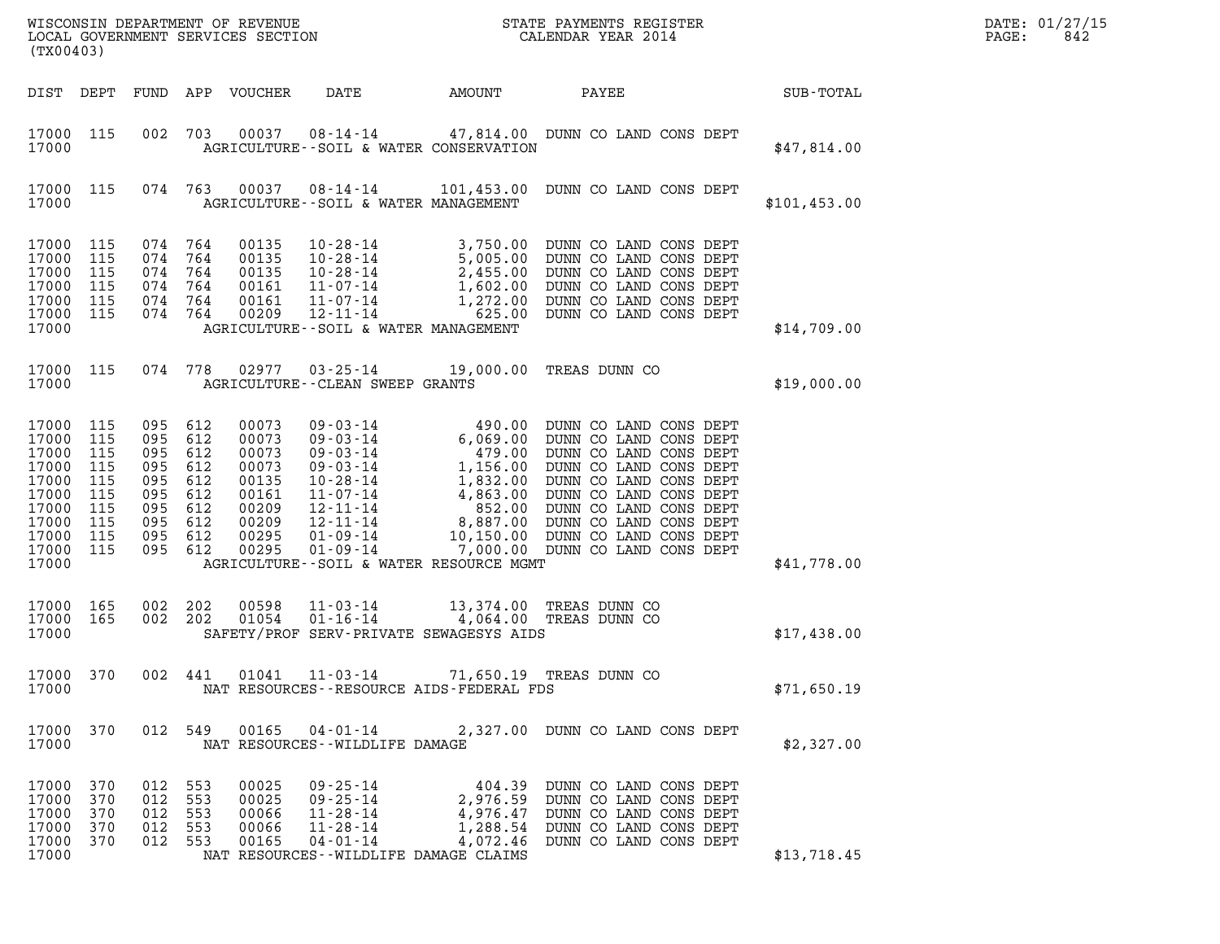| (TX00403)                                                                                           |                                                             |                                                                        |                                                             |                                                                                        |                                                                                                               |           | ${\tt WISCOONSIM} \begin{tabular}{lcccc} DEPARTMENT OF REVIEW & \multicolumn{2}{c}{\bullet} & \multicolumn{2}{c}{\bullet} & \multicolumn{2}{c}{\bullet} & \multicolumn{2}{c}{\bullet} & \multicolumn{2}{c}{\tt STATE} \begin{tabular}{lcccc} PAPMENTS REGISTER \\ LOCALENDAR YEAR & 2014 \\ \end{tabular}$                                                                                       |              | DATE: 01/27/15<br>PAGE:<br>842 |
|-----------------------------------------------------------------------------------------------------|-------------------------------------------------------------|------------------------------------------------------------------------|-------------------------------------------------------------|----------------------------------------------------------------------------------------|---------------------------------------------------------------------------------------------------------------|-----------|--------------------------------------------------------------------------------------------------------------------------------------------------------------------------------------------------------------------------------------------------------------------------------------------------------------------------------------------------------------------------------------------------|--------------|--------------------------------|
| DIST DEPT                                                                                           |                                                             |                                                                        |                                                             | FUND APP VOUCHER                                                                       | DATE                                                                                                          | AMOUNT    | PAYEE                                                                                                                                                                                                                                                                                                                                                                                            | SUB-TOTAL    |                                |
| 17000 115<br>17000                                                                                  |                                                             | 002                                                                    | 703                                                         | 00037                                                                                  | AGRICULTURE -- SOIL & WATER CONSERVATION                                                                      |           | 08-14-14 47,814.00 DUNN CO LAND CONS DEPT                                                                                                                                                                                                                                                                                                                                                        | \$47,814.00  |                                |
| 17000 115<br>17000                                                                                  |                                                             |                                                                        | 074 763                                                     | 00037                                                                                  | AGRICULTURE--SOIL & WATER MANAGEMENT                                                                          |           | 08-14-14   101,453.00   DUNN CO LAND CONS DEPT                                                                                                                                                                                                                                                                                                                                                   | \$101,453.00 |                                |
| 17000 115<br>17000<br>17000<br>17000<br>17000<br>17000 115<br>17000                                 | 115<br>115<br>115<br>115                                    | 074 764<br>074<br>074<br>074<br>074 764<br>074 764                     | 764<br>764<br>764                                           | 00135<br>00135<br>00135<br>00161<br>00161<br>00209                                     | AGRICULTURE--SOIL & WATER MANAGEMENT                                                                          |           | $\begin{tabular}{l l l l} $10\text{-}28\text{-}14$ & $3\text{ ,}750\text{ .00} $& \text{DUNN} $& \text{CO} $& \text{LAND} $& \text{CONS} $& \text{DEPT}$ \\ $10\text{-}28\text{-}14$ & $5\text{ ,}005\text{ .00} $& \text{DUNN} $& \text{CO} $& \text{LAND} $& \text{CONS} $& \text{DEPT}$ \\ $10\text{-}28\text{-}14$ & $2\text{ ,}455\text{ .00} $& \text{DUNN} $& \text{CO} $& \text{LAND} $$ | \$14,709.00  |                                |
| 17000 115<br>17000                                                                                  |                                                             | 074 778                                                                |                                                             |                                                                                        | AGRICULTURE--CLEAN SWEEP GRANTS                                                                               |           | 02977  03-25-14  19,000.00 TREAS DUNN CO                                                                                                                                                                                                                                                                                                                                                         | \$19,000.00  |                                |
| 17000<br>17000<br>17000<br>17000<br>17000<br>17000<br>17000<br>17000<br>17000<br>17000 115<br>17000 | 115<br>115<br>115<br>115<br>115<br>115<br>115<br>115<br>115 | 095<br>095<br>095<br>095<br>095<br>095<br>095<br>095<br>095<br>095 612 | 612<br>612<br>612<br>612<br>612<br>612<br>612<br>612<br>612 | 00073<br>00073<br>00073<br>00073<br>00135<br>00161<br>00209<br>00209<br>00295<br>00295 | 01-09-14<br>$01 - 09 - 14$<br>AGRICULTURE--SOIL & WATER RESOURCE MGMT                                         | 10,150.00 | 09 - 03 - 14<br>09 - 03 - 14<br>09 - 03 - 14<br>6, 069 .00<br>0 DUNN CO LAND CONS DEPT<br>09 - 03 - 14<br>1, 156 .00<br>DUNN CO LAND CONS DEPT<br>10 - 28 - 14<br>1, 832 .00<br>DUNN CO LAND CONS DEPT<br>11 - 07 - 14<br>12 - 11 - 14<br>14 852 .00<br>D<br>DUNN CO LAND CONS DEPT<br>7,000.00 DUNN CO LAND CONS DEPT                                                                           | \$41,778.00  |                                |
| 17000 165<br>17000 165<br>17000                                                                     |                                                             | 002 202<br>002 202                                                     |                                                             | 00598<br>01054                                                                         | $11 - 03 - 14$<br>$01 - 16 - 14$<br>SAFETY/PROF SERV-PRIVATE SEWAGESYS AIDS                                   |           | 13,374.00 TREAS DUNN CO<br>4,064.00 TREAS DUNN CO                                                                                                                                                                                                                                                                                                                                                | \$17,438.00  |                                |
| 17000 370<br>17000                                                                                  |                                                             | 002 441                                                                |                                                             | 01041                                                                                  | NAT RESOURCES--RESOURCE AIDS-FEDERAL FDS                                                                      |           | 11-03-14 71,650.19 TREAS DUNN CO                                                                                                                                                                                                                                                                                                                                                                 | \$71,650.19  |                                |
| 17000 370<br>17000                                                                                  |                                                             | 012 549                                                                |                                                             | 00165                                                                                  | $04 - 01 - 14$<br>NAT RESOURCES - - WILDLIFE DAMAGE                                                           |           | 2,327.00 DUNN CO LAND CONS DEPT                                                                                                                                                                                                                                                                                                                                                                  | \$2,327.00   |                                |
| 17000<br>17000<br>17000<br>17000<br>17000<br>17000                                                  | 370<br>370<br>370<br>370<br>370                             | 012<br>012 553<br>012<br>012 553<br>012 553                            | 553<br>553                                                  | 00025<br>00025<br>00066<br>00066<br>00165                                              | $09 - 25 - 14$<br>09-25-14<br>11-28-14<br>11-28-14<br>$04 - 01 - 14$<br>NAT RESOURCES--WILDLIFE DAMAGE CLAIMS | 4,072.46  | 404.39 DUNN CO LAND CONS DEPT<br>2,976.59 DUNN CO LAND CONS DEPT<br>4,976.47 DUNN CO LAND CONS DEPT<br>1,288.54 DUNN CO LAND CONS DEPT<br>DUNN CO LAND CONS DEPT                                                                                                                                                                                                                                 | \$13,718.45  |                                |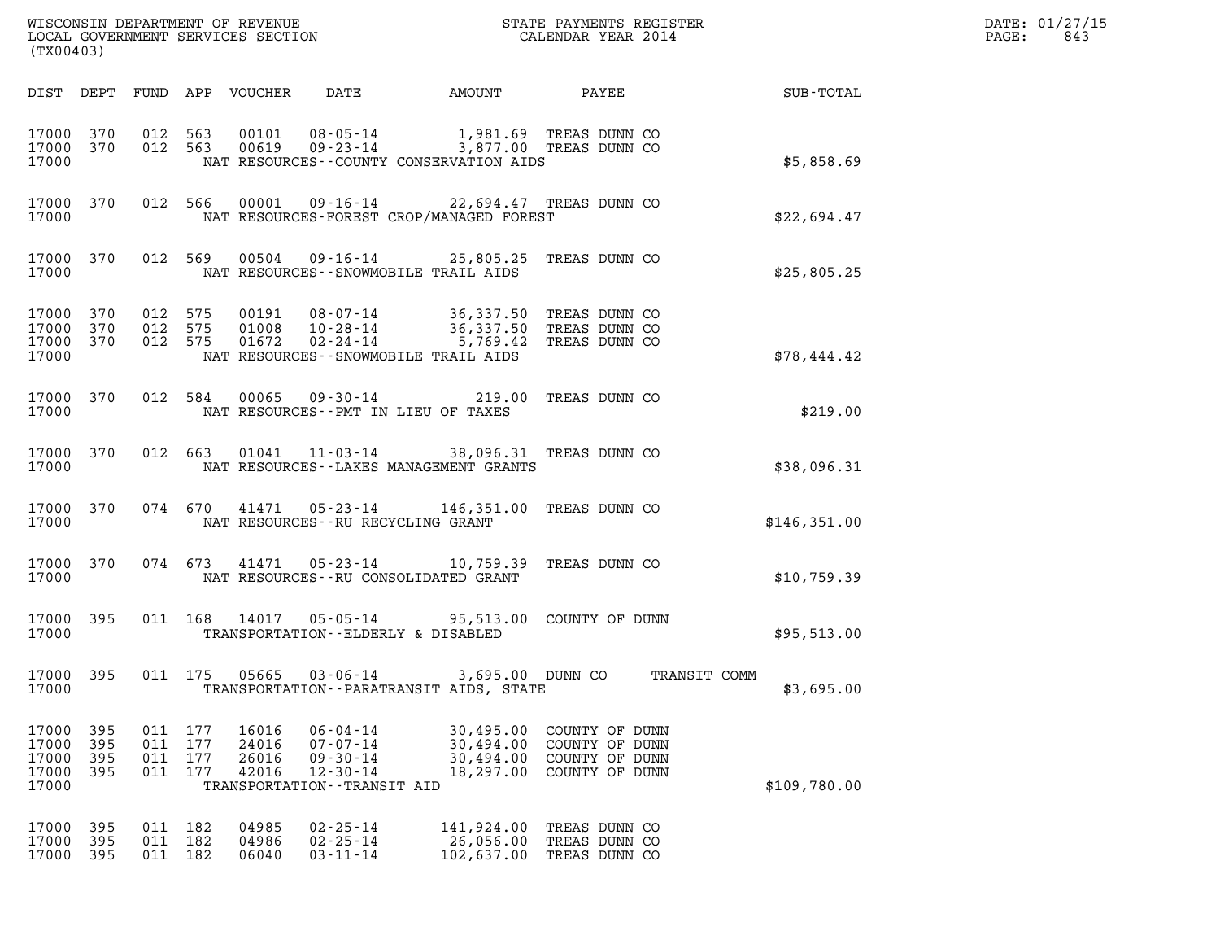| DATE: | 01/27/15 |
|-------|----------|
| PAGE: | 843      |

| (TX00403)                                 |                          |                    |                               |                                  | WISCONSIN DEPARTMENT OF REVENUE<br>LOCAL GOVERNMENT SERVICES SECTION                                   |                                                                                                  | STATE PAYMENTS REGISTER<br>CALENDAR YEAR 2014                        |                            | DATE: 01/27/15<br>PAGE:<br>843 |
|-------------------------------------------|--------------------------|--------------------|-------------------------------|----------------------------------|--------------------------------------------------------------------------------------------------------|--------------------------------------------------------------------------------------------------|----------------------------------------------------------------------|----------------------------|--------------------------------|
|                                           |                          |                    |                               | DIST DEPT FUND APP VOUCHER       | DATE                                                                                                   | AMOUNT                                                                                           | PAYEE                                                                | SUB-TOTAL                  |                                |
| 17000 370<br>17000 370<br>17000           |                          | 012 563            | 012 563                       | 00101<br>00619                   | $08 - 05 - 14$                                                                                         | 09-23-14 3,877.00 TREAS DUNN CO<br>NAT RESOURCES - COUNTY CONSERVATION AIDS                      | 1,981.69 TREAS DUNN CO                                               | \$5,858.69                 |                                |
| 17000 370<br>17000                        |                          |                    | 012 566                       |                                  |                                                                                                        | 00001  09-16-14  22,694.47 TREAS DUNN CO<br>NAT RESOURCES-FOREST CROP/MANAGED FOREST             |                                                                      | \$22,694.47                |                                |
| 17000 370<br>17000                        |                          |                    | 012 569                       |                                  |                                                                                                        | 00504  09-16-14  25,805.25  TREAS DUNN CO<br>NAT RESOURCES - - SNOWMOBILE TRAIL AIDS             |                                                                      | \$25,805.25                |                                |
| 17000 370<br>17000<br>17000<br>17000      | 370<br>370               | 012 575<br>012 575 | 012 575                       | 01008<br>01672                   | 10-28-14<br>02-24-14                                                                                   | 00191  08-07-14  36,337.50  TREAS DUNN CO<br>5,769.42<br>NAT RESOURCES - - SNOWMOBILE TRAIL AIDS | 36,337.50 TREAS DUNN CO<br>TREAS DUNN CO                             | \$78,444.42                |                                |
| 17000 370<br>17000                        |                          |                    | 012 584                       | 00065                            | 09-30-14                                                                                               | 219.00<br>NAT RESOURCES -- PMT IN LIEU OF TAXES                                                  | TREAS DUNN CO                                                        | \$219.00                   |                                |
| 17000 370<br>17000                        |                          |                    | 012 663                       |                                  | $01041$ $11-03-14$                                                                                     | NAT RESOURCES - - LAKES MANAGEMENT GRANTS                                                        | 38,096.31 TREAS DUNN CO                                              | \$38,096.31                |                                |
| 17000 370<br>17000                        |                          |                    | 074 670                       |                                  | NAT RESOURCES - - RU RECYCLING GRANT                                                                   | 41471  05-23-14  146,351.00 TREAS DUNN CO                                                        |                                                                      | \$146,351.00               |                                |
| 17000 370<br>17000                        |                          |                    | 074 673                       |                                  | 41471 05-23-14                                                                                         | NAT RESOURCES--RU CONSOLIDATED GRANT                                                             | 10,759.39 TREAS DUNN CO                                              | \$10,759.39                |                                |
| 17000 395<br>17000                        |                          |                    |                               | 011 168 14017                    | TRANSPORTATION--ELDERLY & DISABLED                                                                     | 05-05-14 95,513.00 COUNTY OF DUNN                                                                |                                                                      | \$95,513.00                |                                |
| 17000<br>17000                            | 395                      | 011 175            |                               | 05665                            | $03 - 06 - 14$                                                                                         | 3,695.00 DUNN CO<br>TRANSPORTATION - - PARATRANSIT AIDS, STATE                                   |                                                                      | TRANSIT COMM<br>\$3,695.00 |                                |
| 17000<br>17000<br>17000<br>17000<br>17000 | 395<br>395<br>395<br>395 | 011 177            | 011 177<br>011 177<br>011 177 | 16016<br>24016<br>26016<br>42016 | $06 - 04 - 14$<br>$07 - 07 - 14$<br>$09 - 30 - 14$<br>$12 - 30 - 14$<br>TRANSPORTATION - - TRANSIT AID | 30,495.00<br>30,494.00<br>30,494.00<br>18,297.00                                                 | COUNTY OF DUNN<br>COUNTY OF DUNN<br>COUNTY OF DUNN<br>COUNTY OF DUNN | \$109,780.00               |                                |
| 17000<br>17000<br>17000                   | 395<br>395<br>395        | 011 182            | 011 182<br>011 182            | 04985<br>04986<br>06040          | $02 - 25 - 14$<br>$02 - 25 - 14$<br>$03 - 11 - 14$                                                     | 141,924.00<br>26,056.00<br>102,637.00                                                            | TREAS DUNN CO<br>TREAS DUNN CO<br>TREAS DUNN CO                      |                            |                                |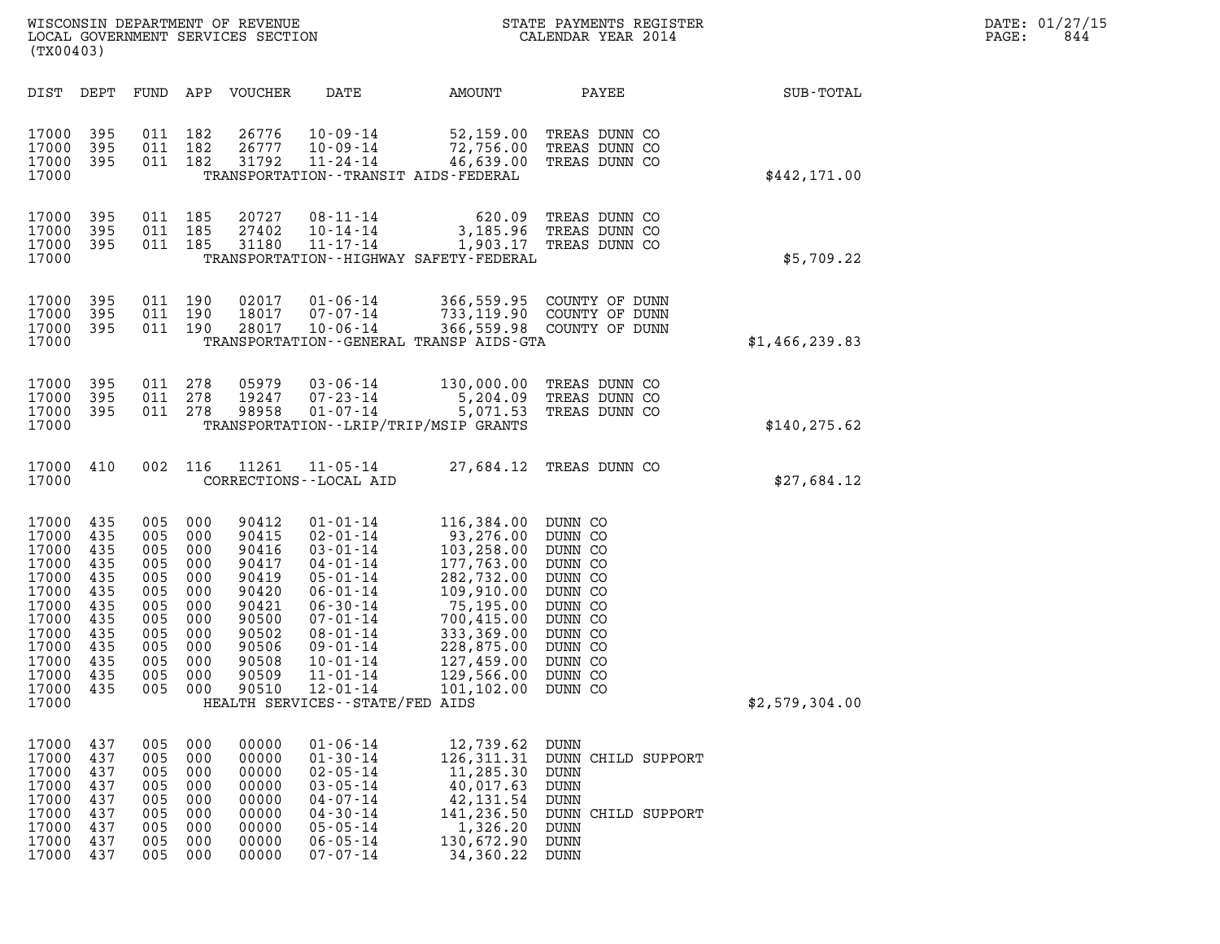| WISCONSIN DEPARTMENT OF REVENUE   | STATE PAYMENTS REGISTER | DATE: 01/27/15 |
|-----------------------------------|-------------------------|----------------|
| LOCAL GOVERNMENT SERVICES SECTION | CALENDAR YEAR 2014      | 844<br>PAGE:   |

| (TX00403)                                                                                                                  |                                                                                         |                                                                                             |                                                                                  | WISCONSIN DEPARTMENT OF REVENUE<br>LOCAL GOVERNMENT SERVICES SECTION                                              |                                                                                                                                                                                                                                                      |                                                                                                                                                                                                                                                                         | STATE PAYMENTS REGIST<br>CALENDAR YEAR 2014<br>STATE PAYMENTS REGISTER                                     |                | $\mathtt{PAGE}$ : | DATE: 01/27/15<br>844 |
|----------------------------------------------------------------------------------------------------------------------------|-----------------------------------------------------------------------------------------|---------------------------------------------------------------------------------------------|----------------------------------------------------------------------------------|-------------------------------------------------------------------------------------------------------------------|------------------------------------------------------------------------------------------------------------------------------------------------------------------------------------------------------------------------------------------------------|-------------------------------------------------------------------------------------------------------------------------------------------------------------------------------------------------------------------------------------------------------------------------|------------------------------------------------------------------------------------------------------------|----------------|-------------------|-----------------------|
| DIST DEPT                                                                                                                  |                                                                                         |                                                                                             |                                                                                  | FUND APP VOUCHER                                                                                                  | DATE                                                                                                                                                                                                                                                 |                                                                                                                                                                                                                                                                         | AMOUNT PAYEE                                                                                               | SUB-TOTAL      |                   |                       |
| 17000<br>17000<br>17000<br>17000                                                                                           | 395<br>395<br>395                                                                       | 011 182<br>011 182<br>011 182                                                               |                                                                                  | 26776<br>26777<br>31792                                                                                           | 10-09-14                                                                                                                                                                                                                                             | 10-09-14 52,159.00 TREAS DUNN CO<br>10-09-14 72,756.00 TREAS DUNN CO<br>11-24-14 46,639.00 TREAS DUNN CO<br>TRANSPORTATION - - TRANSIT AIDS - FEDERAL                                                                                                                   |                                                                                                            | \$442,171.00   |                   |                       |
| 17000<br>17000<br>17000<br>17000                                                                                           | 395<br>395<br>395                                                                       | 011 185<br>011 185<br>011 185                                                               |                                                                                  | 20727<br>27402<br>31180                                                                                           | 08 - 11 - 14<br>10 - 14 - 14<br>11 - 17 - 14                                                                                                                                                                                                         | 620.09<br>TRANSPORTATION - - HIGHWAY SAFETY - FEDERAL                                                                                                                                                                                                                   | TREAS DUNN CO<br>3,185.96 TREAS DUNN CO<br>1,903.17 TREAS DUNN CO                                          | \$5,709.22     |                   |                       |
| 17000<br>17000<br>17000<br>17000                                                                                           | 395<br>395<br>395                                                                       | 011 190<br>011 190<br>011 190                                                               |                                                                                  | 02017<br>18017<br>28017                                                                                           |                                                                                                                                                                                                                                                      | 01-06-14 366,559.95 COUNTY OF DUNN<br>07-07-14 733,119.90 COUNTY OF DUNN<br>10-06-14 366,559.98 COUNTY OF DUNN<br>TRANSPORTATION - - GENERAL TRANSP AIDS - GTA                                                                                                          |                                                                                                            | \$1,466,239.83 |                   |                       |
| 17000<br>17000<br>17000<br>17000                                                                                           | 395<br>395<br>395                                                                       | 011 278<br>011 278<br>011 278                                                               |                                                                                  | 05979<br>19247<br>98958                                                                                           | $03 - 06 - 14$<br>07-23-14<br>$01 - 07 - 14$                                                                                                                                                                                                         | 130,000.00 TREAS DUNN CO<br>5,204.09 TREAS DUNN CO<br>TRANSPORTATION - - LRIP/TRIP/MSIP GRANTS                                                                                                                                                                          | 5,071.53 TREAS DUNN CO                                                                                     | \$140, 275.62  |                   |                       |
| 17000 410<br>17000                                                                                                         |                                                                                         |                                                                                             | 002 116                                                                          | 11261                                                                                                             | $11 - 05 - 14$<br>CORRECTIONS - - LOCAL AID                                                                                                                                                                                                          |                                                                                                                                                                                                                                                                         | 27,684.12 TREAS DUNN CO                                                                                    | \$27,684.12    |                   |                       |
| 17000<br>17000<br>17000<br>17000<br>17000<br>17000<br>17000<br>17000<br>17000<br>17000<br>17000<br>17000<br>17000<br>17000 | 435<br>435<br>435<br>435<br>435<br>435<br>435<br>435<br>435<br>435<br>435<br>435<br>435 | 005<br>005<br>005<br>005<br>005<br>005<br>005<br>005<br>005<br>005<br>005<br>005 000<br>005 | 000<br>000<br>000<br>000<br>000<br>000<br>000<br>000<br>000<br>000<br>000<br>000 | 90412<br>90415<br>90416<br>90417<br>90419<br>90420<br>90421<br>90500<br>90502<br>90506<br>90508<br>90509<br>90510 | $01 - 01 - 14$<br>$02 - 01 - 14$<br>$03 - 01 - 14$<br>04-01-14<br>$05 - 01 - 14$<br>06-01-14<br>$06 - 30 - 14$<br>07-01-14<br>$08 - 01 - 14$<br>$09 - 01 - 14$<br>$10 - 01 - 14$<br>$11 - 01 - 14$<br>12-01-14<br>HEALTH SERVICES - - STATE/FED AIDS | 116,384.00 DUNN CO<br>93,276.00 DUNN CO<br>$93,276.00$<br>$103,258.00$<br>$282,732.00$<br>$282,732.00$<br>$109,910.00$<br>$75,195.00$<br>$700,415.00$<br>$333,369.00$<br>$228,875.00$<br>$127,455.00$<br>$127,456.00$<br>177,763.00 DUNN CO<br>129,566.00<br>101,102.00 | DUNN CO<br>DUNN CO<br>DUNN CO<br>DUNN CO<br>DUNN CO<br>DUNN CO<br>DUNN CO<br>DUNN CO<br>DUNN CO<br>DUNN CO | \$2,579,304.00 |                   |                       |
| 17000<br>17000<br>17000<br>17000<br>17000<br>17000<br>17000<br>17000<br>17000                                              | 437<br>437<br>437<br>437<br>437<br>437<br>437<br>437<br>437                             | 005<br>005<br>005<br>005<br>005<br>005<br>005<br>005<br>005                                 | 000<br>000<br>000<br>000<br>000<br>000<br>000<br>000<br>000                      | 00000<br>00000<br>00000<br>00000<br>00000<br>00000<br>00000<br>00000<br>00000                                     | $01 - 06 - 14$<br>$01 - 30 - 14$<br>$02 - 05 - 14$<br>$03 - 05 - 14$<br>$04 - 07 - 14$<br>$04 - 30 - 14$<br>$05 - 05 - 14$<br>$06 - 05 - 14$<br>$07 - 07 - 14$                                                                                       | 12,739.62<br>126,311.31<br>11,285.30<br>40,017.63<br>42,131.54<br>141,236.50<br>1,326.20<br>130,672.90<br>34,360.22                                                                                                                                                     | <b>DUNN</b><br>DUNN CHILD SUPPORT<br>DUNN<br>DUNN<br>DUNN<br>DUNN CHILD SUPPORT<br>DUNN<br>DUNN<br>DUNN    |                |                   |                       |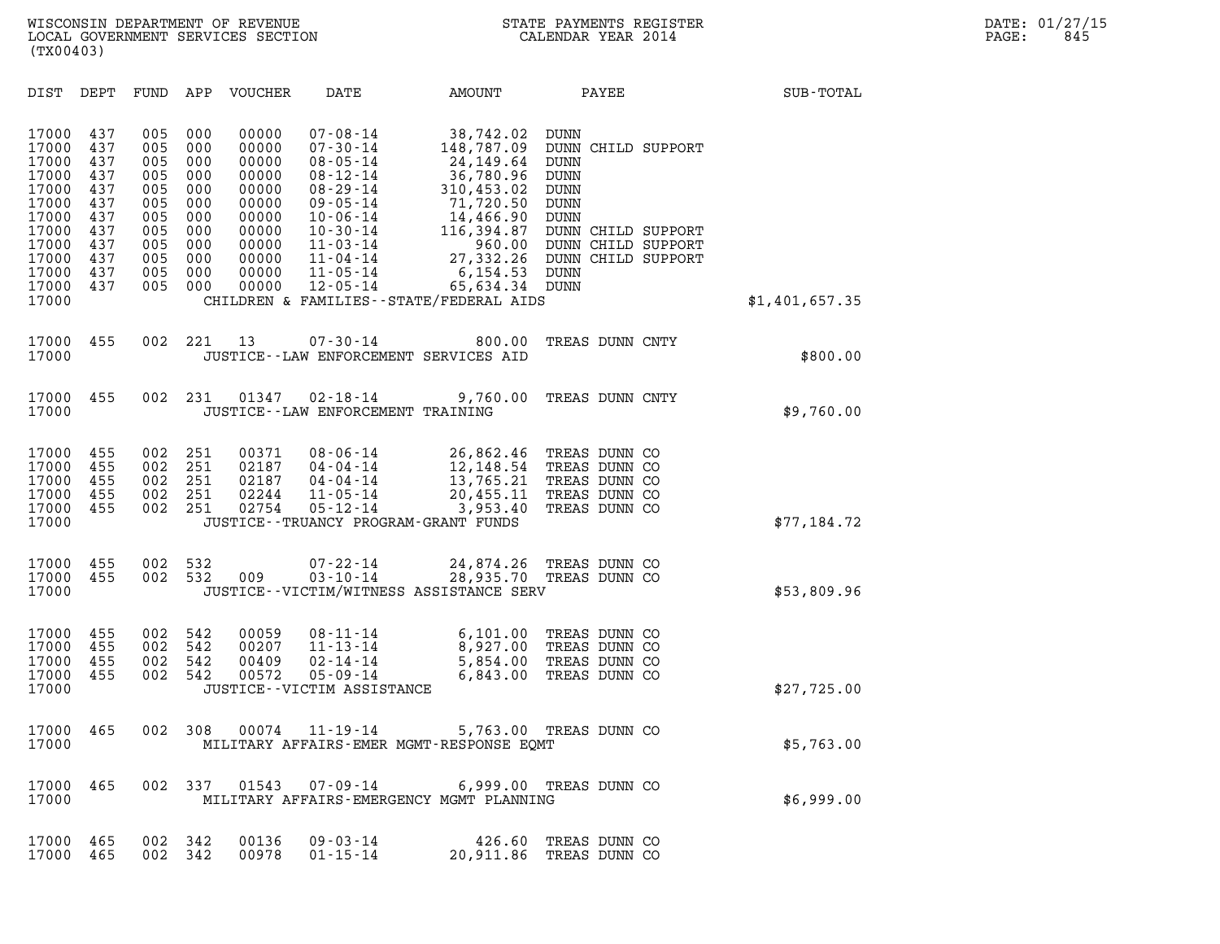| (TX00403)                                                                                                                                                                                                                          |                                                                                                                                                                                                                                                                                                                                                  |                                                                                                                                                                                                                    |                                                                                      |                |
|------------------------------------------------------------------------------------------------------------------------------------------------------------------------------------------------------------------------------------|--------------------------------------------------------------------------------------------------------------------------------------------------------------------------------------------------------------------------------------------------------------------------------------------------------------------------------------------------|--------------------------------------------------------------------------------------------------------------------------------------------------------------------------------------------------------------------|--------------------------------------------------------------------------------------|----------------|
| DIST<br>DEPT<br>FUND                                                                                                                                                                                                               | APP<br><b>VOUCHER</b><br>DATE                                                                                                                                                                                                                                                                                                                    | AMOUNT                                                                                                                                                                                                             | PAYEE                                                                                | SUB-TOTAL      |
| 17000<br>437<br>005<br>17000<br>437<br>005<br>17000<br>437<br>005<br>17000<br>437<br>005<br>17000<br>437<br>005<br>17000<br>437<br>005<br>17000<br>437<br>005<br>17000<br>437<br>005<br>17000<br>437<br>005<br>17000<br>437<br>005 | 00000<br>000<br>$07 - 08 - 14$<br>000<br>00000<br>$07 - 30 - 14$<br>000<br>00000<br>$08 - 05 - 14$<br>000<br>00000<br>$08 - 12 - 14$<br>000<br>00000<br>$08 - 29 - 14$<br>000<br>00000<br>$09 - 05 - 14$<br>000<br>00000<br>$10 - 06 - 14$<br>000<br>00000<br>$10 - 30 - 14$<br>000<br>00000<br>$11 - 03 - 14$<br>000<br>00000<br>$11 - 04 - 14$ | 38,742.02<br><b>DUNN</b><br>148,787.09<br>24, 149.64<br><b>DUNN</b><br>36,780.96<br><b>DUNN</b><br>310,453.02<br><b>DUNN</b><br>71,720.50<br>DUNN<br>14,466.90<br><b>DUNN</b><br>116,394.87<br>960.00<br>27,332.26 | DUNN CHILD SUPPORT<br>DUNN CHILD SUPPORT<br>DUNN CHILD SUPPORT<br>DUNN CHILD SUPPORT |                |
| 17000<br>005<br>437<br>17000<br>005<br>437<br>17000                                                                                                                                                                                | 000<br>00000<br>$11 - 05 - 14$<br>000<br>00000<br>$12 - 05 - 14$<br>CHILDREN & FAMILIES - - STATE/FEDERAL AIDS                                                                                                                                                                                                                                   | 6, 154.53<br>DUNN<br>65,634.34<br>DUNN                                                                                                                                                                             |                                                                                      | \$1,401,657.35 |
| 17000<br>002<br>455<br>17000                                                                                                                                                                                                       | 221<br>13<br>$07 - 30 - 14$<br>JUSTICE--LAW ENFORCEMENT SERVICES AID                                                                                                                                                                                                                                                                             | 800.00                                                                                                                                                                                                             | TREAS DUNN CNTY                                                                      | \$800.00       |
| 17000<br>455<br>002<br>17000                                                                                                                                                                                                       | 231<br>01347<br>$02 - 18 - 14$<br>JUSTICE - - LAW ENFORCEMENT TRAINING                                                                                                                                                                                                                                                                           | 9,760.00                                                                                                                                                                                                           | TREAS DUNN CNTY                                                                      | \$9,760.00     |
| 17000<br>002<br>455<br>17000<br>002<br>455<br>17000<br>002<br>455<br>17000<br>002<br>455<br>17000<br>002<br>455<br>17000                                                                                                           | 251<br>00371<br>$08 - 06 - 14$<br>251<br>02187<br>$04 - 04 - 14$<br>251<br>02187<br>$04 - 04 - 14$<br>251<br>02244<br>$11 - 05 - 14$<br>251<br>02754<br>$05 - 12 - 14$<br>JUSTICE - - TRUANCY PROGRAM - GRANT FUNDS                                                                                                                              | 26,862.46<br>12,148.54<br>13,765.21<br>20,455.11<br>3,953.40                                                                                                                                                       | TREAS DUNN CO<br>TREAS DUNN CO<br>TREAS DUNN CO<br>TREAS DUNN CO<br>TREAS DUNN CO    | \$77,184.72    |
| 17000<br>002<br>455<br>17000<br>455<br>002<br>17000                                                                                                                                                                                | 532<br>$07 - 22 - 14$<br>532<br>009<br>$03 - 10 - 14$<br>JUSTICE - - VICTIM/WITNESS ASSISTANCE SERV                                                                                                                                                                                                                                              | 24,874.26<br>28,935.70                                                                                                                                                                                             | TREAS DUNN CO<br>TREAS DUNN CO                                                       | \$53,809.96    |
| 17000<br>002<br>455<br>17000<br>455<br>002<br>17000<br>002<br>455<br>002<br>17000<br>455<br>17000                                                                                                                                  | 542<br>00059<br>$08 - 11 - 14$<br>542<br>00207<br>$11 - 13 - 14$<br>542<br>00409<br>$02 - 14 - 14$<br>542<br>00572<br>$05 - 09 - 14$<br>JUSTICE - - VICTIM ASSISTANCE                                                                                                                                                                            | 6,101.00<br>8,927.00<br>5,854.00<br>6,843.00                                                                                                                                                                       | TREAS DUNN CO<br>TREAS DUNN CO<br>TREAS DUNN CO<br>TREAS DUNN CO                     | \$27,725.00    |
| 17000<br>465<br>002<br>17000                                                                                                                                                                                                       | 308<br>00074<br>$11 - 19 - 14$<br>MILITARY AFFAIRS-EMER MGMT-RESPONSE EQMT                                                                                                                                                                                                                                                                       | 5,763.00                                                                                                                                                                                                           | TREAS DUNN CO                                                                        | \$5,763.00     |
| 17000<br>465<br>002<br>17000                                                                                                                                                                                                       | 337<br>01543<br>07-09-14<br>MILITARY AFFAIRS-EMERGENCY MGMT PLANNING                                                                                                                                                                                                                                                                             | 6,999.00 TREAS DUNN CO                                                                                                                                                                                             |                                                                                      | \$6,999.00     |
| 17000<br>465<br>002<br>17000<br>465<br>002                                                                                                                                                                                         | 342<br>00136<br>$09 - 03 - 14$<br>342<br>00978<br>$01 - 15 - 14$                                                                                                                                                                                                                                                                                 | 426.60<br>20,911.86                                                                                                                                                                                                | TREAS DUNN CO<br>TREAS DUNN CO                                                       |                |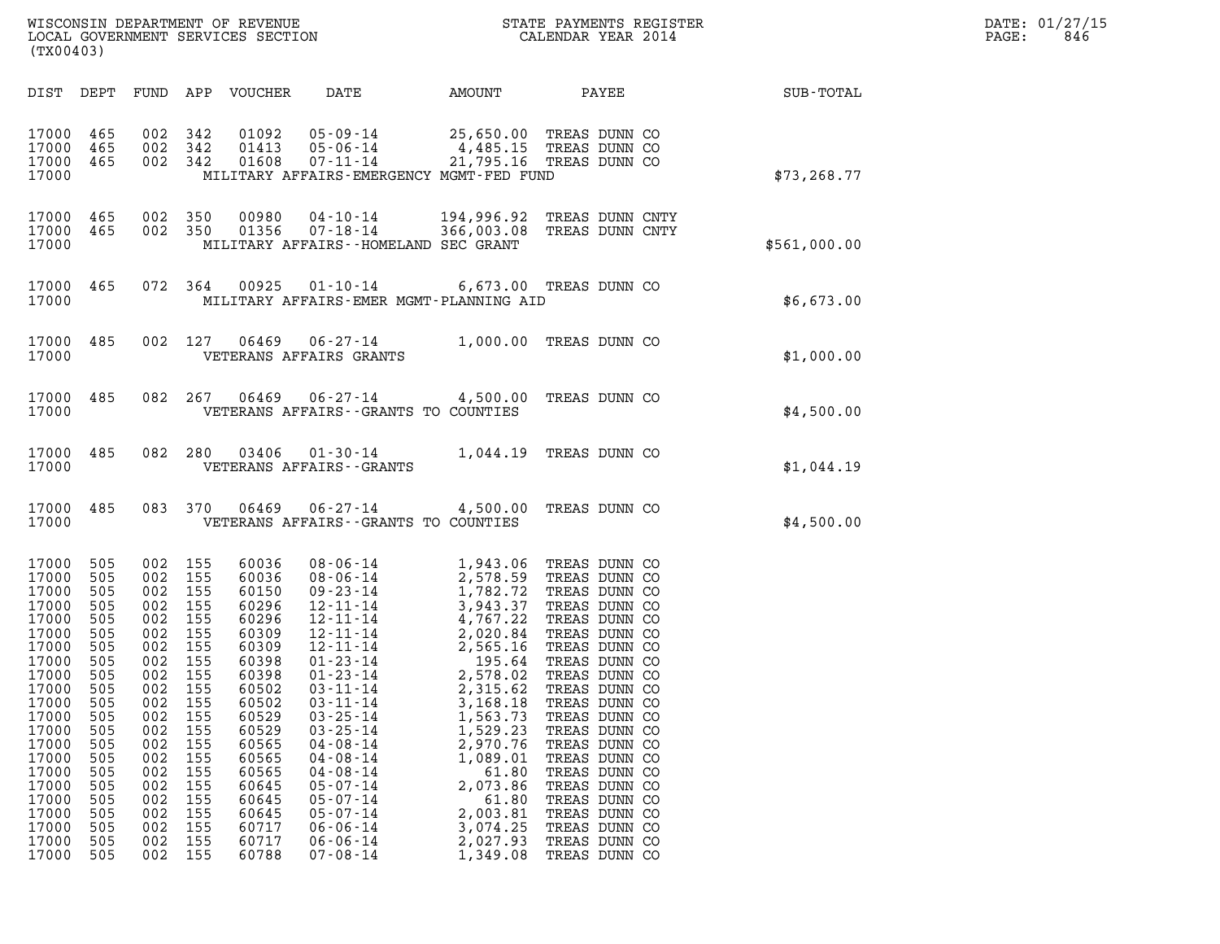| DATE: | 01/27/15 |
|-------|----------|
| PAGE: | 846      |

| (TX00403)                                                                                                                                                                                          |                                                                                                                                                        |                                                                                                                                                        |                                                                                                                                                        | WISCONSIN DEPARTMENT OF REVENUE<br>LOCAL GOVERNMENT SERVICES SECTION                                                                                                                               |                                                                                                                                                                                                                                                                                                                                                                                                          |                                                                                                                                                                                                                                                              | STATE PAYMENTS REGISTER<br>CALENDAR YEAR 2014                                                                                                                                                                                                                                                                                                                                      |              | DATE: 01/27/15<br>PAGE:<br>846 |
|----------------------------------------------------------------------------------------------------------------------------------------------------------------------------------------------------|--------------------------------------------------------------------------------------------------------------------------------------------------------|--------------------------------------------------------------------------------------------------------------------------------------------------------|--------------------------------------------------------------------------------------------------------------------------------------------------------|----------------------------------------------------------------------------------------------------------------------------------------------------------------------------------------------------|----------------------------------------------------------------------------------------------------------------------------------------------------------------------------------------------------------------------------------------------------------------------------------------------------------------------------------------------------------------------------------------------------------|--------------------------------------------------------------------------------------------------------------------------------------------------------------------------------------------------------------------------------------------------------------|------------------------------------------------------------------------------------------------------------------------------------------------------------------------------------------------------------------------------------------------------------------------------------------------------------------------------------------------------------------------------------|--------------|--------------------------------|
| DIST DEPT                                                                                                                                                                                          |                                                                                                                                                        |                                                                                                                                                        |                                                                                                                                                        | FUND APP VOUCHER                                                                                                                                                                                   | DATE                                                                                                                                                                                                                                                                                                                                                                                                     | AMOUNT                                                                                                                                                                                                                                                       | PAYEE                                                                                                                                                                                                                                                                                                                                                                              | SUB-TOTAL    |                                |
| 17000 465<br>17000<br>17000 465<br>17000                                                                                                                                                           | 465                                                                                                                                                    | 002<br>002<br>002                                                                                                                                      | 342<br>342<br>342                                                                                                                                      | 01092<br>01413<br>01608                                                                                                                                                                            | $05 - 09 - 14$<br>$05 - 06 - 14$<br>$07 - 11 - 14$<br>MILITARY AFFAIRS-EMERGENCY MGMT-FED FUND                                                                                                                                                                                                                                                                                                           | 4,485.15                                                                                                                                                                                                                                                     | 25,650.00 TREAS DUNN CO<br>TREAS DUNN CO<br>21,795.16 TREAS DUNN CO                                                                                                                                                                                                                                                                                                                | \$73, 268.77 |                                |
| 17000 465<br>17000<br>17000                                                                                                                                                                        | 465                                                                                                                                                    | 002                                                                                                                                                    | 350<br>002 350                                                                                                                                         | 00980<br>01356                                                                                                                                                                                     | 04-10-14<br>$07 - 18 - 14$<br>MILITARY AFFAIRS--HOMELAND SEC GRANT                                                                                                                                                                                                                                                                                                                                       |                                                                                                                                                                                                                                                              | 194,996.92 TREAS DUNN CNTY<br>366,003.08 TREAS DUNN CNTY                                                                                                                                                                                                                                                                                                                           | \$561,000.00 |                                |
| 17000<br>17000                                                                                                                                                                                     | 465                                                                                                                                                    |                                                                                                                                                        | 072 364                                                                                                                                                | 00925                                                                                                                                                                                              | $01 - 10 - 14$<br>MILITARY AFFAIRS-EMER MGMT-PLANNING AID                                                                                                                                                                                                                                                                                                                                                |                                                                                                                                                                                                                                                              | 6,673.00 TREAS DUNN CO                                                                                                                                                                                                                                                                                                                                                             | \$6,673.00   |                                |
| 17000<br>17000                                                                                                                                                                                     | 485                                                                                                                                                    | 002                                                                                                                                                    | 127                                                                                                                                                    | 06469                                                                                                                                                                                              | $06 - 27 - 14$<br>VETERANS AFFAIRS GRANTS                                                                                                                                                                                                                                                                                                                                                                |                                                                                                                                                                                                                                                              | 1,000.00 TREAS DUNN CO                                                                                                                                                                                                                                                                                                                                                             | \$1,000.00   |                                |
| 17000<br>17000                                                                                                                                                                                     | 485                                                                                                                                                    |                                                                                                                                                        | 082 267                                                                                                                                                | 06469                                                                                                                                                                                              | $06 - 27 - 14$<br>VETERANS AFFAIRS -- GRANTS TO COUNTIES                                                                                                                                                                                                                                                                                                                                                 |                                                                                                                                                                                                                                                              | 4,500.00 TREAS DUNN CO                                                                                                                                                                                                                                                                                                                                                             | \$4,500.00   |                                |
| 17000<br>17000                                                                                                                                                                                     | 485                                                                                                                                                    | 082                                                                                                                                                    | 280                                                                                                                                                    | 03406                                                                                                                                                                                              | $01 - 30 - 14$<br>VETERANS AFFAIRS - - GRANTS                                                                                                                                                                                                                                                                                                                                                            | 1,044.19                                                                                                                                                                                                                                                     | TREAS DUNN CO                                                                                                                                                                                                                                                                                                                                                                      | \$1,044.19   |                                |
| 17000<br>17000                                                                                                                                                                                     | 485                                                                                                                                                    | 083                                                                                                                                                    | 370                                                                                                                                                    | 06469                                                                                                                                                                                              | $06 - 27 - 14$<br>VETERANS AFFAIRS -- GRANTS TO COUNTIES                                                                                                                                                                                                                                                                                                                                                 | 4,500.00                                                                                                                                                                                                                                                     | TREAS DUNN CO                                                                                                                                                                                                                                                                                                                                                                      | \$4,500.00   |                                |
| 17000<br>17000<br>17000<br>17000<br>17000<br>17000<br>17000<br>17000<br>17000<br>17000<br>17000<br>17000<br>17000<br>17000<br>17000<br>17000<br>17000<br>17000<br>17000<br>17000<br>17000<br>17000 | 505<br>505<br>505<br>505<br>505<br>505<br>505<br>505<br>505<br>505<br>505<br>505<br>505<br>505<br>505<br>505<br>505<br>505<br>505<br>505<br>505<br>505 | 002<br>002<br>002<br>002<br>002<br>002<br>002<br>002<br>002<br>002<br>002<br>002<br>002<br>002<br>002<br>002<br>002<br>002<br>002<br>002<br>002<br>002 | 155<br>155<br>155<br>155<br>155<br>155<br>155<br>155<br>155<br>155<br>155<br>155<br>155<br>155<br>155<br>155<br>155<br>155<br>155<br>155<br>155<br>155 | 60036<br>60036<br>60150<br>60296<br>60296<br>60309<br>60309<br>60398<br>60398<br>60502<br>60502<br>60529<br>60529<br>60565<br>60565<br>60565<br>60645<br>60645<br>60645<br>60717<br>60717<br>60788 | $08 - 06 - 14$<br>$08 - 06 - 14$<br>$09 - 23 - 14$<br>$12 - 11 - 14$<br>$12 - 11 - 14$<br>$12 - 11 - 14$<br>$12 - 11 - 14$<br>$01 - 23 - 14$<br>$01 - 23 - 14$<br>$03 - 11 - 14$<br>$03 - 11 - 14$<br>$03 - 25 - 14$<br>$03 - 25 - 14$<br>$04 - 08 - 14$<br>$04 - 08 - 14$<br>$04 - 08 - 14$<br>$05 - 07 - 14$<br>$05 - 07 - 14$<br>$05 - 07 - 14$<br>$06 - 06 - 14$<br>$06 - 06 - 14$<br>$07 - 08 - 14$ | 1,943.06<br>2,578.59<br>1,782.72<br>3,943.37<br>4,767.22<br>2,020.84<br>2,565.16<br>195.64<br>2,578.02<br>2,315.62<br>3,168.18<br>1,563.73<br>1,529.23<br>2,970.76<br>1,089.01<br>61.80<br>2,073.86<br>61.80<br>2,003.81<br>3,074.25<br>2,027.93<br>1,349.08 | TREAS DUNN CO<br>TREAS DUNN CO<br>TREAS DUNN CO<br>TREAS DUNN CO<br>TREAS DUNN CO<br>TREAS DUNN CO<br>TREAS DUNN CO<br>TREAS DUNN CO<br>TREAS DUNN CO<br>TREAS DUNN CO<br>TREAS DUNN CO<br>TREAS DUNN CO<br>TREAS DUNN CO<br>TREAS DUNN CO<br>TREAS DUNN CO<br>TREAS DUNN CO<br>TREAS DUNN CO<br>TREAS DUNN CO<br>TREAS DUNN CO<br>TREAS DUNN CO<br>TREAS DUNN CO<br>TREAS DUNN CO |              |                                |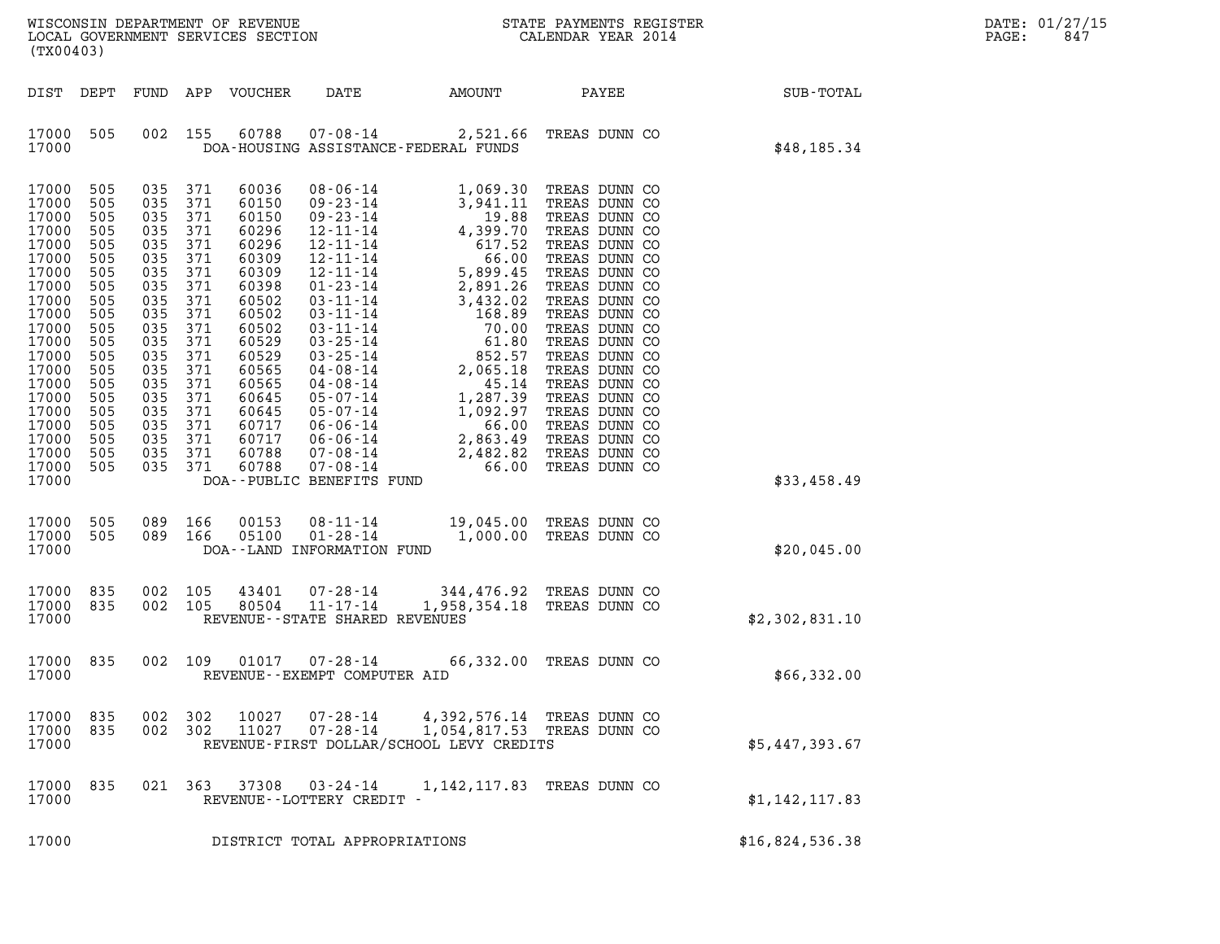| (TX00403)                                                                                                                                                                                                                                                                                                                                                                                                                                                                                                |                                                                                                                                                                                                                                                                                                                                                                                                                                                                                                                                                                                                                                                                                                                                                                     |                                                                                                                                                                                                                               |                                                                                                                                                                                                                                                                                                                                                                   |                 |
|----------------------------------------------------------------------------------------------------------------------------------------------------------------------------------------------------------------------------------------------------------------------------------------------------------------------------------------------------------------------------------------------------------------------------------------------------------------------------------------------------------|---------------------------------------------------------------------------------------------------------------------------------------------------------------------------------------------------------------------------------------------------------------------------------------------------------------------------------------------------------------------------------------------------------------------------------------------------------------------------------------------------------------------------------------------------------------------------------------------------------------------------------------------------------------------------------------------------------------------------------------------------------------------|-------------------------------------------------------------------------------------------------------------------------------------------------------------------------------------------------------------------------------|-------------------------------------------------------------------------------------------------------------------------------------------------------------------------------------------------------------------------------------------------------------------------------------------------------------------------------------------------------------------|-----------------|
| DIST<br>DEPT<br>FUND                                                                                                                                                                                                                                                                                                                                                                                                                                                                                     | APP<br>VOUCHER<br>DATE                                                                                                                                                                                                                                                                                                                                                                                                                                                                                                                                                                                                                                                                                                                                              | AMOUNT                                                                                                                                                                                                                        | PAYEE                                                                                                                                                                                                                                                                                                                                                             | SUB-TOTAL       |
| 17000<br>002<br>505<br>17000                                                                                                                                                                                                                                                                                                                                                                                                                                                                             | 155<br>60788<br>$07 - 08 - 14$<br>DOA-HOUSING ASSISTANCE-FEDERAL FUNDS                                                                                                                                                                                                                                                                                                                                                                                                                                                                                                                                                                                                                                                                                              | 2,521.66                                                                                                                                                                                                                      | TREAS DUNN CO                                                                                                                                                                                                                                                                                                                                                     | \$48,185.34     |
| 17000<br>505<br>035<br>17000<br>505<br>035<br>17000<br>505<br>035<br>17000<br>505<br>035<br>17000<br>505<br>035<br>17000<br>035<br>505<br>17000<br>505<br>035<br>17000<br>505<br>035<br>17000<br>505<br>035<br>17000<br>505<br>035<br>17000<br>505<br>035<br>17000<br>505<br>035<br>17000<br>505<br>035<br>17000<br>505<br>035<br>17000<br>505<br>035<br>17000<br>505<br>035<br>17000<br>505<br>035<br>17000<br>035<br>505<br>505<br>035<br>17000<br>17000<br>035<br>505<br>505<br>035<br>17000<br>17000 | 371<br>60036<br>$08 - 06 - 14$<br>371<br>60150<br>$09 - 23 - 14$<br>371<br>60150<br>$09 - 23 - 14$<br>371<br>60296<br>$12 - 11 - 14$<br>371<br>60296<br>$12 - 11 - 14$<br>371<br>60309<br>$12 - 11 - 14$<br>371<br>60309<br>$12 - 11 - 14$<br>371<br>60398<br>$01 - 23 - 14$<br>371<br>60502<br>$03 - 11 - 14$<br>371<br>60502<br>$03 - 11 - 14$<br>371<br>60502<br>$03 - 11 - 14$<br>371<br>60529<br>$03 - 25 - 14$<br>371<br>60529<br>$03 - 25 - 14$<br>371<br>60565<br>$04 - 08 - 14$<br>371<br>60565<br>$04 - 08 - 14$<br>371<br>60645<br>$05 - 07 - 14$<br>371<br>60645<br>$05 - 07 - 14$<br>371<br>60717<br>$06 - 06 - 14$<br>371<br>60717<br>$06 - 06 - 14$<br>371<br>60788<br>$07 - 08 - 14$<br>371<br>60788<br>$07 - 08 - 14$<br>DOA--PUBLIC BENEFITS FUND | 1,069.30<br>3,941.11<br>19.88<br>4,399.70<br>617.52<br>66.00<br>5,899.45<br>2,891.26<br>3,432.02<br>168.89<br>70.00<br>61.80<br>852.57<br>2,065.18<br>45.14<br>1,287.39<br>1,092.97<br>66.00<br>2,863.49<br>2,482.82<br>66.00 | TREAS DUNN CO<br>TREAS DUNN CO<br>TREAS DUNN CO<br>TREAS DUNN CO<br>TREAS DUNN CO<br>TREAS DUNN CO<br>TREAS DUNN CO<br>TREAS DUNN CO<br>TREAS DUNN CO<br>TREAS DUNN CO<br>TREAS DUNN CO<br>TREAS DUNN CO<br>TREAS DUNN CO<br>TREAS DUNN CO<br>TREAS DUNN CO<br>TREAS DUNN CO<br>TREAS DUNN CO<br>TREAS DUNN CO<br>TREAS DUNN CO<br>TREAS DUNN CO<br>TREAS DUNN CO | \$33,458.49     |
| 17000<br>505<br>089<br>17000<br>505<br>089<br>17000                                                                                                                                                                                                                                                                                                                                                                                                                                                      | 166<br>$08 - 11 - 14$<br>00153<br>166<br>05100<br>$01 - 28 - 14$<br>DOA--LAND INFORMATION FUND                                                                                                                                                                                                                                                                                                                                                                                                                                                                                                                                                                                                                                                                      | 1,000.00                                                                                                                                                                                                                      | 19,045.00 TREAS DUNN CO<br>TREAS DUNN CO                                                                                                                                                                                                                                                                                                                          | \$20,045.00     |
| 835<br>002<br>17000<br>17000<br>835<br>002<br>17000                                                                                                                                                                                                                                                                                                                                                                                                                                                      | 105<br>43401<br>$07 - 28 - 14$<br>$11 - 17 - 14$<br>105<br>80504<br>REVENUE - - STATE SHARED REVENUES                                                                                                                                                                                                                                                                                                                                                                                                                                                                                                                                                                                                                                                               | 344,476.92 TREAS DUNN CO                                                                                                                                                                                                      | 1,958,354.18 TREAS DUNN CO                                                                                                                                                                                                                                                                                                                                        | \$2,302,831.10  |
| 17000<br>835<br>002<br>17000                                                                                                                                                                                                                                                                                                                                                                                                                                                                             | 109<br>01017<br>$07 - 28 - 14$<br>REVENUE - - EXEMPT COMPUTER AID                                                                                                                                                                                                                                                                                                                                                                                                                                                                                                                                                                                                                                                                                                   |                                                                                                                                                                                                                               | 66,332.00 TREAS DUNN CO                                                                                                                                                                                                                                                                                                                                           | \$66,332.00     |
| 835<br>002<br>17000<br>835<br>17000<br>17000                                                                                                                                                                                                                                                                                                                                                                                                                                                             | 302<br>10027<br>$07 - 28 - 14$<br>002 302<br>11027<br>$07 - 28 - 14$<br>REVENUE-FIRST DOLLAR/SCHOOL LEVY CREDITS                                                                                                                                                                                                                                                                                                                                                                                                                                                                                                                                                                                                                                                    | 1,054,817.53                                                                                                                                                                                                                  | 4,392,576.14 TREAS DUNN CO<br>TREAS DUNN CO                                                                                                                                                                                                                                                                                                                       | \$5,447,393.67  |
| 17000<br>835<br>021<br>17000                                                                                                                                                                                                                                                                                                                                                                                                                                                                             | 363<br>37308<br>$03 - 24 - 14$<br>REVENUE--LOTTERY CREDIT -                                                                                                                                                                                                                                                                                                                                                                                                                                                                                                                                                                                                                                                                                                         | 1,142,117.83                                                                                                                                                                                                                  | TREAS DUNN CO                                                                                                                                                                                                                                                                                                                                                     | \$1,142,117.83  |
| 17000                                                                                                                                                                                                                                                                                                                                                                                                                                                                                                    | DISTRICT TOTAL APPROPRIATIONS                                                                                                                                                                                                                                                                                                                                                                                                                                                                                                                                                                                                                                                                                                                                       |                                                                                                                                                                                                                               |                                                                                                                                                                                                                                                                                                                                                                   | \$16,824,536.38 |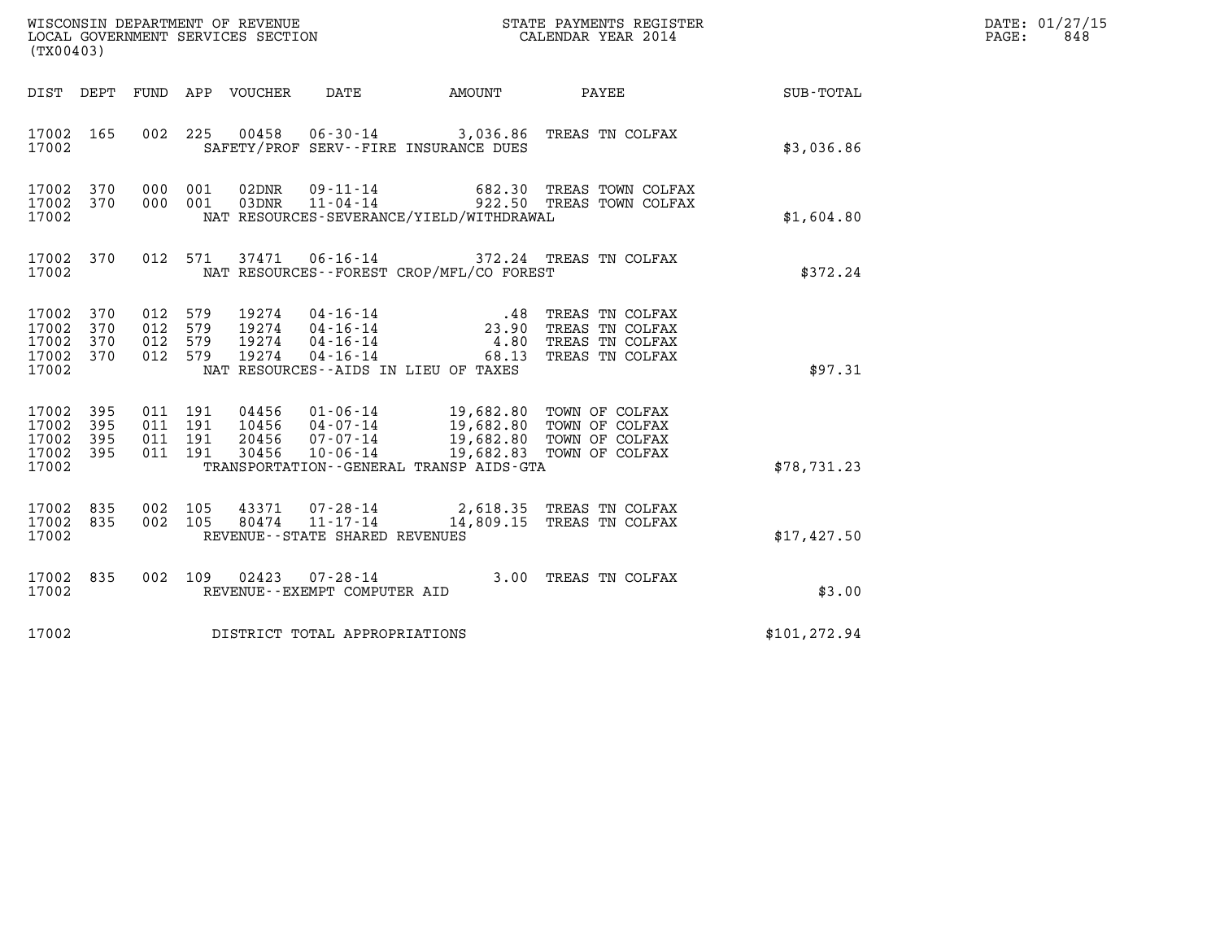| WISCONSIN DEPARTMENT OF REVENUE<br>LOCAL GOVERNMENT SERVICES SECTION | STATE PAYMENTS REGISTER<br>CALENDAR YEAR 2014 | DATE: 01/27/15<br>848<br>PAGE: |
|----------------------------------------------------------------------|-----------------------------------------------|--------------------------------|

| (TX00403)                                                 |     |  |                                |                                          | WISCONSIN DEPARTMENT OF REVENUE<br>LOCAL GOVERNMENT SERVICES SECTION<br>(TWO 1403)                                                                                                                                                                                                                                                                                                                   | $\mathbb{R}^n$                                                                                                                                                                                                   | DATE: 01/27/15<br>$\mathtt{PAGE}$ :<br>848 |
|-----------------------------------------------------------|-----|--|--------------------------------|------------------------------------------|------------------------------------------------------------------------------------------------------------------------------------------------------------------------------------------------------------------------------------------------------------------------------------------------------------------------------------------------------------------------------------------------------|------------------------------------------------------------------------------------------------------------------------------------------------------------------------------------------------------------------|--------------------------------------------|
|                                                           |     |  |                                |                                          |                                                                                                                                                                                                                                                                                                                                                                                                      | DIST DEPT FUND APP VOUCHER DATE AMOUNT PAYEE TOTAL                                                                                                                                                               |                                            |
| 17002                                                     |     |  |                                | SAFETY/PROF SERV--FIRE INSURANCE DUES    | 17002 165 002 225 00458 06-30-14 3,036.86 TREAS TN COLFAX                                                                                                                                                                                                                                                                                                                                            | \$3,036.86                                                                                                                                                                                                       |                                            |
| 17002 370<br>17002 370<br>17002                           |     |  |                                | NAT RESOURCES-SEVERANCE/YIELD/WITHDRAWAL | 000 001 02DNR 09-11-14 682.30 TREAS TOWN COLFAX<br>000 001 03DNR 11-04-14 922.50 TREAS TOWN COLFAX                                                                                                                                                                                                                                                                                                   | \$1,604.80                                                                                                                                                                                                       |                                            |
|                                                           |     |  |                                |                                          |                                                                                                                                                                                                                                                                                                                                                                                                      | $\begin{array}{cccc} 17002 & 370 & 012 & 571 & 37471 & 06\text{-}16\text{-}14 & 372.24 & \text{TREAS TN COLFAX} \\ & \text{NAT RESOURCES}\text{-FOREST CROP/MFL/CO FOREST} & \\ & & \text{$372.24$} \end{array}$ |                                            |
| 17002 370<br>17002<br>17002 370<br>17002 370<br>17002     | 370 |  |                                | NAT RESOURCES -- AIDS IN LIEU OF TAXES   | $\begin{array}{cccc} 012 & 579 & 19274 & 04\cdot 16\cdot 14 & .48 & \text{TREAS TN COLFAX} \\ 012 & 579 & 19274 & 04\cdot 16\cdot 14 & 23.90 & \text{TREAS TN COLFAX} \\ 012 & 579 & 19274 & 04\cdot 16\cdot 14 & 4.80 & \text{TREAS TN COLFAX} \\ 012 & 579 & 19274 & 04\cdot 16\cdot 14 & 68.13 & \text{TREAS TN COLFAX} \end{array}$                                                              | \$97.31                                                                                                                                                                                                          |                                            |
| 17002 395<br>17002 395<br>17002 395<br>17002 395<br>17002 |     |  |                                |                                          | $\begin{array}{cccc} 011 & 191 & 04456 & 01\cdot 06\cdot 14 & 19,682.80 & \text{TOWN OF COLFAX} \\ 011 & 191 & 10456 & 04\cdot 07\cdot 14 & 19,682.80 & \text{TOWN OF COLFAX} \\ 011 & 191 & 20456 & 07\cdot 07\cdot 14 & 19,682.80 & \text{TOWN OF COLFAX} \\ 011 & 191 & 30456 & 10\cdot 06\cdot 14 & 19,682.83 & \text{TOWN OF COLFAX} \end{array}$<br>TRANSPORTATION - - GENERAL TRANSP AIDS-GTA | \$78,731.23                                                                                                                                                                                                      |                                            |
| 17002 835<br>17002 835<br>17002                           |     |  | REVENUE--STATE SHARED REVENUES |                                          | 002 105 43371 07-28-14 2,618.35 TREAS TN COLFAX<br>002 105 80474 11-17-14 14,809.15 TREAS TN COLFAX                                                                                                                                                                                                                                                                                                  | \$17,427.50                                                                                                                                                                                                      |                                            |
| 17002                                                     |     |  | REVENUE--EXEMPT COMPUTER AID   |                                          | 17002 835 002 109 02423 07-28-14 3.00 TREAS TN COLFAX                                                                                                                                                                                                                                                                                                                                                | \$3.00                                                                                                                                                                                                           |                                            |
| 17002                                                     |     |  | DISTRICT TOTAL APPROPRIATIONS  |                                          |                                                                                                                                                                                                                                                                                                                                                                                                      | \$101, 272.94                                                                                                                                                                                                    |                                            |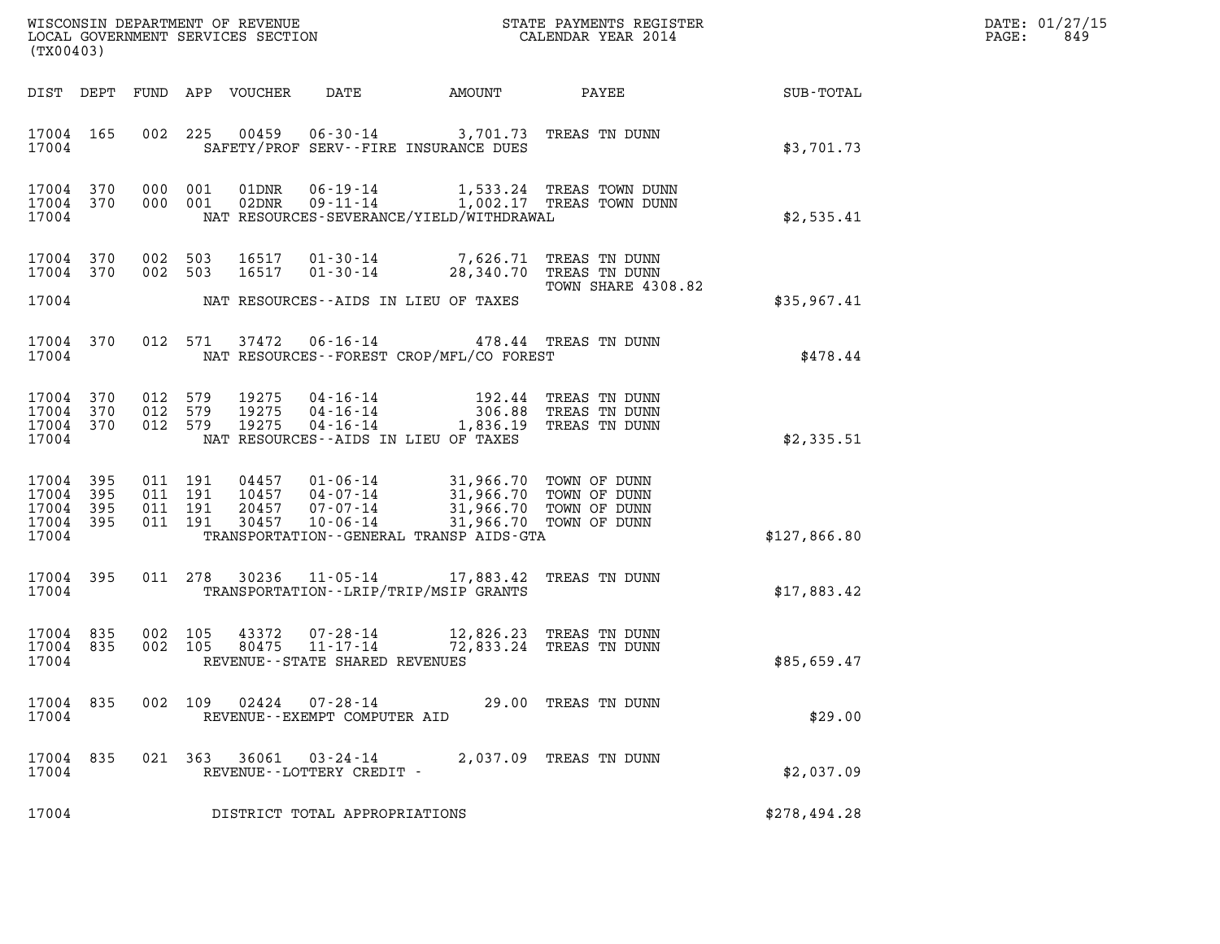| DATE: | 01/27/15 |
|-------|----------|
| PAGE: | 849      |

| (TX00403)                                         |            |                                          |         |                  |                                                                       | WISCONSIN DEPARTMENT OF REVENUE<br>LOCAL GOVERNMENT SERVICES SECTION                                                        | STATE PAYMENTS REGISTER<br>CALENDAR YEAR 2014                          |              | DATE: 01/27/15<br>PAGE:<br>849 |
|---------------------------------------------------|------------|------------------------------------------|---------|------------------|-----------------------------------------------------------------------|-----------------------------------------------------------------------------------------------------------------------------|------------------------------------------------------------------------|--------------|--------------------------------|
| DIST DEPT                                         |            |                                          |         | FUND APP VOUCHER | DATE                                                                  | AMOUNT                                                                                                                      | PAYEE                                                                  | SUB-TOTAL    |                                |
| 17004 165<br>17004                                |            | 002                                      | 225     |                  |                                                                       | 00459  06-30-14  3,701.73  TREAS TN DUNN<br>SAFETY/PROF SERV--FIRE INSURANCE DUES                                           |                                                                        | \$3,701.73   |                                |
| 17004 370<br>17004 370<br>17004                   |            | 000 001<br>000 001                       |         | 01DNR            | 06-19-14                                                              | NAT RESOURCES-SEVERANCE/YIELD/WITHDRAWAL                                                                                    | 1,533.24 TREAS TOWN DUNN<br>02DNR  09-11-14  1,002.17 TREAS TOWN DUNN  | \$2,535.41   |                                |
| 17004 370<br>17004 370                            |            | 002 503<br>002 503                       |         | 16517<br>16517   | $01 - 30 - 14$                                                        | 01-30-14 7,626.71 TREAS TN DUNN                                                                                             | 28,340.70 TREAS TN DUNN                                                |              |                                |
| 17004                                             |            |                                          |         |                  |                                                                       | NAT RESOURCES--AIDS IN LIEU OF TAXES                                                                                        | TOWN SHARE 4308.82                                                     | \$35,967.41  |                                |
| 17004<br>17004                                    | 370        |                                          | 012 571 |                  |                                                                       | 37472  06-16-14  478.44  TREAS TN DUNN<br>NAT RESOURCES--FOREST CROP/MFL/CO FOREST                                          |                                                                        | \$478.44     |                                |
| 17004<br>17004 370<br>17004 370<br>17004          | 370        | 012 579<br>012 579<br>012 579            |         | 19275<br>19275   | $04 - 16 - 14$<br>$04 - 16 - 14$<br>19275  04-16-14                   | NAT RESOURCES--AIDS IN LIEU OF TAXES                                                                                        | 192.44 TREAS TN DUNN<br>306.88 TREAS TN DUNN<br>1,836.19 TREAS TN DUNN | \$2,335.51   |                                |
| 17004<br>17004<br>17004 395<br>17004 395<br>17004 | 395<br>395 | 011 191<br>011 191<br>011 191<br>011 191 |         | 04457<br>30457   | 10457   04-07-14<br>10-06-14                                          | 01-06-14 31,966.70 TOWN OF DUNN<br>20457  07-07-14  31,966.70  TOWN OF DUNN<br>TRANSPORTATION - - GENERAL TRANSP AIDS - GTA | 31,966.70 TOWN OF DUNN<br>31,966.70 TOWN OF DUNN                       | \$127,866.80 |                                |
| 17004 395<br>17004                                |            |                                          |         |                  |                                                                       | 011 278 30236 11-05-14 17,883.42 TREAS TN DUNN<br>TRANSPORTATION - - LRIP/TRIP/MSIP GRANTS                                  |                                                                        | \$17,883.42  |                                |
| 17004 835<br>17004<br>17004                       | 835        | 002 105                                  | 002 105 |                  | 43372 07-28-14<br>80475 11-17-14<br>REVENUE - - STATE SHARED REVENUES |                                                                                                                             | 12,826.23 TREAS TN DUNN<br>72,833.24 TREAS TN DUNN                     | \$85,659.47  |                                |
| 17004<br>17004                                    | 835        | 002 109                                  |         | 02424            | 07-28-14<br>REVENUE - - EXEMPT COMPUTER AID                           |                                                                                                                             | 29.00 TREAS TN DUNN                                                    | \$29.00      |                                |
| 17004<br>17004                                    | 835        |                                          | 021 363 | 36061            | 03-24-14<br>REVENUE--LOTTERY CREDIT -                                 | 2,037.09                                                                                                                    | TREAS TN DUNN                                                          | \$2,037.09   |                                |
| 17004                                             |            |                                          |         |                  | DISTRICT TOTAL APPROPRIATIONS                                         |                                                                                                                             |                                                                        | \$278,494.28 |                                |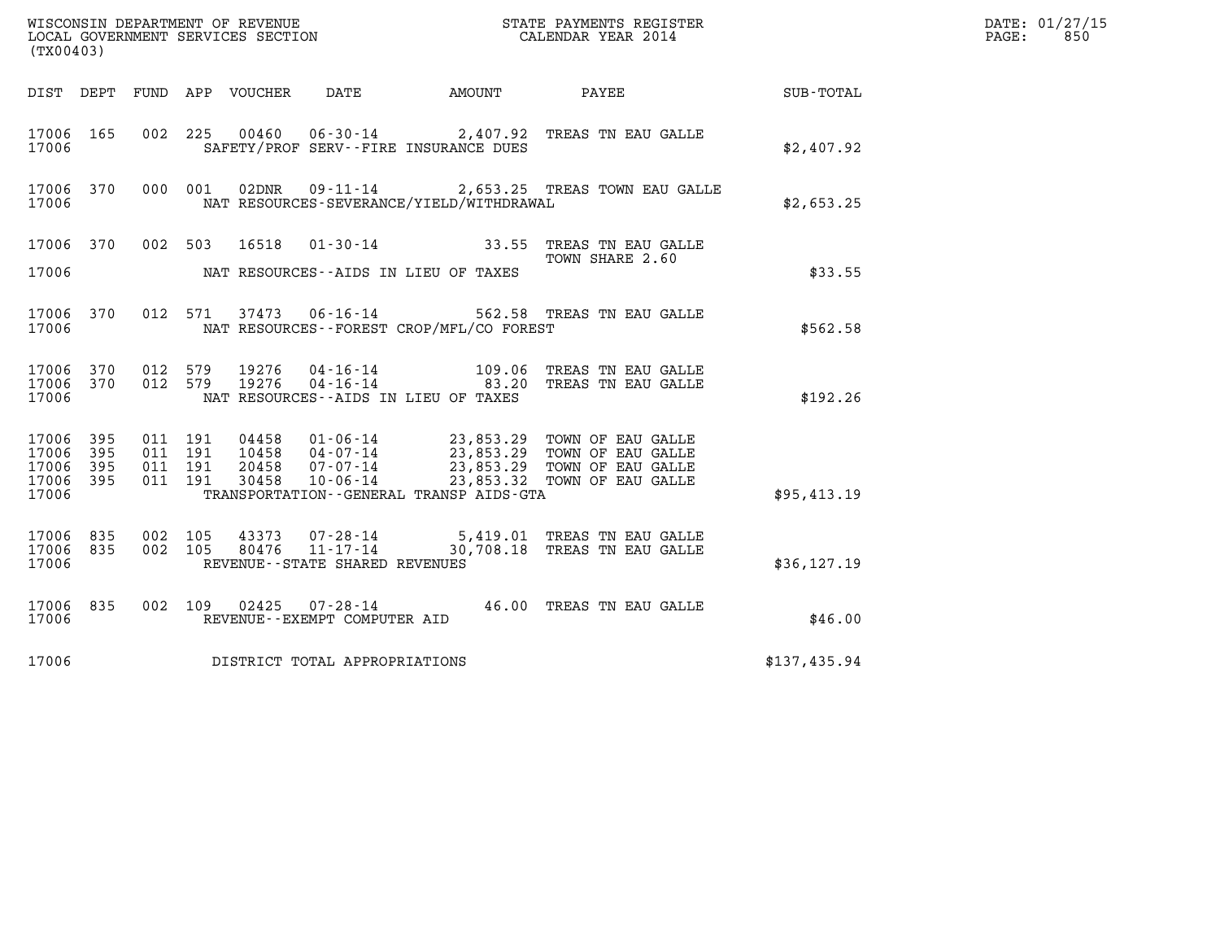| WISCONSIN DEPARTMENT OF REVENUE<br>LOCAL GOVERNMENT SERVICES SECTION | STATE PAYMENTS REGISTER<br>CALENDAR YEAR 2014 | DATE: 01/27/15<br>850<br>PAGE: |
|----------------------------------------------------------------------|-----------------------------------------------|--------------------------------|

| WISCONSIN DEPARTMENT OF REVENUE<br>(TX00403)                                                      | LOCAL GOVERNMENT SERVICES SECTION                                                                                                                                   | STATE PAYMENTS REGISTER<br>CALENDAR YEAR 2014                                                                            |              |
|---------------------------------------------------------------------------------------------------|---------------------------------------------------------------------------------------------------------------------------------------------------------------------|--------------------------------------------------------------------------------------------------------------------------|--------------|
| DEPT<br>FUND<br>DIST                                                                              | DATE AMOUNT<br>APP VOUCHER                                                                                                                                          | PAYEE                                                                                                                    | SUB-TOTAL    |
| 002<br>17006<br>165<br>17006                                                                      | 225<br>00460<br>SAFETY/PROF SERV--FIRE INSURANCE DUES                                                                                                               | 06-30-14 2,407.92 TREAS TN EAU GALLE                                                                                     | \$2,407.92   |
| 17006 370<br>000<br>17006                                                                         | 001<br>$09 - 11 - 14$<br>02DNR<br>NAT RESOURCES-SEVERANCE/YIELD/WITHDRAWAL                                                                                          | 2,653.25 TREAS TOWN EAU GALLE                                                                                            | \$2,653.25   |
| 17006<br>370<br>002                                                                               | 503<br>16518                                                                                                                                                        | 01-30-14 33.55 TREAS TN EAU GALLE<br>TOWN SHARE 2.60                                                                     |              |
| 17006                                                                                             | NAT RESOURCES--AIDS IN LIEU OF TAXES                                                                                                                                |                                                                                                                          | \$33.55      |
| 17006<br>370<br>012<br>17006                                                                      | 571<br>37473<br>NAT RESOURCES - - FOREST CROP/MFL/CO FOREST                                                                                                         | 06-16-14 562.58 TREAS TN EAU GALLE                                                                                       | \$562.58     |
| 17006<br>012<br>370<br>17006<br>370<br>012<br>17006                                               | 19276<br>579<br>579<br>19276<br>NAT RESOURCES -- AIDS IN LIEU OF TAXES                                                                                              | 04-16-14 109.06 TREAS TN EAU GALLE<br>04-16-14 183.20 TREAS TN EAU GALLE                                                 | \$192.26     |
| 17006<br>395<br>011<br>395<br>011<br>17006<br>17006<br>395<br>011<br>17006<br>395<br>011<br>17006 | 191<br>04458<br>$01 - 06 - 14$<br>191<br>04-07-14<br>10458<br>191<br>20458<br>07-07-14<br>$10 - 06 - 14$<br>30458<br>191<br>TRANSPORTATION--GENERAL TRANSP AIDS-GTA | 23,853.29 TOWN OF EAU GALLE<br>23,853.29 TOWN OF EAU GALLE<br>23,853.29 TOWN OF EAU GALLE<br>23,853.32 TOWN OF EAU GALLE | \$95,413.19  |
| 17006<br>002<br>835<br>17006<br>835<br>002<br>17006                                               | 105<br>105<br>REVENUE - - STATE SHARED REVENUES                                                                                                                     | 43373  07-28-14  5,419.01 TREAS TN EAU GALLE<br>80476  11-17-14  30,708.18 TREAS TN EAU GALLE                            | \$36, 127.19 |
| 17006<br>835<br>002<br>17006                                                                      | $07 - 28 - 14$ 46.00<br>109<br>02425<br>REVENUE--EXEMPT COMPUTER AID                                                                                                | TREAS TN EAU GALLE                                                                                                       | \$46.00      |
| 17006                                                                                             | DISTRICT TOTAL APPROPRIATIONS                                                                                                                                       |                                                                                                                          | \$137,435.94 |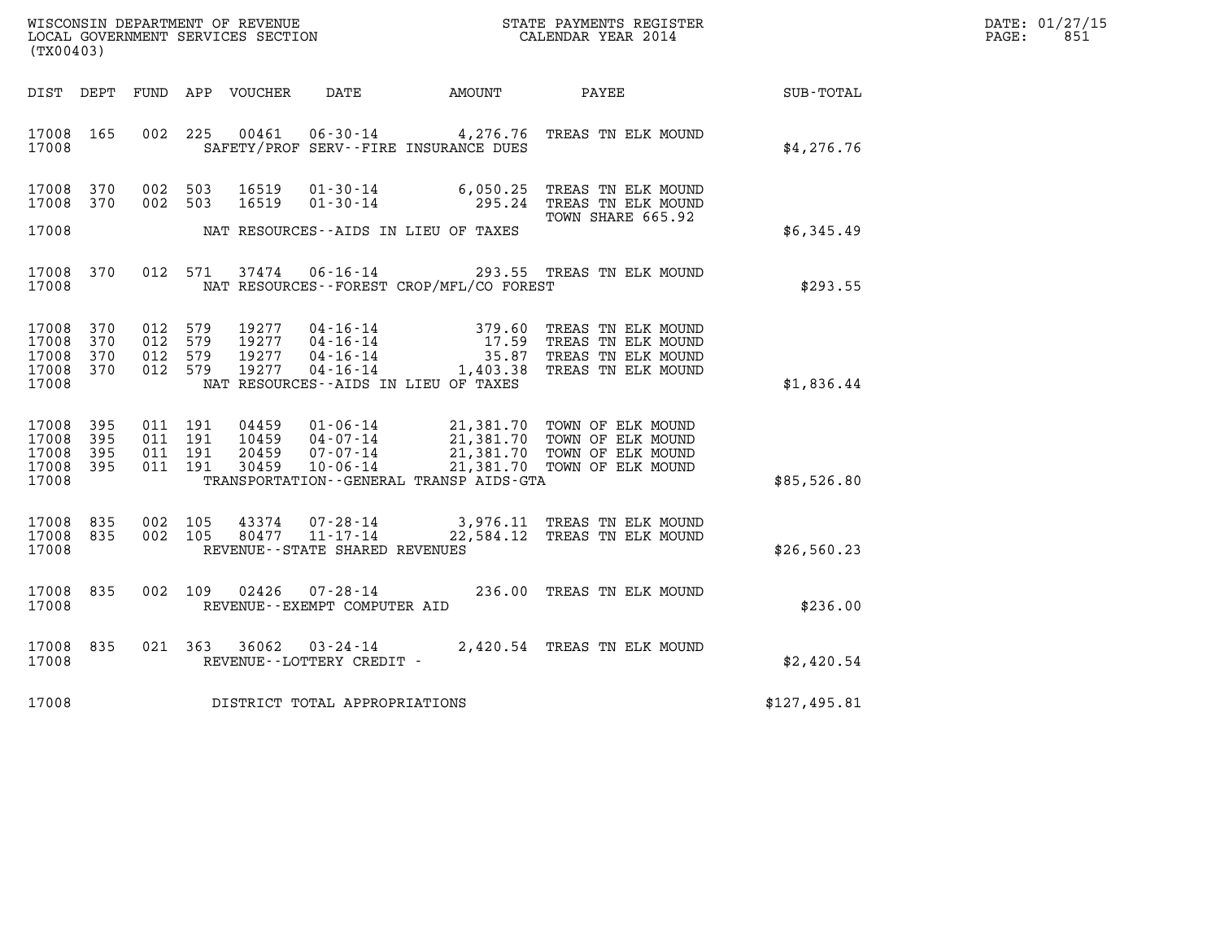| WISCONSIN DEPARTMENT OF REVENUE   | STATE PAYMENTS REGISTER | DATE: 01/27/15 |
|-----------------------------------|-------------------------|----------------|
| LOCAL GOVERNMENT SERVICES SECTION | CALENDAR YEAR 2014      | 851<br>PAGE:   |

| (TX00403)                                 |                          |                          |                          | WISCONSIN DEPARTMENT OF REVENUE<br>LOCAL GOVERNMENT SERVICES SECTION |                                                                      |                                                                                                  | STATE PAYMENTS REGISTER<br>CALENDAR YEAR 2014                                        |              |
|-------------------------------------------|--------------------------|--------------------------|--------------------------|----------------------------------------------------------------------|----------------------------------------------------------------------|--------------------------------------------------------------------------------------------------|--------------------------------------------------------------------------------------|--------------|
| DIST                                      | DEPT                     | FUND                     | APP                      | VOUCHER                                                              | DATE                                                                 | AMOUNT                                                                                           | PAYEE                                                                                | SUB-TOTAL    |
| 17008<br>17008                            | 165                      | 002                      | 225                      | 00461                                                                | $06 - 30 - 14$                                                       | 4,276.76<br>SAFETY/PROF SERV--FIRE INSURANCE DUES                                                | TREAS TN ELK MOUND                                                                   | \$4,276.76   |
| 17008<br>17008                            | 370<br>370               | 002<br>002               | 503<br>503               | 16519<br>16519                                                       | $01 - 30 - 14$<br>$01 - 30 - 14$                                     | 6,050.25<br>295.24                                                                               | TREAS TN ELK MOUND<br>TREAS TN ELK MOUND<br>TOWN SHARE 665.92                        |              |
| 17008                                     |                          |                          |                          |                                                                      |                                                                      | NAT RESOURCES--AIDS IN LIEU OF TAXES                                                             |                                                                                      | \$6,345.49   |
| 17008<br>17008                            | 370                      | 012                      | 571                      | 37474                                                                | $06 - 16 - 14$                                                       | NAT RESOURCES - - FOREST CROP/MFL/CO FOREST                                                      | 293.55 TREAS TN ELK MOUND                                                            | \$293.55     |
| 17008<br>17008<br>17008<br>17008<br>17008 | 370<br>370<br>370<br>370 | 012<br>012<br>012<br>012 | 579<br>579<br>579<br>579 | 19277<br>19277<br>19277<br>19277                                     | $04 - 16 - 14$<br>$04 - 16 - 14$<br>$04 - 16 - 14$<br>$04 - 16 - 14$ | 379.60<br>17.59<br>35.87<br>1,403.38<br>NAT RESOURCES--AIDS IN LIEU OF TAXES                     | TREAS TN ELK MOUND<br>TREAS TN ELK MOUND<br>TREAS TN ELK MOUND<br>TREAS TN ELK MOUND | \$1,836.44   |
| 17008<br>17008<br>17008<br>17008<br>17008 | 395<br>395<br>395<br>395 | 011<br>011<br>011<br>011 | 191<br>191<br>191<br>191 | 04459<br>10459<br>20459<br>30459                                     | $01 - 06 - 14$<br>$04 - 07 - 14$<br>$07 - 07 - 14$<br>$10 - 06 - 14$ | 21,381.70<br>21,381.70<br>21,381.70<br>21,381.70<br>TRANSPORTATION - - GENERAL TRANSP AIDS - GTA | TOWN OF ELK MOUND<br>TOWN OF ELK MOUND<br>TOWN OF ELK MOUND<br>TOWN OF ELK MOUND     | \$85,526.80  |
| 17008<br>17008<br>17008                   | 835<br>835               | 002<br>002               | 105<br>105               | 43374<br>80477                                                       | $07 - 28 - 14$<br>$11 - 17 - 14$<br>REVENUE--STATE SHARED REVENUES   | 22,584.12                                                                                        | 3,976.11 TREAS TN ELK MOUND<br>TREAS TN ELK MOUND                                    | \$26,560.23  |
| 17008<br>17008                            | 835                      | 002                      | 109                      | 02426                                                                | $07 - 28 - 14$<br>REVENUE--EXEMPT COMPUTER AID                       | 236.00                                                                                           | TREAS TN ELK MOUND                                                                   | \$236.00     |
| 17008<br>17008                            | 835                      | 021                      | 363                      | 36062                                                                | $03 - 24 - 14$<br>REVENUE--LOTTERY CREDIT -                          |                                                                                                  | 2,420.54 TREAS TN ELK MOUND                                                          | \$2,420.54   |
| 17008                                     |                          |                          |                          |                                                                      | DISTRICT TOTAL APPROPRIATIONS                                        |                                                                                                  |                                                                                      | \$127,495.81 |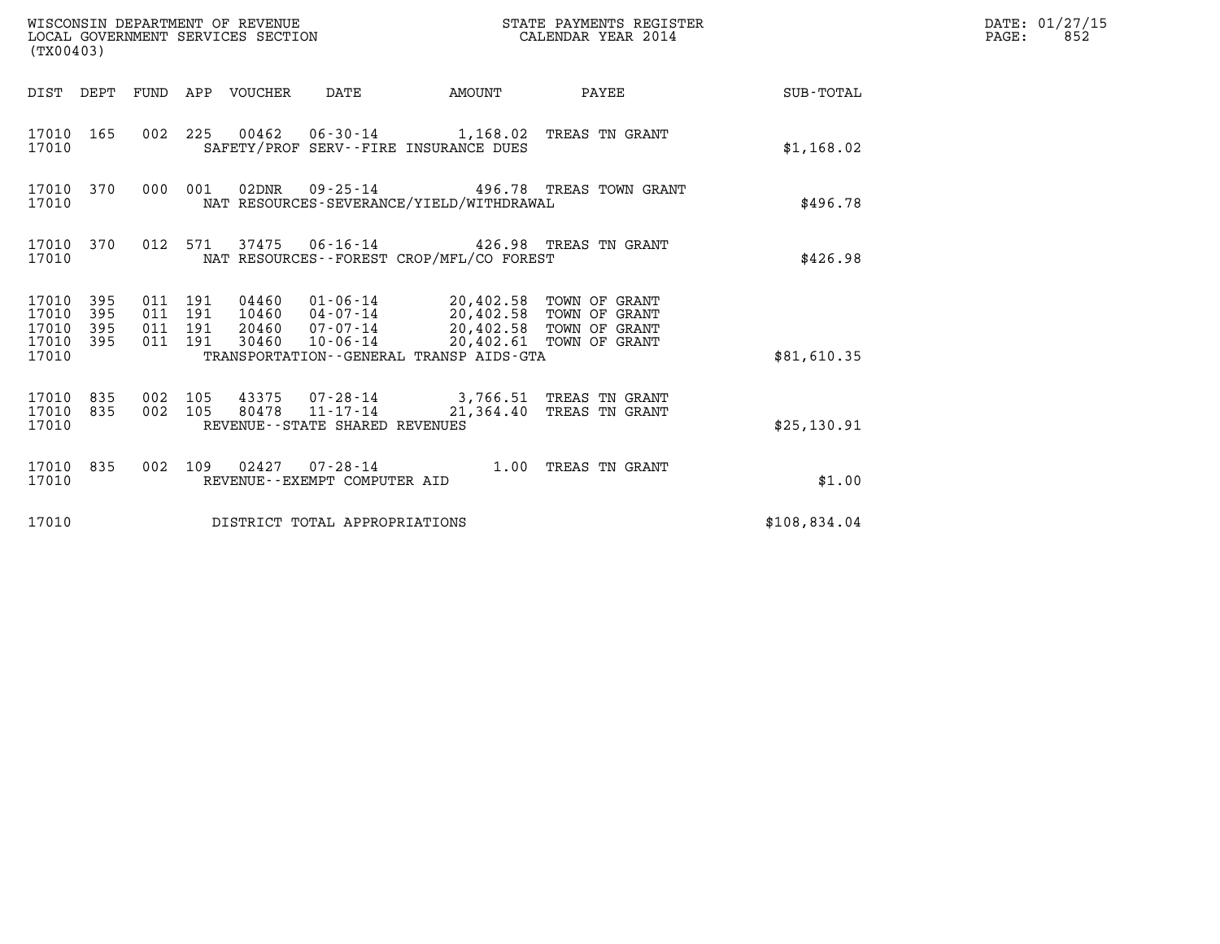| (TX00403)                                         |            |                    |                               | WISCONSIN DEPARTMENT OF REVENUE<br>LOCAL GOVERNMENT SERVICES SECTION |                                                  |                                                                                                                                                                                                                  | STATE PAYMENTS REGISTER<br>CALENDAR YEAR 2014 |              | DATE: 01/27/15<br>$\mathtt{PAGE:}$<br>852 |
|---------------------------------------------------|------------|--------------------|-------------------------------|----------------------------------------------------------------------|--------------------------------------------------|------------------------------------------------------------------------------------------------------------------------------------------------------------------------------------------------------------------|-----------------------------------------------|--------------|-------------------------------------------|
|                                                   |            |                    |                               | DIST DEPT FUND APP VOUCHER                                           | DATE                                             | AMOUNT                                                                                                                                                                                                           | PAYEE                                         | SUB-TOTAL    |                                           |
| 17010                                             | 17010 165  |                    |                               |                                                                      |                                                  | 002 225 00462 06-30-14 1,168.02 TREAS TN GRANT<br>SAFETY/PROF SERV--FIRE INSURANCE DUES                                                                                                                          |                                               | \$1,168.02   |                                           |
| 17010 370<br>17010                                |            |                    | 000 001                       |                                                                      |                                                  | NAT RESOURCES-SEVERANCE/YIELD/WITHDRAWAL                                                                                                                                                                         | 02DNR  09-25-14  496.78 TREAS TOWN GRANT      | \$496.78     |                                           |
| 17010                                             | 17010 370  |                    | 012 571                       |                                                                      |                                                  | 37475 06-16-14 426.98 TREAS TN GRANT<br>NAT RESOURCES -- FOREST CROP/MFL/CO FOREST                                                                                                                               |                                               | \$426.98     |                                           |
| 17010 395<br>17010<br>17010<br>17010 395<br>17010 | 395<br>395 | 011 191            | 011 191<br>011 191<br>011 191 | 30460                                                                |                                                  | 04460  01-06-14  20,402.58 TOWN OF GRANT<br>10460  04-07-14  20,402.58 TOWN OF GRANT<br>20460  07-07-14  20,402.58  TOWN OF GRANT<br>10-06-14 20,402.61 TOWN OF GRANT<br>TRANSPORTATION--GENERAL TRANSP AIDS-GTA |                                               | \$81,610.35  |                                           |
| 17010 835<br>17010<br>17010                       | 835        | 002 105<br>002 105 |                               | 80478                                                                | $11 - 17 - 14$<br>REVENUE--STATE SHARED REVENUES | 43375 07-28-14 3,766.51 TREAS TN GRANT                                                                                                                                                                           | 21,364.40 TREAS TN GRANT                      | \$25,130.91  |                                           |
| 17010 835<br>17010                                |            |                    |                               |                                                                      | REVENUE--EXEMPT COMPUTER AID                     | 002 109 02427 07-28-14 1.00 TREAS TN GRANT                                                                                                                                                                       |                                               | \$1.00       |                                           |
| 17010                                             |            |                    |                               |                                                                      | DISTRICT TOTAL APPROPRIATIONS                    |                                                                                                                                                                                                                  |                                               | \$108,834.04 |                                           |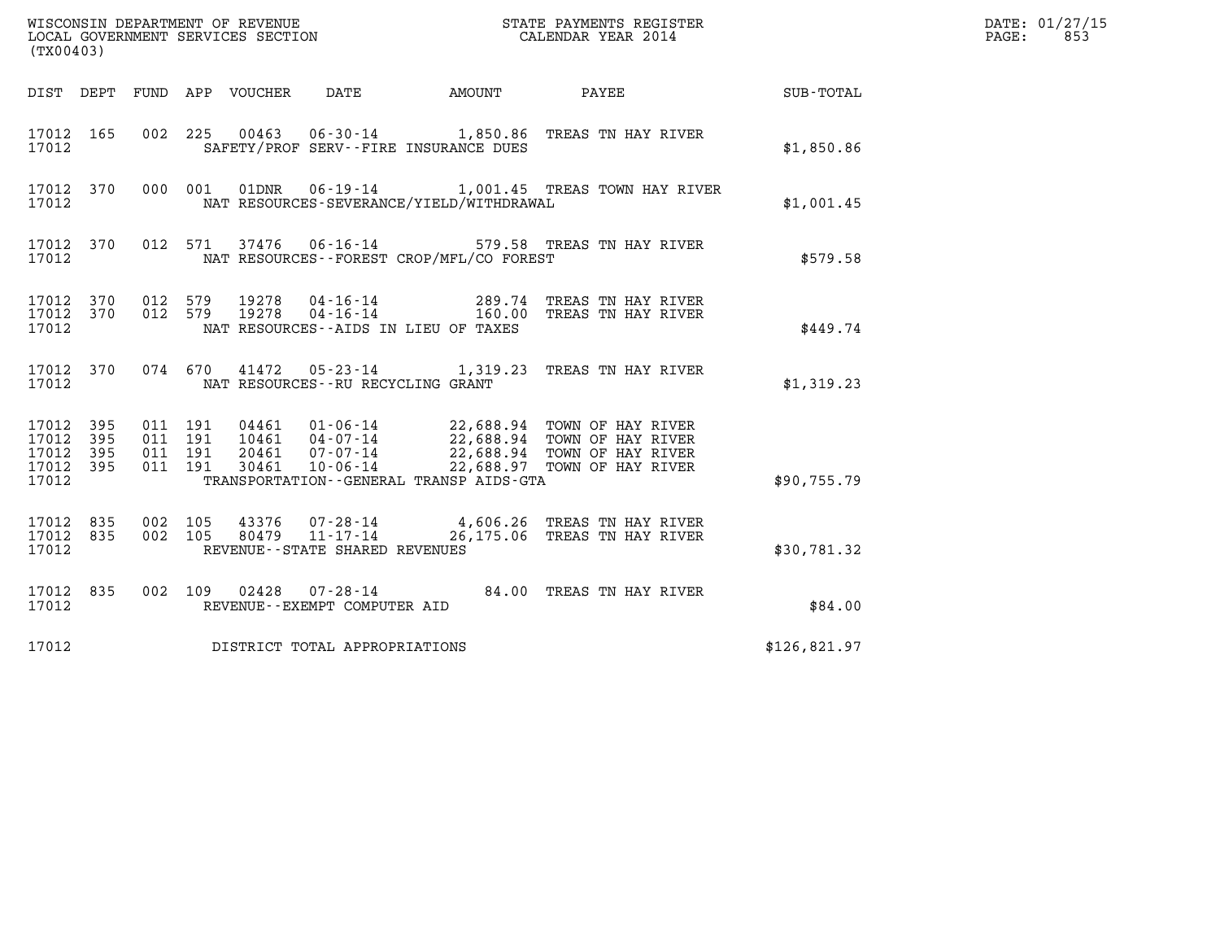| WISCONSIN DEPARTMENT OF REVENUE<br>LOCAL GOVERNMENT SERVICES SECTION<br>(TX00403) | STATE PAYMENTS REGISTER<br>CALENDAR YEAR 2014 | DATE: 01/27/15<br>853<br>PAGE: |
|-----------------------------------------------------------------------------------|-----------------------------------------------|--------------------------------|

| (TX00403)                                                             |                          |                                                                                                                                                                                                                                                                                                  |              |
|-----------------------------------------------------------------------|--------------------------|--------------------------------------------------------------------------------------------------------------------------------------------------------------------------------------------------------------------------------------------------------------------------------------------------|--------------|
| DIST<br>DEPT                                                          | FUND                     | APP VOUCHER<br>DATE<br>AMOUNT<br>PAYEE                                                                                                                                                                                                                                                           | SUB-TOTAL    |
| 17012<br>165<br>17012                                                 | 002                      | 225 00463 06-30-14 1,850.86 TREAS TN HAY RIVER<br>SAFETY/PROF SERV--FIRE INSURANCE DUES                                                                                                                                                                                                          | \$1,850.86   |
| 370<br>17012<br>17012                                                 | 000                      | 01DNR<br>06-19-14 1,001.45 TREAS TOWN HAY RIVER<br>001<br>NAT RESOURCES-SEVERANCE/YIELD/WITHDRAWAL                                                                                                                                                                                               | \$1,001.45   |
| 17012<br>370<br>17012                                                 | 012                      | 37476  06-16-14  579.58  TREAS TN HAY RIVER<br>571<br>NAT RESOURCES - - FOREST CROP/MFL/CO FOREST                                                                                                                                                                                                | \$579.58     |
| 17012<br>370<br>17012<br>370<br>17012                                 | 012<br>012               | 579<br>19278  04-16-14  289.74  TREAS TN HAY RIVER<br>19278  04-16-14  160.00  TREAS TN HAY RIVER<br>579<br>NAT RESOURCES--AIDS IN LIEU OF TAXES                                                                                                                                                 | \$449.74     |
| 370<br>17012<br>17012                                                 |                          | 074 670<br>41472<br>05-23-14 1,319.23 TREAS TN HAY RIVER<br>NAT RESOURCES - - RU RECYCLING GRANT                                                                                                                                                                                                 | \$1,319.23   |
| 17012<br>395<br>17012<br>395<br>17012<br>395<br>17012<br>395<br>17012 | 011<br>011<br>011<br>011 | 191<br>04461     01–06–14<br>10461     04–07–14<br>22,688.94 TOWN OF HAY RIVER<br>22,688.94 TOWN OF HAY RIVER<br>22,688.94 TOWN OF HAY RIVER<br>191<br>191<br>20461<br>07-07-14<br>22,688.97 TOWN OF HAY RIVER<br>191<br>30461<br>$10 - 06 - 14$<br>TRANSPORTATION - - GENERAL TRANSP AIDS - GTA | \$90.755.79  |
| 17012<br>835<br>835<br>17012<br>17012                                 | 002<br>002               | 105<br>43376  07-28-14  4,606.26  TREAS TN HAY RIVER<br>11-17-14 26,175.06 TREAS TN HAY RIVER<br>105<br>80479<br>REVENUE - - STATE SHARED REVENUES                                                                                                                                               | \$30,781.32  |
| 17012<br>835<br>17012                                                 | 002                      | 109  02428  07-28-14<br>84.00<br>TREAS TN HAY RIVER<br>REVENUE--EXEMPT COMPUTER AID                                                                                                                                                                                                              | \$84.00      |
| 17012                                                                 |                          | DISTRICT TOTAL APPROPRIATIONS                                                                                                                                                                                                                                                                    | \$126,821.97 |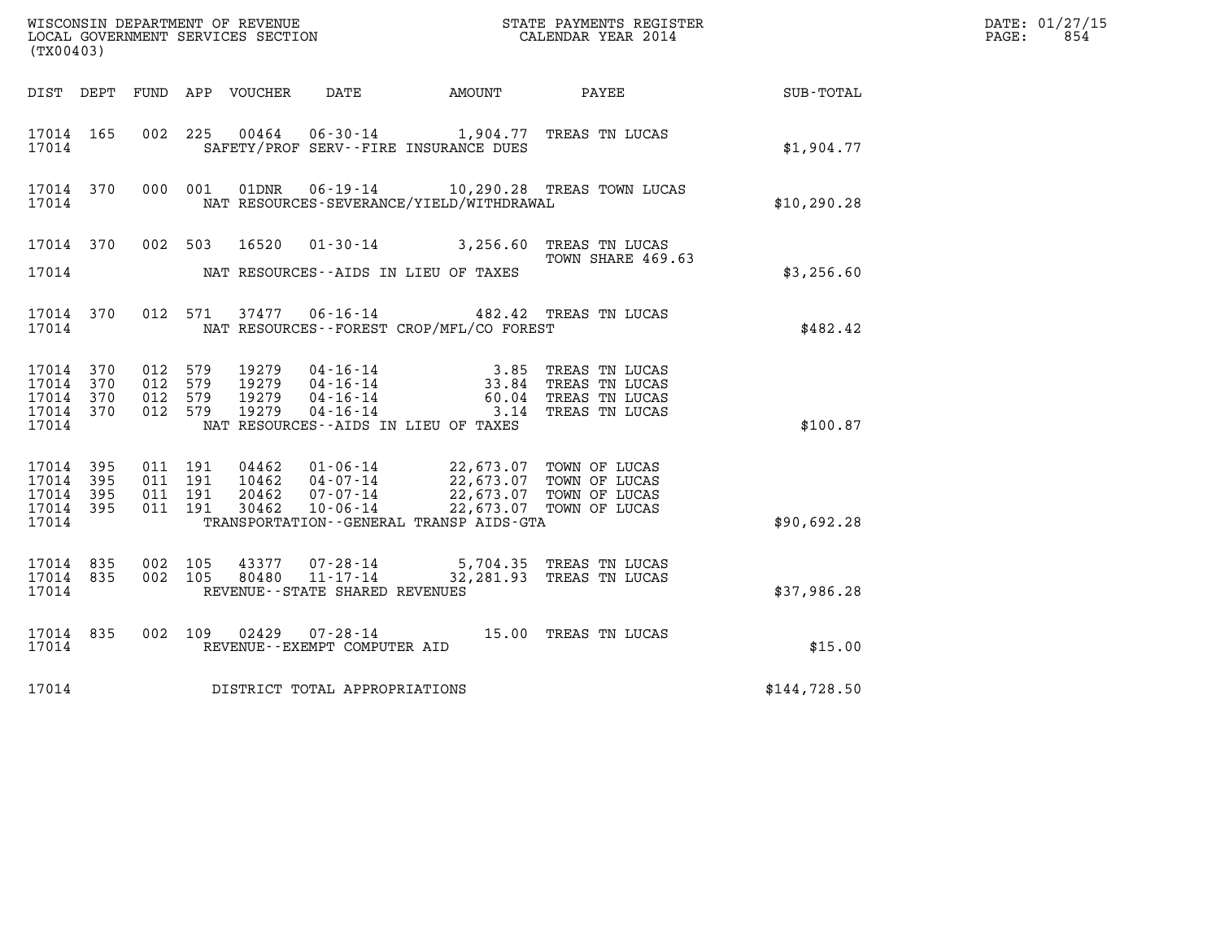| (TX00403)                                                 |           |                                          |         |                                  |                                   |                                                                                                                                                                                                                                                                                                                                                                                                                                       | %WISCONSIN DEPARTMENT OF REVENUE $$\tt STATE$ PAYMENTS REGISTER LOCAL GOVERNMENT SERVICES SECTION $$\tt CALEINDAR$ YEAR 2014 |              | DATE: 01/27/15<br>$\mathtt{PAGE:}$<br>854 |
|-----------------------------------------------------------|-----------|------------------------------------------|---------|----------------------------------|-----------------------------------|---------------------------------------------------------------------------------------------------------------------------------------------------------------------------------------------------------------------------------------------------------------------------------------------------------------------------------------------------------------------------------------------------------------------------------------|------------------------------------------------------------------------------------------------------------------------------|--------------|-------------------------------------------|
|                                                           |           |                                          |         |                                  |                                   |                                                                                                                                                                                                                                                                                                                                                                                                                                       | DIST DEPT FUND APP VOUCHER DATE AMOUNT PAYEE SUB-TOTAL                                                                       |              |                                           |
| 17014                                                     | 17014 165 |                                          |         |                                  |                                   | 002 225 00464 06-30-14 1,904.77 TREAS TN LUCAS<br>SAFETY/PROF SERV--FIRE INSURANCE DUES                                                                                                                                                                                                                                                                                                                                               |                                                                                                                              | \$1,904.77   |                                           |
| 17014                                                     | 17014 370 |                                          | 000 001 |                                  |                                   | NAT RESOURCES-SEVERANCE/YIELD/WITHDRAWAL                                                                                                                                                                                                                                                                                                                                                                                              | 01DNR  06-19-14   10,290.28   TREAS TOWN LUCAS                                                                               | \$10,290.28  |                                           |
|                                                           |           |                                          |         |                                  |                                   | 17014 370 002 503 16520 01-30-14 3,256.60 TREAS TN LUCAS                                                                                                                                                                                                                                                                                                                                                                              |                                                                                                                              |              |                                           |
| 17014                                                     |           |                                          |         |                                  |                                   | NAT RESOURCES--AIDS IN LIEU OF TAXES                                                                                                                                                                                                                                                                                                                                                                                                  | TOWN SHARE 469.63                                                                                                            | \$3,256.60   |                                           |
| 17014 370<br>17014                                        |           |                                          | 012 571 |                                  |                                   | 37477   06-16-14   482.42   TREAS TN LUCAS<br>NAT RESOURCES - - FOREST CROP/MFL/CO FOREST                                                                                                                                                                                                                                                                                                                                             |                                                                                                                              | \$482.42     |                                           |
| 17014 370<br>17014 370<br>17014 370<br>17014 370<br>17014 |           | 012 579<br>012 579<br>012 579<br>012 579 |         | 19279<br>19279<br>19279<br>19279 |                                   | 04-16-14 3.85 TREAS TN LUCAS<br>04-16-14 33.84 TREAS TN LUCAS<br>04-16-14 60.04 TREAS TN LUCAS<br>04-16-14 3.14 TREAS TN LUCAS<br>NAT RESOURCES--AIDS IN LIEU OF TAXES                                                                                                                                                                                                                                                                |                                                                                                                              | \$100.87     |                                           |
| 17014 395<br>17014 395<br>17014 395<br>17014 395<br>17014 |           | 011 191<br>011 191<br>011 191<br>011 191 |         |                                  |                                   | $\begin{array}{cccc} 04462 & 01\textnormal{-}06\textnormal{-}14 & 22,673.07 & \textnormal{TOWN OF LUCAS} \\ 10462 & 04\textnormal{-}07\textnormal{-}14 & 22,673.07 & \textnormal{TOWN OF LUCAS} \\ 20462 & 07\textnormal{-}07\textnormal{-}14 & 22,673.07 & \textnormal{TOWN OF LUCAS} \\ 30462 & 10\textnormal{-}06\textnormal{-}14 & 22,673.07 & \textnormal{TOWN OF LUCAS} \end{array}$<br>TRANSPORTATION--GENERAL TRANSP AIDS-GTA |                                                                                                                              | \$90,692.28  |                                           |
| 17014 835<br>17014 835<br>17014                           |           | 002 105<br>002 105                       |         |                                  | REVENUE - - STATE SHARED REVENUES | $\begin{array}{cccc} 43377 & 07\text{-}28\text{-}14 & \text{-}5,704.35 & \text{TREAS TN LUCAS} \\ 80480 & 11\text{-}17\text{-}14 & 32,281.93 & \text{TREAS TN LUCAS} \end{array}$                                                                                                                                                                                                                                                     |                                                                                                                              | \$37,986.28  |                                           |
| 17014                                                     | 17014 835 |                                          |         |                                  | REVENUE--EXEMPT COMPUTER AID      | 002 109 02429 07-28-14 15.00 TREAS TN LUCAS                                                                                                                                                                                                                                                                                                                                                                                           |                                                                                                                              | \$15.00      |                                           |
| 17014                                                     |           |                                          |         |                                  | DISTRICT TOTAL APPROPRIATIONS     |                                                                                                                                                                                                                                                                                                                                                                                                                                       |                                                                                                                              | \$144,728.50 |                                           |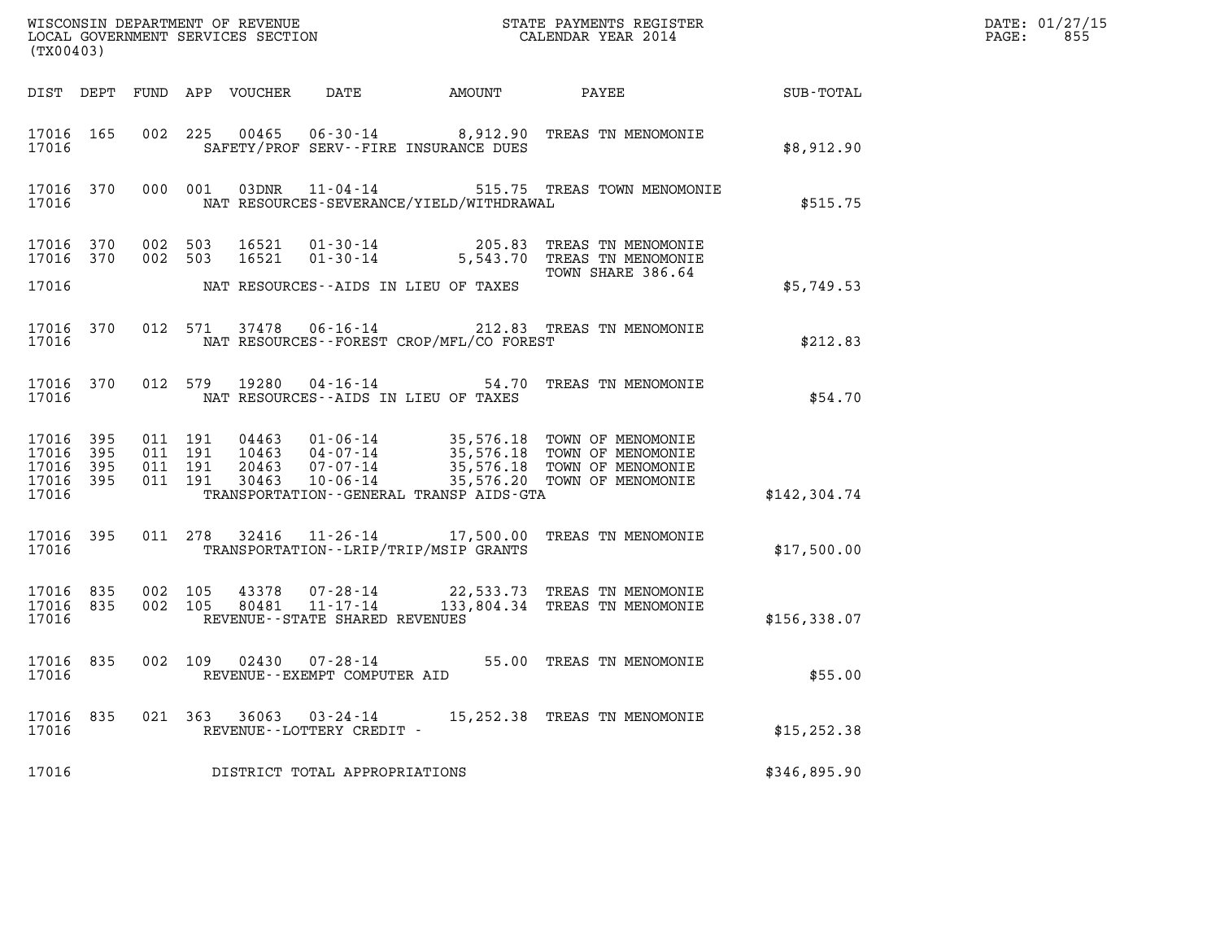|                                                       | (TX00403) |                    |                    |                            |                                                     |                                             |                                                                                            | DATE: 01/27/15<br>$\mathtt{PAGE}$ :<br>855 |  |
|-------------------------------------------------------|-----------|--------------------|--------------------|----------------------------|-----------------------------------------------------|---------------------------------------------|--------------------------------------------------------------------------------------------|--------------------------------------------|--|
|                                                       |           |                    |                    | DIST DEPT FUND APP VOUCHER | DATE                                                |                                             | AMOUNT PAYEE SUB-TOTAL                                                                     |                                            |  |
| 17016 165<br>17016                                    |           |                    |                    |                            |                                                     | SAFETY/PROF SERV--FIRE INSURANCE DUES       | 002 225 00465 06-30-14 8,912.90 TREAS TN MENOMONIE                                         | \$8,912.90                                 |  |
| 17016                                                 |           |                    |                    |                            |                                                     | NAT RESOURCES-SEVERANCE/YIELD/WITHDRAWAL    | 17016 370 000 001 03DNR 11-04-14 515.75 TREAS TOWN MENOMONIE                               | \$515.75                                   |  |
| 17016 370<br>17016 370                                |           | 002 503<br>002 503 |                    |                            |                                                     |                                             | 16521  01-30-14  205.83 TREAS TN MENOMONIE<br>16521  01-30-14  5,543.70 TREAS TN MENOMONIE |                                            |  |
| 17016                                                 |           |                    |                    |                            |                                                     | NAT RESOURCES--AIDS IN LIEU OF TAXES        | TOWN SHARE 386.64                                                                          | \$5,749.53                                 |  |
| 17016                                                 |           |                    |                    |                            |                                                     | NAT RESOURCES - - FOREST CROP/MFL/CO FOREST | 17016 370 012 571 37478 06-16-14 212.83 TREAS TN MENOMONIE                                 | \$212.83                                   |  |
| 17016                                                 |           |                    |                    |                            |                                                     | NAT RESOURCES--AIDS IN LIEU OF TAXES        | 17016 370 012 579 19280 04-16-14 54.70 TREAS TN MENOMONIE                                  | \$54.70                                    |  |
| 17016 395<br>17016<br>17016 395<br>17016 395<br>17016 | 395       | 011 191<br>011 191 | 011 191<br>011 191 |                            |                                                     | TRANSPORTATION--GENERAL TRANSP AIDS-GTA     |                                                                                            | \$142,304.74                               |  |
| 17016 395<br>17016                                    |           |                    |                    |                            |                                                     | TRANSPORTATION - - LRIP/TRIP/MSIP GRANTS    | 011 278 32416 11-26-14 17,500.00 TREAS TN MENOMONIE                                        | \$17,500.00                                |  |
| 17016 835<br>17016 835 002 105<br>17016               |           | 002 105            |                    | 43378<br>80481             | REVENUE--STATE SHARED REVENUES                      |                                             | 07-28-14 22,533.73 TREAS TN MENOMONIE<br>11-17-14 133,804.34 TREAS TN MENOMONIE            | \$156,338.07                               |  |
| 17016                                                 |           |                    |                    |                            | REVENUE--EXEMPT COMPUTER AID                        |                                             | 17016 835 002 109 02430 07-28-14 55.00 TREAS TN MENOMONIE                                  | \$55.00                                    |  |
| 17016 835<br>17016                                    |           |                    |                    |                            | 021 363 36063 03-24-14<br>REVENUE--LOTTERY CREDIT - |                                             | 15,252.38 TREAS TN MENOMONIE                                                               | \$15, 252.38                               |  |
| 17016                                                 |           |                    |                    |                            | DISTRICT TOTAL APPROPRIATIONS                       |                                             |                                                                                            | \$346,895.90                               |  |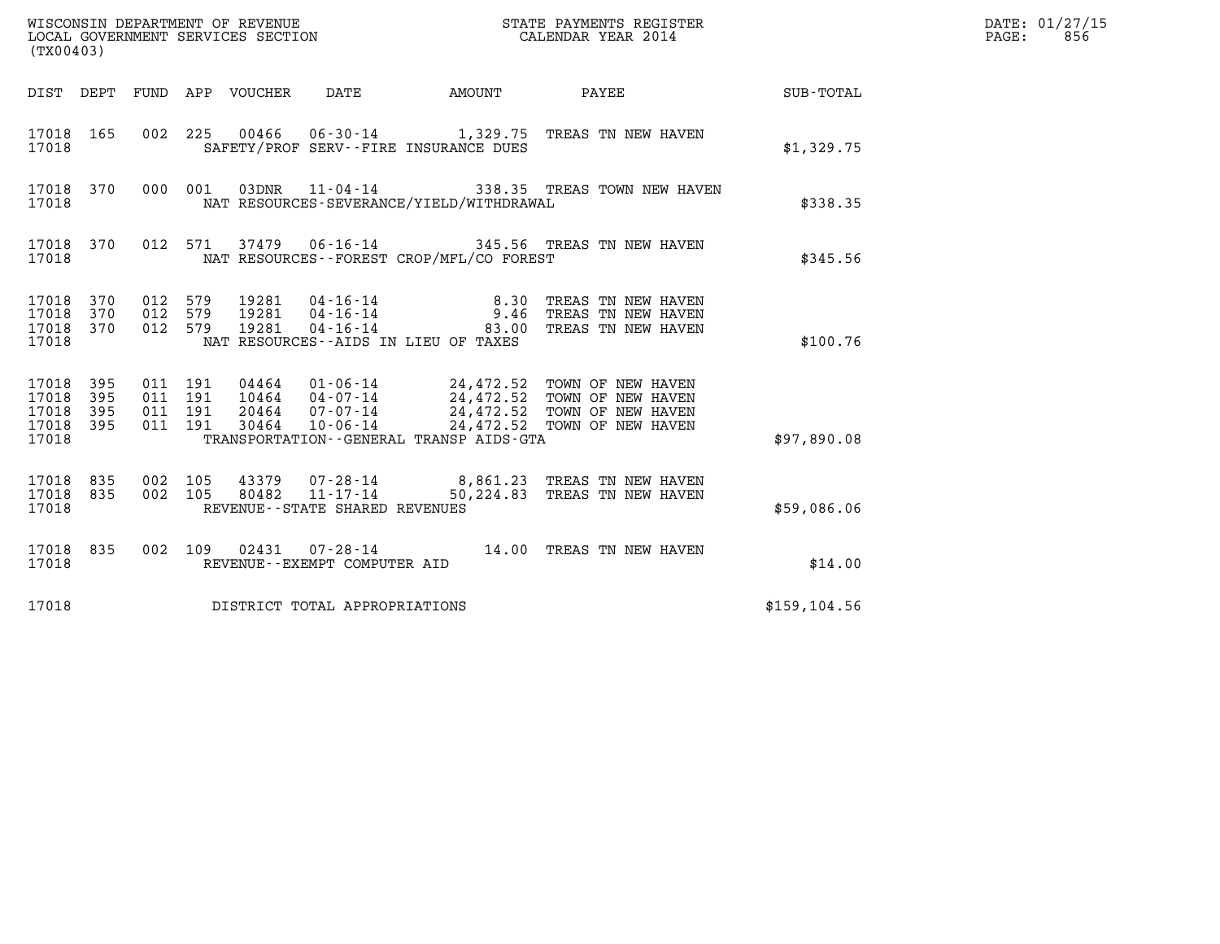| (TX00403)                                 |                          |                                          |         |                                 | WISCONSIN DEPARTMENT OF REVENUE<br>LOCAL GOVERNMENT SERVICES SECTION |                                                                                                                                                                                                                                                                                                                                                                               |              | STATE PAYMENTS REGISTER<br>CALENDAR YEAR 2014                        |                  | DATE: 01/27/15<br>$\mathtt{PAGE:}$<br>856 |
|-------------------------------------------|--------------------------|------------------------------------------|---------|---------------------------------|----------------------------------------------------------------------|-------------------------------------------------------------------------------------------------------------------------------------------------------------------------------------------------------------------------------------------------------------------------------------------------------------------------------------------------------------------------------|--------------|----------------------------------------------------------------------|------------------|-------------------------------------------|
|                                           |                          |                                          |         | DIST DEPT FUND APP VOUCHER DATE |                                                                      | <b>AMOUNT</b>                                                                                                                                                                                                                                                                                                                                                                 | <b>PAYEE</b> |                                                                      | <b>SUB-TOTAL</b> |                                           |
| 17018 165<br>17018                        |                          |                                          |         |                                 |                                                                      | 002 225 00466 06-30-14 1,329.75 TREAS TN NEW HAVEN<br>SAFETY/PROF SERV--FIRE INSURANCE DUES                                                                                                                                                                                                                                                                                   |              |                                                                      | \$1,329.75       |                                           |
| 17018 370<br>17018                        |                          |                                          | 000 001 |                                 |                                                                      | 03DNR  11-04-14  338.35 TREAS TOWN NEW HAVEN<br>NAT RESOURCES-SEVERANCE/YIELD/WITHDRAWAL                                                                                                                                                                                                                                                                                      |              |                                                                      | \$338.35         |                                           |
| 17018 370<br>17018                        |                          |                                          | 012 571 |                                 |                                                                      | 37479   06-16-14   345.56   TREAS TN NEW HAVEN<br>NAT RESOURCES - - FOREST CROP/MFL/CO FOREST                                                                                                                                                                                                                                                                                 |              |                                                                      | \$345.56         |                                           |
| 17018 370<br>17018<br>17018 370<br>17018  | 370                      | 012 579<br>012 579<br>012 579            |         |                                 |                                                                      | $\begin{array}{cccc} 19281 & 04\cdot 16\cdot 14 & & 8\cdot 30 \\ 19281 & 04\cdot 16\cdot 14 & & 9\cdot 46 \\ 19281 & 04\cdot 16\cdot 14 & & 83\cdot 00 \end{array}$<br>NAT RESOURCES--AIDS IN LIEU OF TAXES                                                                                                                                                                   |              | TREAS TN NEW HAVEN<br>TREAS TN NEW HAVEN<br>83.00 TREAS TN NEW HAVEN | \$100.76         |                                           |
| 17018<br>17018<br>17018<br>17018<br>17018 | 395<br>395<br>395<br>395 | 011 191<br>011 191<br>011 191<br>011 191 |         |                                 |                                                                      | $\begin{array}{cccc} 04464 & 01\text{-}06\text{-}14 & 24,472.52 & \text{TOWN OF NEW HAVEN} \\ 10464 & 04\text{-}07\text{-}14 & 24,472.52 & \text{TOWN OF NEW HAVEN} \\ 20464 & 07\text{-}07\text{-}14 & 24,472.52 & \text{TOWN OF NEW HAVEN} \\ 30464 & 10\text{-}06\text{-}14 & 24,472.52 & \text{TOWN OF NEW HAVEN} \end{array}$<br>TRANSPORTATION--GENERAL TRANSP AIDS-GTA |              |                                                                      | \$97,890.08      |                                           |
| 17018<br>17018 835<br>17018               | 835                      | 002 105<br>002 105                       |         | 80482                           | $11 - 17 - 14$<br>REVENUE - - STATE SHARED REVENUES                  | 43379 07-28-14 8,861.23 TREAS TN NEW HAVEN                                                                                                                                                                                                                                                                                                                                    |              | 50,224.83 TREAS TN NEW HAVEN                                         | \$59,086.06      |                                           |
| 17018 835<br>17018                        |                          | 002 109                                  |         |                                 | REVENUE--EXEMPT COMPUTER AID                                         | 02431  07-28-14  14.00  TREAS TN NEW HAVEN                                                                                                                                                                                                                                                                                                                                    |              |                                                                      | \$14.00          |                                           |
| 17018                                     |                          |                                          |         |                                 | DISTRICT TOTAL APPROPRIATIONS                                        |                                                                                                                                                                                                                                                                                                                                                                               |              |                                                                      | \$159, 104.56    |                                           |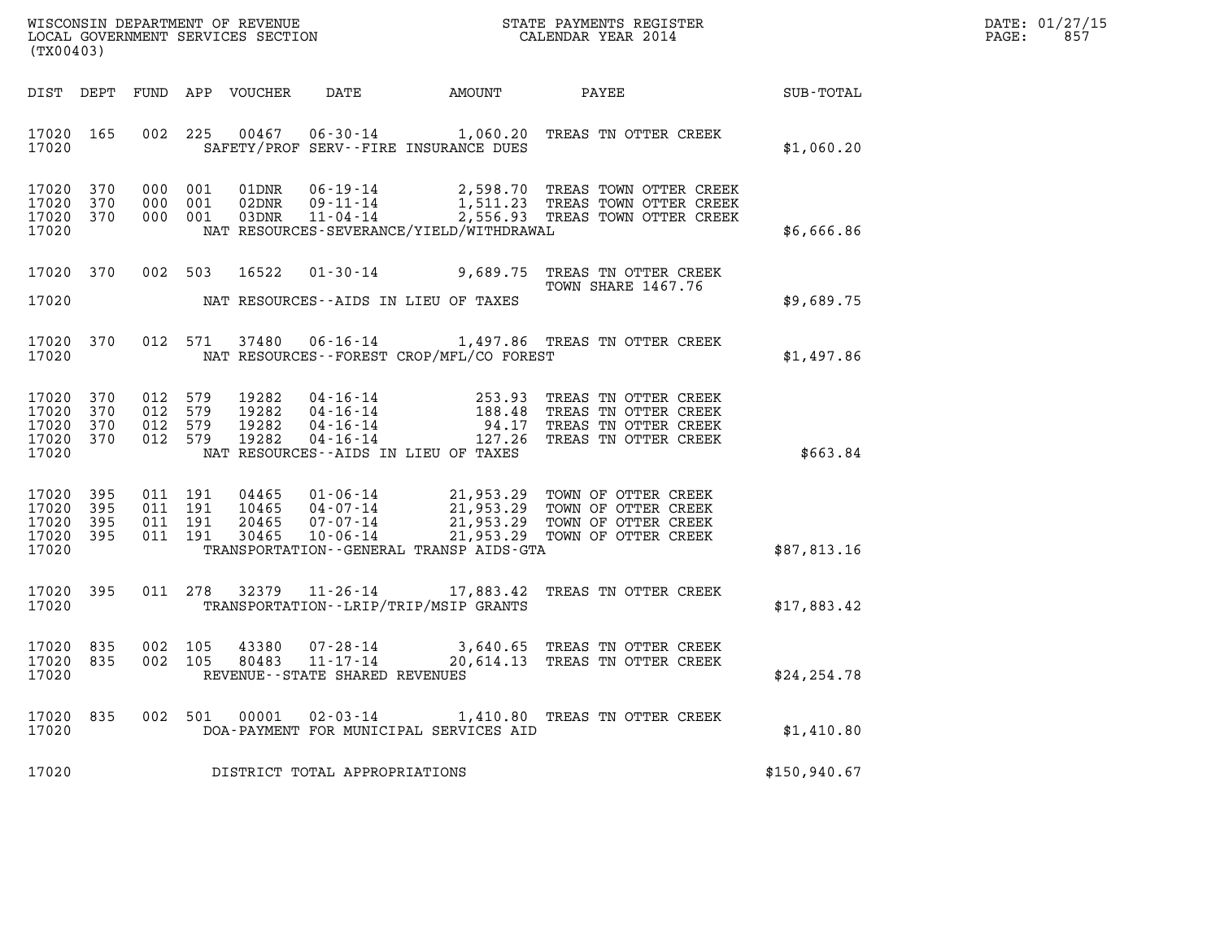| DATE: | 01/27/15 |
|-------|----------|
| PAGE: | 857      |

| %WISCONSIN DEPARTMENT OF REVENUE $$\tt STATE$ PAYMENTS REGISTER LOCAL GOVERNMENT SERVICES SECTION $$\tt CALEINDAR$ YEAR 2014<br>(TX00403) |            |  |                    |                            |                                               |                                          |                                                                                                                                                                                                                                                                                                                                                               | DATE: 01/27/15<br>$\mathtt{PAGE:}$<br>857 |  |
|-------------------------------------------------------------------------------------------------------------------------------------------|------------|--|--------------------|----------------------------|-----------------------------------------------|------------------------------------------|---------------------------------------------------------------------------------------------------------------------------------------------------------------------------------------------------------------------------------------------------------------------------------------------------------------------------------------------------------------|-------------------------------------------|--|
|                                                                                                                                           |            |  |                    | DIST DEPT FUND APP VOUCHER |                                               |                                          | DATE AMOUNT PAYEE SUB-TOTAL                                                                                                                                                                                                                                                                                                                                   |                                           |  |
| 17020 165<br>17020                                                                                                                        |            |  |                    |                            |                                               | SAFETY/PROF SERV--FIRE INSURANCE DUES    | 002 225 00467 06-30-14 1,060.20 TREAS TN OTTER CREEK                                                                                                                                                                                                                                                                                                          | \$1,060.20                                |  |
| 17020 370<br>17020<br>17020 370<br>17020                                                                                                  | 370        |  | 000 001<br>000 001 | 000 001 03DNR              |                                               | NAT RESOURCES-SEVERANCE/YIELD/WITHDRAWAL | 01DNR  06-19-14  2,598.70 TREAS TOWN OTTER CREEK<br>02DNR  09-11-14  1,511.23 TREAS TOWN OTTER CREEK<br>03DNR  11-04-14  2,556.93 TREAS TOWN OTTER CREEK                                                                                                                                                                                                      | \$6,666.86                                |  |
| 17020 370<br>17020                                                                                                                        |            |  |                    |                            |                                               | NAT RESOURCES--AIDS IN LIEU OF TAXES     | 002 503 16522 01-30-14 9,689.75 TREAS TN OTTER CREEK<br>TOWN SHARE 1467.76                                                                                                                                                                                                                                                                                    | \$9,689.75                                |  |
| 17020 370<br>17020                                                                                                                        |            |  |                    |                            |                                               | NAT RESOURCES--FOREST CROP/MFL/CO FOREST | 012 571 37480 06-16-14 1,497.86 TREAS TN OTTER CREEK                                                                                                                                                                                                                                                                                                          | \$1,497.86                                |  |
| 17020 370<br>17020 370<br>17020<br>17020 370<br>17020                                                                                     | 370        |  |                    | 012 579 19282              |                                               | NAT RESOURCES--AIDS IN LIEU OF TAXES     | $\begin{array}{cccc} 012 & 579 & 19282 & 04\texttt{-}16\texttt{-}14 & 253.93 & \texttt{TREAS TN OTTER CREEK} \\ 012 & 579 & 19282 & 04\texttt{-}16\texttt{-}14 & 188.48 & \texttt{TREAS TN OTTER CREEK} \\ 012 & 579 & 19282 & 04\texttt{-}16\texttt{-}14 & 94.17 & \texttt{TREAS TN OTTER CREEK} \\ 012 & 579 & 19282 & 04\texttt{-}16\texttt{-}14 & 127.26$ | \$663.84                                  |  |
| 17020 395<br>17020<br>17020<br>17020 395<br>17020                                                                                         | 395<br>395 |  |                    |                            |                                               | TRANSPORTATION--GENERAL TRANSP AIDS-GTA  |                                                                                                                                                                                                                                                                                                                                                               | \$87,813.16                               |  |
| 17020 395<br>17020                                                                                                                        |            |  |                    |                            |                                               | TRANSPORTATION - - LRIP/TRIP/MSIP GRANTS | 011 278 32379 11-26-14 17,883.42 TREAS TN OTTER CREEK                                                                                                                                                                                                                                                                                                         | \$17,883.42                               |  |
| 17020 835<br>17020 835<br>17020                                                                                                           |            |  | 002 105<br>002 105 | 43380<br>80483             | 11-17-14<br>REVENUE - - STATE SHARED REVENUES |                                          | 07-28-14 3,640.65 TREAS TN OTTER CREEK<br>20,614.13 TREAS TN OTTER CREEK                                                                                                                                                                                                                                                                                      | \$24,254.78                               |  |
| 17020 835<br>17020                                                                                                                        |            |  | 002 501            | 00001                      | $02 - 03 - 14$                                | DOA-PAYMENT FOR MUNICIPAL SERVICES AID   | 1,410.80 TREAS TN OTTER CREEK                                                                                                                                                                                                                                                                                                                                 | \$1,410.80                                |  |
| 17020                                                                                                                                     |            |  |                    |                            | DISTRICT TOTAL APPROPRIATIONS                 |                                          |                                                                                                                                                                                                                                                                                                                                                               | \$150,940.67                              |  |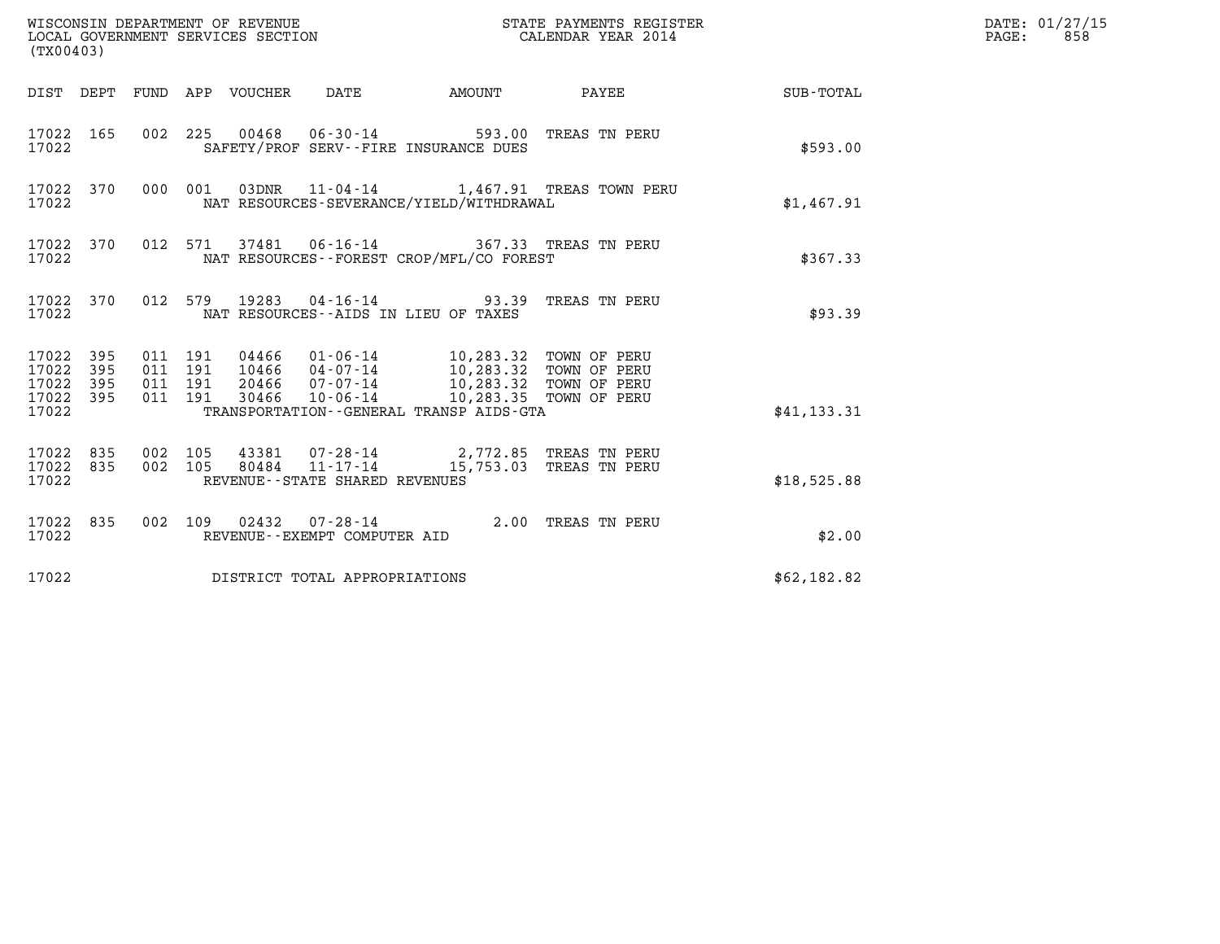| (TX00403)                                                       |                                          |                                 |                                                                                                                                                                                                                         | STATE PAYMENTS REGISTER |                                                 |              | DATE: 01/27/15<br>$\mathtt{PAGE}$ :<br>858 |
|-----------------------------------------------------------------|------------------------------------------|---------------------------------|-------------------------------------------------------------------------------------------------------------------------------------------------------------------------------------------------------------------------|-------------------------|-------------------------------------------------|--------------|--------------------------------------------|
|                                                                 |                                          | DIST DEPT FUND APP VOUCHER DATE |                                                                                                                                                                                                                         | <b>AMOUNT</b>           | <b>PAYEE</b>                                    | SUB-TOTAL    |                                            |
| 17022 165<br>17022                                              |                                          |                                 | 002 225 00468 06-30-14 593.00 TREAS TN PERU<br>SAFETY/PROF SERV--FIRE INSURANCE DUES                                                                                                                                    |                         |                                                 | \$593.00     |                                            |
| 17022 370<br>17022                                              |                                          |                                 | NAT RESOURCES-SEVERANCE/YIELD/WITHDRAWAL                                                                                                                                                                                |                         | 000 001 03DNR 11-04-14 1,467.91 TREAS TOWN PERU | \$1,467.91   |                                            |
| 17022 370<br>17022                                              |                                          |                                 | 012 571 37481 06-16-14 367.33 TREAS TN PERU<br>NAT RESOURCES--FOREST CROP/MFL/CO FOREST                                                                                                                                 |                         |                                                 | \$367.33     |                                            |
| 17022 370<br>17022                                              |                                          |                                 | 012 579 19283 04-16-14 93.39 TREAS TN PERU<br>NAT RESOURCES -- AIDS IN LIEU OF TAXES                                                                                                                                    |                         |                                                 | \$93.39      |                                            |
| 17022 395<br>17022<br>395<br>17022<br>395<br>17022 395<br>17022 | 011 191<br>011 191<br>011 191<br>011 191 |                                 | 04466  01-06-14  10,283.32  TOWN OF PERU<br>10466  04-07-14  10,283.32  TOWN OF PERU<br>20466  07-07-14  10,283.32  TOWN OF PERU<br>30466  10-06-14  10,283.35  TOWN OF PERU<br>TRANSPORTATION--GENERAL TRANSP AIDS-GTA |                         |                                                 | \$41, 133.31 |                                            |
| 17022 835<br>17022 835<br>17022                                 | 002 105<br>002 105                       | 80484                           | 43381 07-28-14 2,772.85 TREAS TN PERU<br>11-17-14<br>REVENUE--STATE SHARED REVENUES                                                                                                                                     |                         | 15,753.03 TREAS TN PERU                         | \$18,525.88  |                                            |
| 17022 835<br>17022                                              |                                          |                                 | 002 109 02432 07-28-14 2.00 TREAS TN PERU<br>REVENUE--EXEMPT COMPUTER AID                                                                                                                                               |                         |                                                 | \$2.00       |                                            |
| 17022                                                           |                                          |                                 | DISTRICT TOTAL APPROPRIATIONS                                                                                                                                                                                           |                         |                                                 | \$62,182.82  |                                            |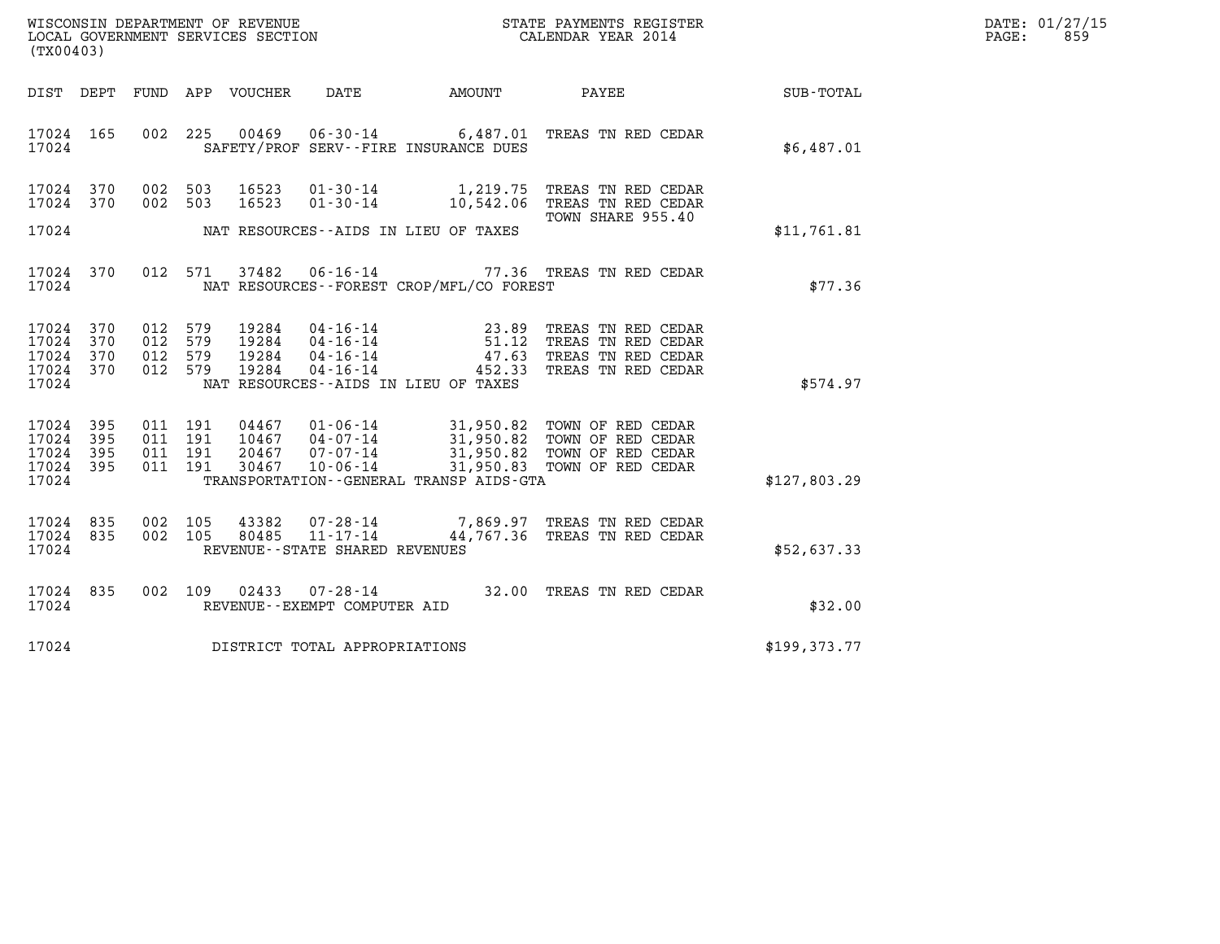| WISCONSIN DEPARTMENT OF REVENUE   | STATE PAYMENTS REGISTER | DATE: 01/27/15 |
|-----------------------------------|-------------------------|----------------|
| LOCAL GOVERNMENT SERVICES SECTION | CALENDAR YEAR 2014      | 859<br>PAGE:   |

| WISCONSIN DEPARTMENT OF REVENUE<br>(TX00403)                                                      | LOCAL GOVERNMENT SERVICES SECTION                                                                                                                             |                                                                                        | STATE PAYMENTS REGISTER<br>CALENDAR YEAR 2014                                                                                              |              |
|---------------------------------------------------------------------------------------------------|---------------------------------------------------------------------------------------------------------------------------------------------------------------|----------------------------------------------------------------------------------------|--------------------------------------------------------------------------------------------------------------------------------------------|--------------|
| DIST<br>DEPT<br>FUND                                                                              | APP VOUCHER DATE AMOUNT                                                                                                                                       |                                                                                        | PAYEE                                                                                                                                      | SUB-TOTAL    |
| 17024<br>165<br>17024                                                                             | 002 225<br>00469<br>SAFETY/PROF SERV--FIRE INSURANCE DUES                                                                                                     |                                                                                        | 06-30-14 6,487.01 TREAS TN RED CEDAR                                                                                                       | \$6,487.01   |
| 17024<br>370<br>002<br>370<br>002<br>17024                                                        | 503<br>16523<br>$01 - 30 - 14$<br>$01 - 30 - 14$<br>503<br>16523                                                                                              | 1,219.75<br>10,542.06                                                                  | TREAS TN RED CEDAR<br>TREAS TN RED CEDAR<br>TOWN SHARE 955.40                                                                              |              |
| 17024                                                                                             | NAT RESOURCES--AIDS IN LIEU OF TAXES                                                                                                                          |                                                                                        |                                                                                                                                            | \$11,761.81  |
| 17024<br>370<br>17024                                                                             | 37482<br>012 571<br>NAT RESOURCES--FOREST CROP/MFL/CO FOREST                                                                                                  |                                                                                        | 06-16-14 77.36 TREAS TN RED CEDAR                                                                                                          | \$77.36      |
| 17024<br>370<br>012<br>012<br>17024<br>370<br>17024<br>370<br>012<br>370<br>012<br>17024<br>17024 | 579<br>19284<br>579<br>19284<br>579<br>19284<br>579<br>19284<br>NAT RESOURCES -- AIDS IN LIEU OF TAXES                                                        | $04 - 16 - 14$<br>$04 - 16 - 14$<br>$04 - 16 - 14$<br>$16 - 14$<br>$47.63$<br>$452.33$ | TREAS TN RED CEDAR<br>TREAS TN RED CEDAR<br>TREAS TN RED CEDAR<br>TREAS TN RED CEDAR                                                       | \$574.97     |
| 17024<br>395<br>17024<br>395<br>17024<br>395<br>011<br>17024<br>395<br>17024                      | 011 191<br>04467<br>10467<br>011 191<br>$07 - 07 - 14$<br>191<br>20467<br>07-07-14<br>10-06-14<br>011 191<br>30467<br>TRANSPORTATION--GENERAL TRANSP AIDS-GTA |                                                                                        | 01-06-14 31,950.82 TOWN OF RED CEDAR<br>04-07-14 31,950.82 TOWN OF RED CEDAR<br>31,950.82 TOWN OF RED CEDAR<br>31,950.83 TOWN OF RED CEDAR | \$127,803.29 |
| 17024<br>835<br>002<br>17024 835<br>002<br>17024                                                  | 105<br>43382<br>105<br>80485<br>REVENUE--STATE SHARED REVENUES                                                                                                |                                                                                        | 07-28-14 7,869.97 TREAS TN RED CEDAR<br>11-17-14 44,767.36 TREAS TN RED CEDAR                                                              | \$52,637.33  |
| 17024 835<br>002<br>17024                                                                         | 109<br>02433<br>$07 - 28 - 14$<br>REVENUE--EXEMPT COMPUTER AID                                                                                                | 32.00                                                                                  | TREAS TN RED CEDAR                                                                                                                         | \$32.00      |
| 17024                                                                                             | DISTRICT TOTAL APPROPRIATIONS                                                                                                                                 |                                                                                        |                                                                                                                                            | \$199,373.77 |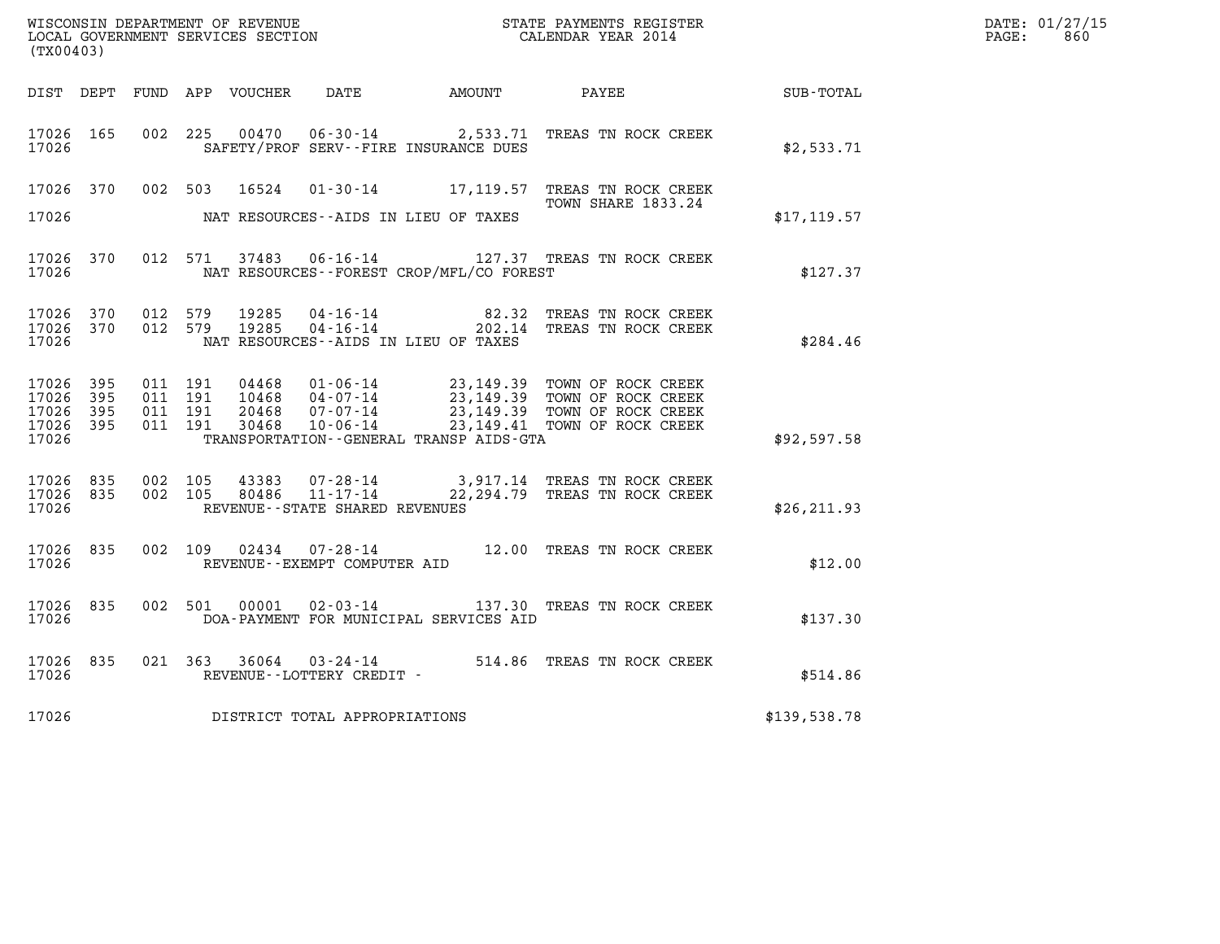| WISCONSIN DEPARTMENT OF REVENUE<br>LOCAL GOVERNMENT SERVICES SECTION<br>CALENDAR YEAR 2014<br>(TX00403) |  |                    |                    |                         |                                   |                                              |                                                                                                                                                                                                                                                                                                                                                                                                                |                  | DATE: 01/27/15<br>$\mathtt{PAGE:}$<br>860 |
|---------------------------------------------------------------------------------------------------------|--|--------------------|--------------------|-------------------------|-----------------------------------|----------------------------------------------|----------------------------------------------------------------------------------------------------------------------------------------------------------------------------------------------------------------------------------------------------------------------------------------------------------------------------------------------------------------------------------------------------------------|------------------|-------------------------------------------|
|                                                                                                         |  |                    |                    |                         |                                   | DIST DEPT FUND APP VOUCHER DATE AMOUNT PAYEE |                                                                                                                                                                                                                                                                                                                                                                                                                | <b>SUB-TOTAL</b> |                                           |
| 17026 165<br>17026                                                                                      |  |                    |                    | 002 225 00470           |                                   | SAFETY/PROF SERV--FIRE INSURANCE DUES        | 06-30-14 2,533.71 TREAS TN ROCK CREEK                                                                                                                                                                                                                                                                                                                                                                          | \$2,533.71       |                                           |
| 17026                                                                                                   |  |                    |                    |                         |                                   | NAT RESOURCES--AIDS IN LIEU OF TAXES         | 17026 370 002 503 16524 01-30-14 17,119.57 TREAS TN ROCK CREEK<br>TOWN SHARE 1833.24                                                                                                                                                                                                                                                                                                                           | \$17, 119.57     |                                           |
| 17026 370<br>17026                                                                                      |  |                    |                    |                         |                                   | NAT RESOURCES--FOREST CROP/MFL/CO FOREST     | 012 571 37483 06-16-14 127.37 TREAS TN ROCK CREEK                                                                                                                                                                                                                                                                                                                                                              | \$127.37         |                                           |
| 17026 370<br>17026                                                                                      |  |                    |                    | 17026 370 012 579 19285 |                                   | NAT RESOURCES--AIDS IN LIEU OF TAXES         | 012 579 19285 04-16-14 82.32 TREAS TN ROCK CREEK<br>012 579 19285 04-16-14 202.14 TREAS TN ROCK CREEK                                                                                                                                                                                                                                                                                                          | \$284.46         |                                           |
| 17026 395<br>17026 395<br>17026 395<br>17026 395<br>17026                                               |  | 011 191<br>011 191 | 011 191<br>011 191 |                         |                                   | TRANSPORTATION--GENERAL TRANSP AIDS-GTA      | $\begin{array}{cccc} 04468 & 01\textnormal{-}06\textnormal{-}14 & 23,149.39 & \textnormal{TOWN OF ROCK CREEK} \\ 10468 & 04\textnormal{-}07\textnormal{-}14 & 23,149.39 & \textnormal{TOWN OF ROCK CREEK} \\ 20468 & 07\textnormal{-}07\textnormal{-}14 & 23,149.39 & \textnormal{TOWN OF ROCK CREEK} \\ 30468 & 10\textnormal{-}06\textnormal{-}14 & 23,149.41 & \textnormal{TOWN OF ROCK CREEK} \end{array}$ | \$92,597.58      |                                           |
| 17026 835<br>17026 835<br>17026                                                                         |  |                    | 002 105<br>002 105 |                         | REVENUE - - STATE SHARED REVENUES |                                              | $43383$ 07-28-14 3,917.14 TREAS TN ROCK CREEK<br>80486 11-17-14 22,294.79 TREAS TN ROCK CREEK                                                                                                                                                                                                                                                                                                                  | \$26, 211.93     |                                           |
| 17026 835<br>17026                                                                                      |  |                    |                    |                         | REVENUE--EXEMPT COMPUTER AID      |                                              | 002 109 02434 07-28-14 12.00 TREAS TN ROCK CREEK                                                                                                                                                                                                                                                                                                                                                               | \$12.00          |                                           |
| 17026 835<br>17026                                                                                      |  |                    |                    |                         |                                   | DOA-PAYMENT FOR MUNICIPAL SERVICES AID       | 002 501 00001 02-03-14 137.30 TREAS TN ROCK CREEK                                                                                                                                                                                                                                                                                                                                                              | \$137.30         |                                           |
| 17026 835<br>17026                                                                                      |  |                    |                    |                         | REVENUE--LOTTERY CREDIT -         |                                              | 021 363 36064 03-24-14 514.86 TREAS TN ROCK CREEK                                                                                                                                                                                                                                                                                                                                                              | \$514.86         |                                           |
| 17026                                                                                                   |  |                    |                    |                         | DISTRICT TOTAL APPROPRIATIONS     |                                              |                                                                                                                                                                                                                                                                                                                                                                                                                | \$139,538.78     |                                           |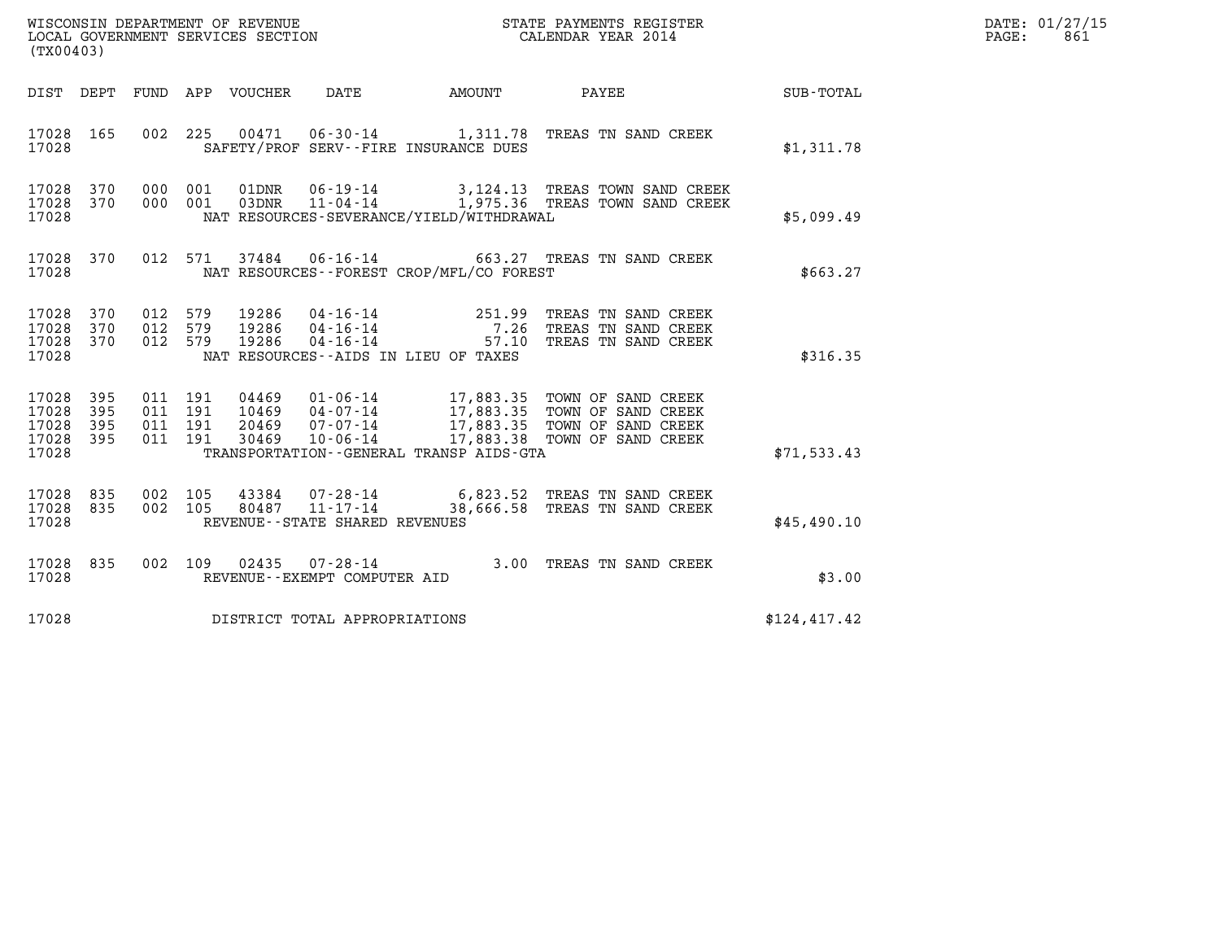| WISCONSIN DEPARTMENT OF REVENUE<br>LOCAL GOVERNMENT SERVICES SECTION | STATE PAYMENTS REGISTER<br>CALENDAR YEAR 2014 | DATE: 01/27/15<br>861<br>PAGE: |
|----------------------------------------------------------------------|-----------------------------------------------|--------------------------------|

| DIST<br>DEPT<br>FUND<br>APP<br>VOUCHER<br>DATE<br>AMOUNT<br>PAYEE<br>17028<br>165<br>002<br>225<br>00471<br>06-30-14 1,311.78 TREAS TN SAND CREEK<br>17028<br>SAFETY/PROF SERV--FIRE INSURANCE DUES                                                                                                                                                                                                            | SUB-TOTAL<br>\$1,311.78<br>\$5,099.49 |
|----------------------------------------------------------------------------------------------------------------------------------------------------------------------------------------------------------------------------------------------------------------------------------------------------------------------------------------------------------------------------------------------------------------|---------------------------------------|
|                                                                                                                                                                                                                                                                                                                                                                                                                |                                       |
|                                                                                                                                                                                                                                                                                                                                                                                                                |                                       |
| 17028<br>370<br>000<br>01DNR<br>$06 - 19 - 14$<br>001<br>3,124.13 TREAS TOWN SAND CREEK<br>1,975.36 TREAS TOWN SAND CREEK<br>17028<br>370<br>000<br>001<br>03DNR<br>$11 - 04 - 14$<br>17028<br>NAT RESOURCES-SEVERANCE/YIELD/WITHDRAWAL                                                                                                                                                                        |                                       |
| 17028<br>370<br>012<br>571<br>37484<br>06-16-14 663.27 TREAS TN SAND CREEK<br>NAT RESOURCES - - FOREST CROP/MFL/CO FOREST<br>17028                                                                                                                                                                                                                                                                             | \$663.27                              |
| 251.99<br>17028<br>370<br>012<br>579<br>19286<br>$04 - 16 - 14$<br>TREAS TN SAND CREEK<br>$\overline{a}$<br>17028<br>370<br>012<br>579<br>19286<br>$04 - 16 - 14$<br>7.26<br>TREAS TN SAND CREEK<br>17028<br>370<br>012<br>579<br>19286<br>$04 - 16 - 14$<br>57.10<br>TREAS TN SAND CREEK<br>17028<br>NAT RESOURCES -- AIDS IN LIEU OF TAXES                                                                   | \$316.35                              |
| 395<br>011<br>191<br>04469<br>$01 - 06 - 14$<br>17028<br>17,883.35 TOWN OF SAND CREEK<br>395<br>191<br>17028<br>011<br>10469<br>04-07-14<br>17,883.35<br>TOWN OF SAND CREEK<br>17,883.35 TOWN OF SAND CREEK<br>17028<br>20469<br>07-07-14<br>395<br>191<br>011<br>17028<br>17,883.38<br>395<br>011<br>191<br>30469<br>$10 - 06 - 14$<br>TOWN OF SAND CREEK<br>17028<br>TRANSPORTATION--GENERAL TRANSP AIDS-GTA | \$71, 533.43                          |
| 17028<br>835<br>002<br>43384 07-28-14 6,823.52<br>105<br>TREAS TN SAND CREEK<br>38,666.58<br>11-17-14<br>17028<br>835<br>002<br>105<br>80487<br>TREAS TN SAND CREEK<br>17028<br>REVENUE - - STATE SHARED REVENUES                                                                                                                                                                                              | \$45,490.10                           |
| 17028<br>835<br>002<br>109<br>02435<br>$07 - 28 - 14$<br>3.00<br>TREAS TN SAND CREEK<br>17028<br>REVENUE--EXEMPT COMPUTER AID                                                                                                                                                                                                                                                                                  | \$3.00                                |
| 17028<br>DISTRICT TOTAL APPROPRIATIONS                                                                                                                                                                                                                                                                                                                                                                         | \$124, 417.42                         |

LOCAL GOVERNMENT SERVICES SECTION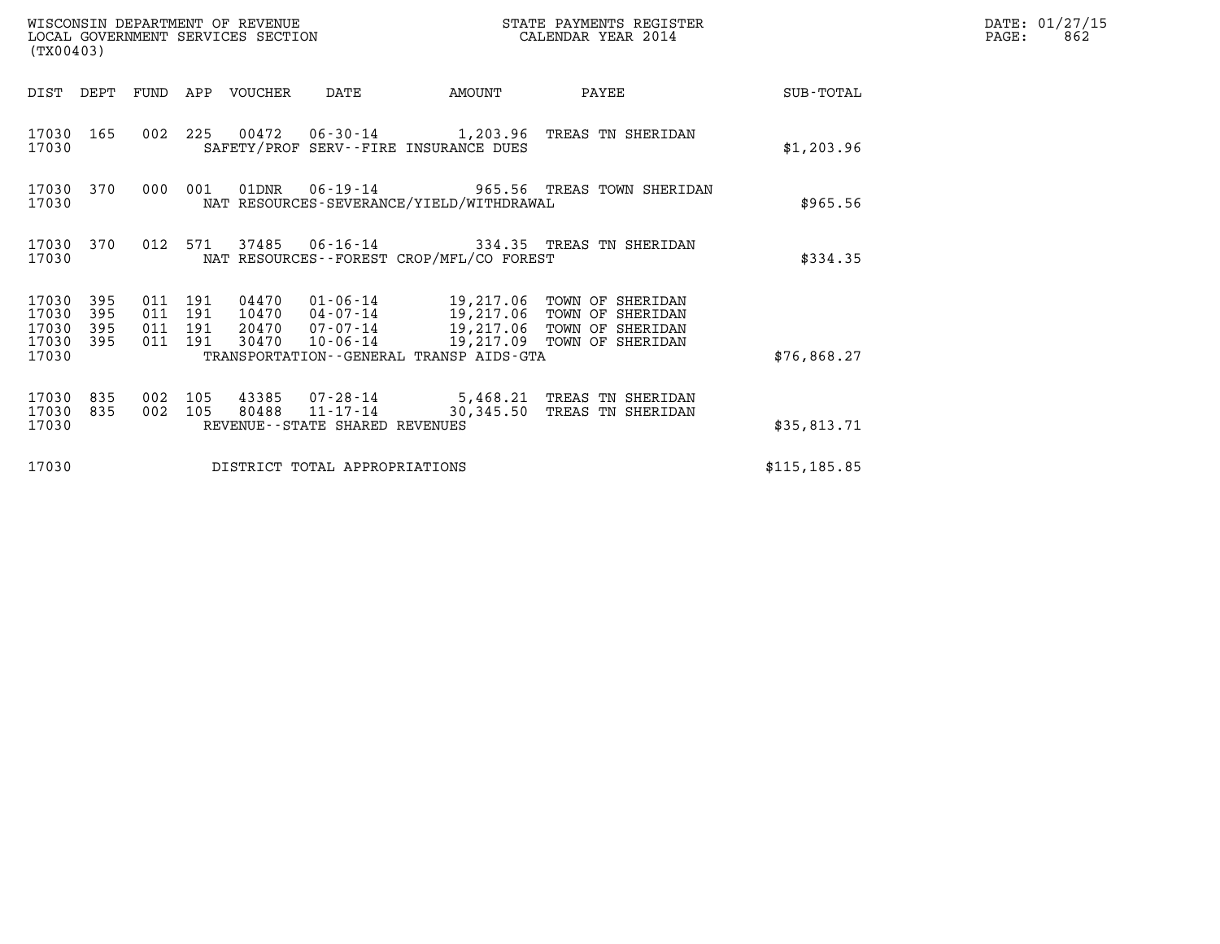|                                               | WISCONSIN DEPARTMENT OF REVENUE<br>LOCAL GOVERNMENT SERVICES SECTION<br>STATE PAYMENTS REGISTER<br>CALENDAR YEAR 2014<br>(TX00403) |                                          |         |                            |                                |                                             |                                                                                                                                                                                     |               | DATE: 01/27/15<br>PAGE:<br>862 |
|-----------------------------------------------|------------------------------------------------------------------------------------------------------------------------------------|------------------------------------------|---------|----------------------------|--------------------------------|---------------------------------------------|-------------------------------------------------------------------------------------------------------------------------------------------------------------------------------------|---------------|--------------------------------|
|                                               |                                                                                                                                    |                                          |         | DIST DEPT FUND APP VOUCHER | DATE                           | AMOUNT                                      | PAYEE                                                                                                                                                                               | SUB-TOTAL     |                                |
| 17030                                         | 17030 165                                                                                                                          |                                          |         |                            |                                | SAFETY/PROF SERV--FIRE INSURANCE DUES       | 002 225 00472 06-30-14 1,203.96 TREAS TN SHERIDAN                                                                                                                                   | \$1,203.96    |                                |
| 17030                                         | 17030 370                                                                                                                          |                                          | 000 001 |                            |                                | NAT RESOURCES-SEVERANCE/YIELD/WITHDRAWAL    | 01DNR  06-19-14  965.56 TREAS TOWN SHERIDAN                                                                                                                                         | \$965.56      |                                |
| 17030                                         | 17030 370                                                                                                                          |                                          |         |                            |                                | NAT RESOURCES - - FOREST CROP/MFL/CO FOREST | 012 571 37485 06-16-14 334.35 TREAS TN SHERIDAN                                                                                                                                     | \$334.35      |                                |
| 17030 395<br>17030<br>17030<br>17030<br>17030 | 395<br>395<br>395                                                                                                                  | 011 191<br>011 191<br>011 191<br>011 191 |         |                            |                                | TRANSPORTATION--GENERAL TRANSP AIDS-GTA     | 04470  01-06-14  19,217.06  TOWN OF SHERIDAN<br>10470 04-07-14 19,217.06 TOWN OF SHERIDAN<br>20470 07-07-14 19,217.06 TOWN OF SHERIDAN<br>30470 10-06-14 19,217.09 TOWN OF SHERIDAN | \$76,868.27   |                                |
| 17030 835<br>17030 835<br>17030               |                                                                                                                                    | 002 105<br>002 105                       |         |                            | REVENUE--STATE SHARED REVENUES |                                             | 43385  07-28-14  5,468.21  TREAS TN SHERIDAN<br>80488  11-17-14  30,345.50  TREAS TN SHERIDAN                                                                                       | \$35,813.71   |                                |
| 17030                                         |                                                                                                                                    |                                          |         |                            | DISTRICT TOTAL APPROPRIATIONS  |                                             |                                                                                                                                                                                     | \$115, 185.85 |                                |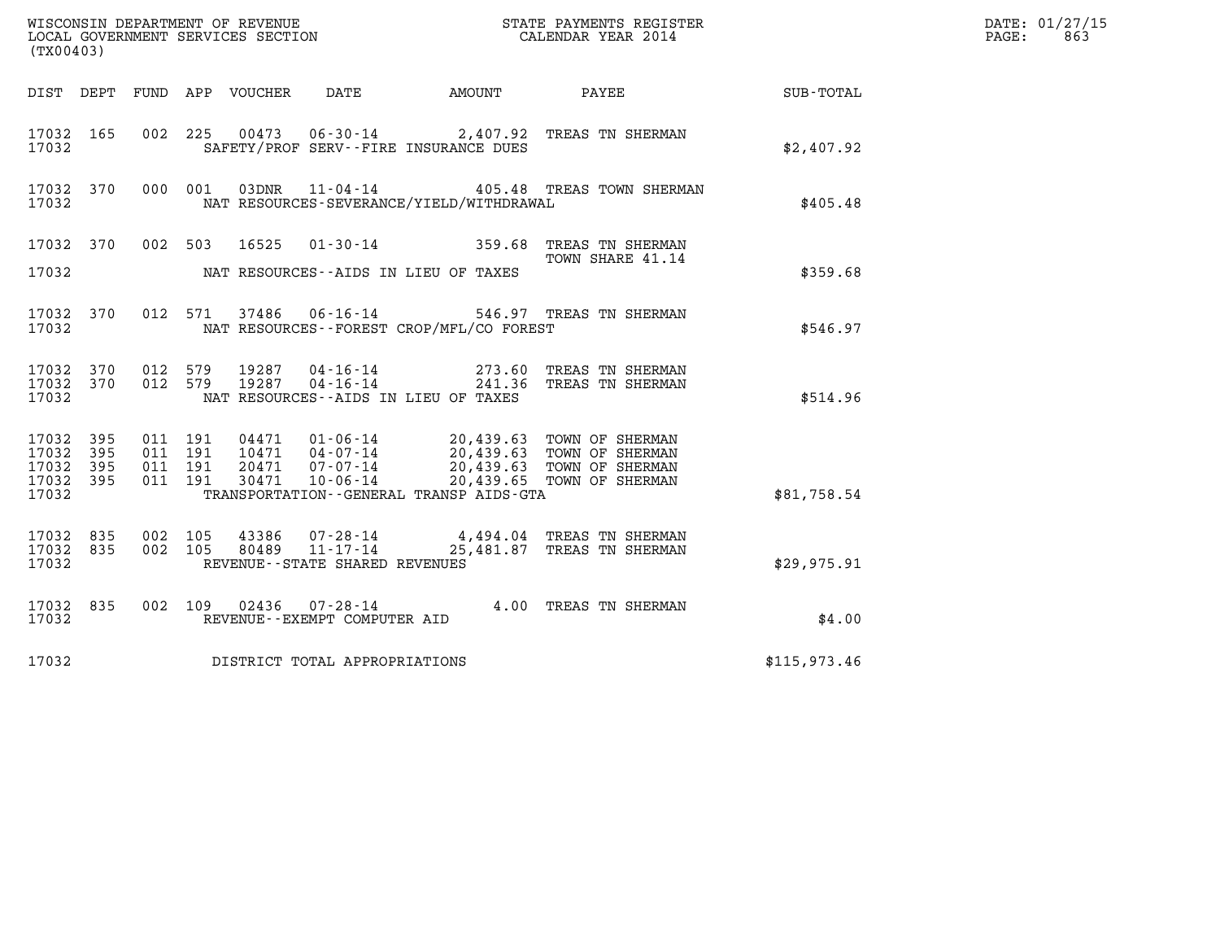| (TX00403)                                             |     |                    |                    |                |                                               |                                                               | DATE: 01/27/15<br>PAGE:<br>863                                       |                    |  |
|-------------------------------------------------------|-----|--------------------|--------------------|----------------|-----------------------------------------------|---------------------------------------------------------------|----------------------------------------------------------------------|--------------------|--|
|                                                       |     |                    |                    |                |                                               | DIST DEPT FUND APP VOUCHER DATE AMOUNT                        | <b>PAYEE</b>                                                         | <b>SUB - TOTAL</b> |  |
| 17032 165<br>17032                                    |     |                    |                    |                |                                               | SAFETY/PROF SERV--FIRE INSURANCE DUES                         | 002 225 00473 06-30-14 2,407.92 TREAS TN SHERMAN                     | \$2,407.92         |  |
| 17032 370<br>17032                                    |     |                    | 000 001            |                |                                               | NAT RESOURCES-SEVERANCE/YIELD/WITHDRAWAL                      | 03DNR  11-04-14  405.48 TREAS TOWN SHERMAN                           | \$405.48           |  |
| 17032 370<br>17032                                    |     |                    | 002 503            | 16525          |                                               | $01 - 30 - 14$ 359.68<br>NAT RESOURCES--AIDS IN LIEU OF TAXES | TREAS TN SHERMAN<br>TOWN SHARE 41.14                                 | \$359.68           |  |
|                                                       |     |                    |                    |                |                                               |                                                               |                                                                      |                    |  |
| 17032 370<br>17032                                    |     |                    |                    |                |                                               | NAT RESOURCES - - FOREST CROP/MFL/CO FOREST                   | 012 571 37486 06-16-14 546.97 TREAS TN SHERMAN                       | \$546.97           |  |
| 17032 370<br>17032 370<br>17032                       |     | 012 579<br>012 579 |                    | 19287<br>19287 |                                               | NAT RESOURCES--AIDS IN LIEU OF TAXES                          | 04-16-14 273.60 TREAS TN SHERMAN<br>04-16-14 241.36 TREAS TN SHERMAN | \$514.96           |  |
| 17032 395<br>17032 395<br>17032<br>17032 395<br>17032 | 395 | 011 191<br>011 191 | 011 191<br>011 191 |                |                                               | TRANSPORTATION - - GENERAL TRANSP AIDS - GTA                  |                                                                      | \$81,758.54        |  |
| 17032 835<br>17032 835<br>17032                       |     | 002 105<br>002 105 |                    | 43386<br>80489 | 11-17-14<br>REVENUE - - STATE SHARED REVENUES |                                                               | 07-28-14 4,494.04 TREAS TN SHERMAN<br>25,481.87 TREAS TN SHERMAN     | \$29,975.91        |  |
| 17032 835<br>17032                                    |     |                    |                    |                | REVENUE--EXEMPT COMPUTER AID                  |                                                               | 002 109 02436 07-28-14 4.00 TREAS TN SHERMAN                         | \$4.00             |  |
| 17032                                                 |     |                    |                    |                | DISTRICT TOTAL APPROPRIATIONS                 |                                                               |                                                                      | \$115,973.46       |  |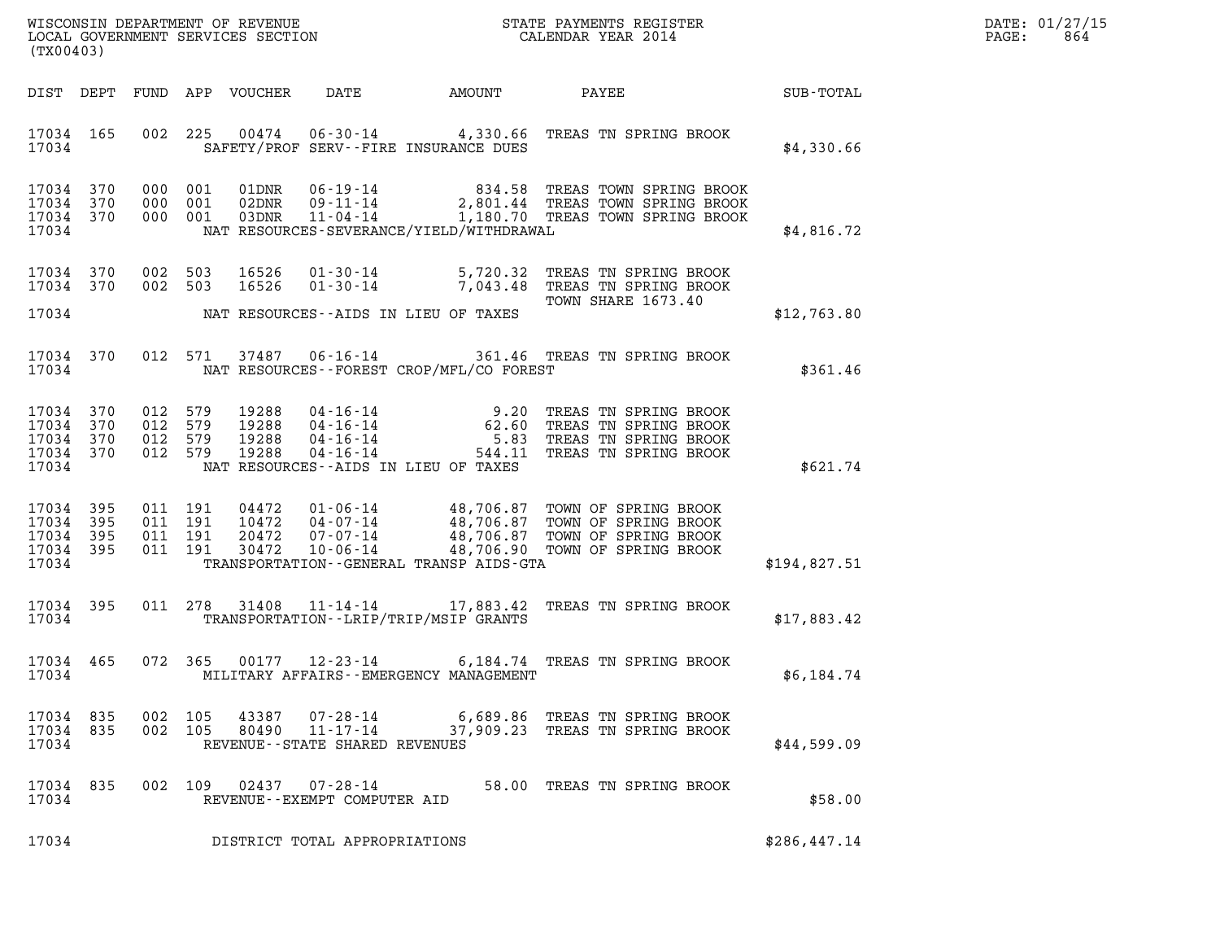| DATE: | 01/27/15 |
|-------|----------|
| PAGE: | 864      |

|                                                           | %WISCONSIN DEPARTMENT OF REVENUE $$\tt STATE$ PAYMENTS REGISTER LOCAL GOVERNMENT SERVICES SECTION $$\tt CALEINDAR$ YEAR 2014<br>(TX00403) |                                          |                    |                                  |                                |                                           |                                                                                                                                                                                                          | DATE: 01/27/15<br>PAGE:<br>864 |  |
|-----------------------------------------------------------|-------------------------------------------------------------------------------------------------------------------------------------------|------------------------------------------|--------------------|----------------------------------|--------------------------------|-------------------------------------------|----------------------------------------------------------------------------------------------------------------------------------------------------------------------------------------------------------|--------------------------------|--|
|                                                           | DIST DEPT                                                                                                                                 |                                          |                    | FUND APP VOUCHER                 | DATE                           | AMOUNT                                    | PAYEE SUB-TOTAL                                                                                                                                                                                          |                                |  |
| 17034                                                     | 17034 165                                                                                                                                 |                                          |                    |                                  |                                | SAFETY/PROF SERV--FIRE INSURANCE DUES     | 002 225 00474 06-30-14 4,330.66 TREAS TN SPRING BROOK                                                                                                                                                    | \$4,330.66                     |  |
| 17034 370<br>17034 370<br>17034 370<br>17034              |                                                                                                                                           | 000 001<br>000 001                       | 000 001            |                                  |                                | NAT RESOURCES-SEVERANCE/YIELD/WITHDRAWAL  | 01DNR  06-19-14  834.58 TREAS TOWN SPRING BROOK<br>02DNR  09-11-14  2,801.44 TREAS TOWN SPRING BROOK<br>03DNR  11-04-14   1,180.70 TREAS TOWN SPRING BROOK                                               | \$4,816.72                     |  |
| 17034 370                                                 | 17034 370                                                                                                                                 | 002 503<br>002 503                       |                    | 16526<br>16526                   |                                |                                           | 01-30-14 5,720.32 TREAS TN SPRING BROOK<br>01-30-14 7,043.48 TREAS TN SPRING BROOK<br>TOWN SHARE 1673.40                                                                                                 |                                |  |
| 17034                                                     |                                                                                                                                           |                                          |                    |                                  |                                | NAT RESOURCES--AIDS IN LIEU OF TAXES      |                                                                                                                                                                                                          | \$12,763.80                    |  |
| 17034                                                     | 17034 370                                                                                                                                 |                                          |                    |                                  |                                | NAT RESOURCES--FOREST CROP/MFL/CO FOREST  | 012 571 37487 06-16-14 361.46 TREAS TN SPRING BROOK                                                                                                                                                      | \$361.46                       |  |
| 17034 370<br>17034<br>17034 370<br>17034 370<br>17034     | 370                                                                                                                                       | 012 579<br>012 579<br>012 579<br>012 579 |                    | 19288<br>19288<br>19288<br>19288 |                                | NAT RESOURCES--AIDS IN LIEU OF TAXES      | 04-16-14 9.20 TREAS TN SPRING BROOK<br>04-16-14 62.60 TREAS TN SPRING BROOK<br>04-16-14 5.83 TREAS TN SPRING BROOK<br>04-16-14 544.11 TREAS TN SPRING BROOK                                              | \$621.74                       |  |
| 17034 395<br>17034 395<br>17034 395<br>17034 395<br>17034 |                                                                                                                                           | 011 191<br>011 191                       | 011 191<br>011 191 |                                  |                                | TRANSPORTATION--GENERAL TRANSP AIDS-GTA   | 04472  01-06-14  48,706.87 TOWN OF SPRING BROOK<br>10472  04-07-14  48,706.87 TOWN OF SPRING BROOK<br>20472  07-07-14  48,706.87 TOWN OF SPRING BROOK<br>30472  10-06-14  48,706.90 TOWN OF SPRING BROOK | \$194,827.51                   |  |
| 17034                                                     | 17034 395                                                                                                                                 |                                          |                    | 011 278 31408                    |                                | TRANSPORTATION--LRIP/TRIP/MSIP GRANTS     | 11-14-14 17,883.42 TREAS TN SPRING BROOK                                                                                                                                                                 | \$17,883.42                    |  |
| 17034 465<br>17034                                        |                                                                                                                                           | 072 365                                  |                    |                                  |                                | MILITARY AFFAIRS - - EMERGENCY MANAGEMENT | 00177  12-23-14  6,184.74  TREAS TN SPRING BROOK                                                                                                                                                         | \$6,184.74                     |  |
| 17034 835<br>17034                                        |                                                                                                                                           | 17034 835 002 105                        | 002 105            |                                  | REVENUE--STATE SHARED REVENUES |                                           | 43387  07-28-14  6,689.86 TREAS TN SPRING BROOK<br>80490  11-17-14  37,909.23 TREAS TN SPRING BROOK                                                                                                      | \$44,599.09                    |  |
| 17034 835<br>17034                                        |                                                                                                                                           |                                          |                    |                                  | REVENUE--EXEMPT COMPUTER AID   |                                           | 002 109 02437 07-28-14 58.00 TREAS TN SPRING BROOK                                                                                                                                                       | \$58.00                        |  |
| 17034                                                     |                                                                                                                                           |                                          |                    |                                  | DISTRICT TOTAL APPROPRIATIONS  |                                           |                                                                                                                                                                                                          | \$286,447.14                   |  |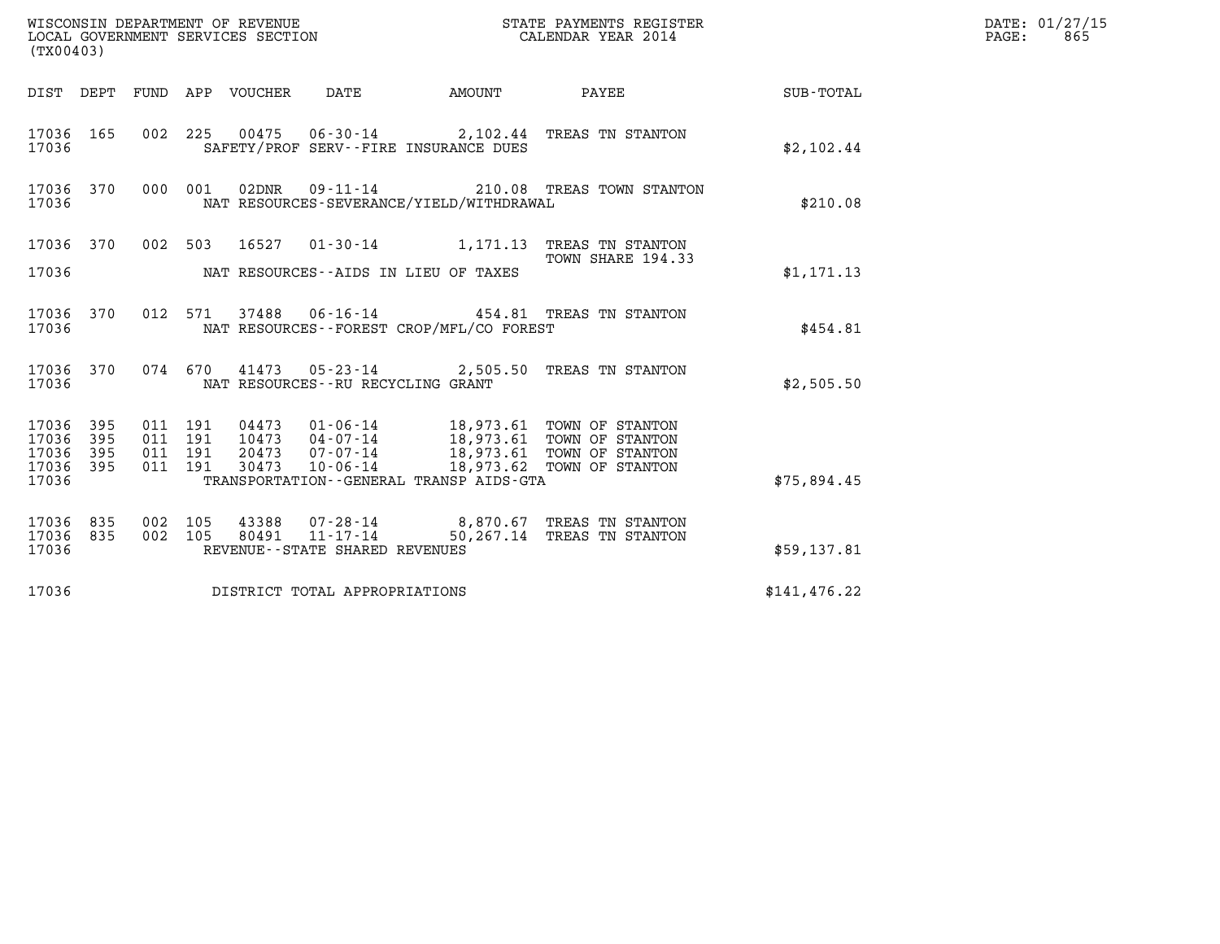|                                                           | DATE: 01/27/15<br>$\mathtt{PAGE:}$<br>865 |
|-----------------------------------------------------------|-------------------------------------------|
| DIST DEPT FUND APP VOUCHER DATE AMOUNT PAYEE TO SUB-TOTAL |                                           |
| \$2,102.44                                                |                                           |
| \$210.08                                                  |                                           |
|                                                           |                                           |
| \$1,171.13                                                |                                           |
| \$454.81                                                  |                                           |
| \$2,505.50                                                |                                           |
| \$75,894.45                                               |                                           |
| \$59,137.81                                               |                                           |
| \$141, 476.22                                             |                                           |
|                                                           |                                           |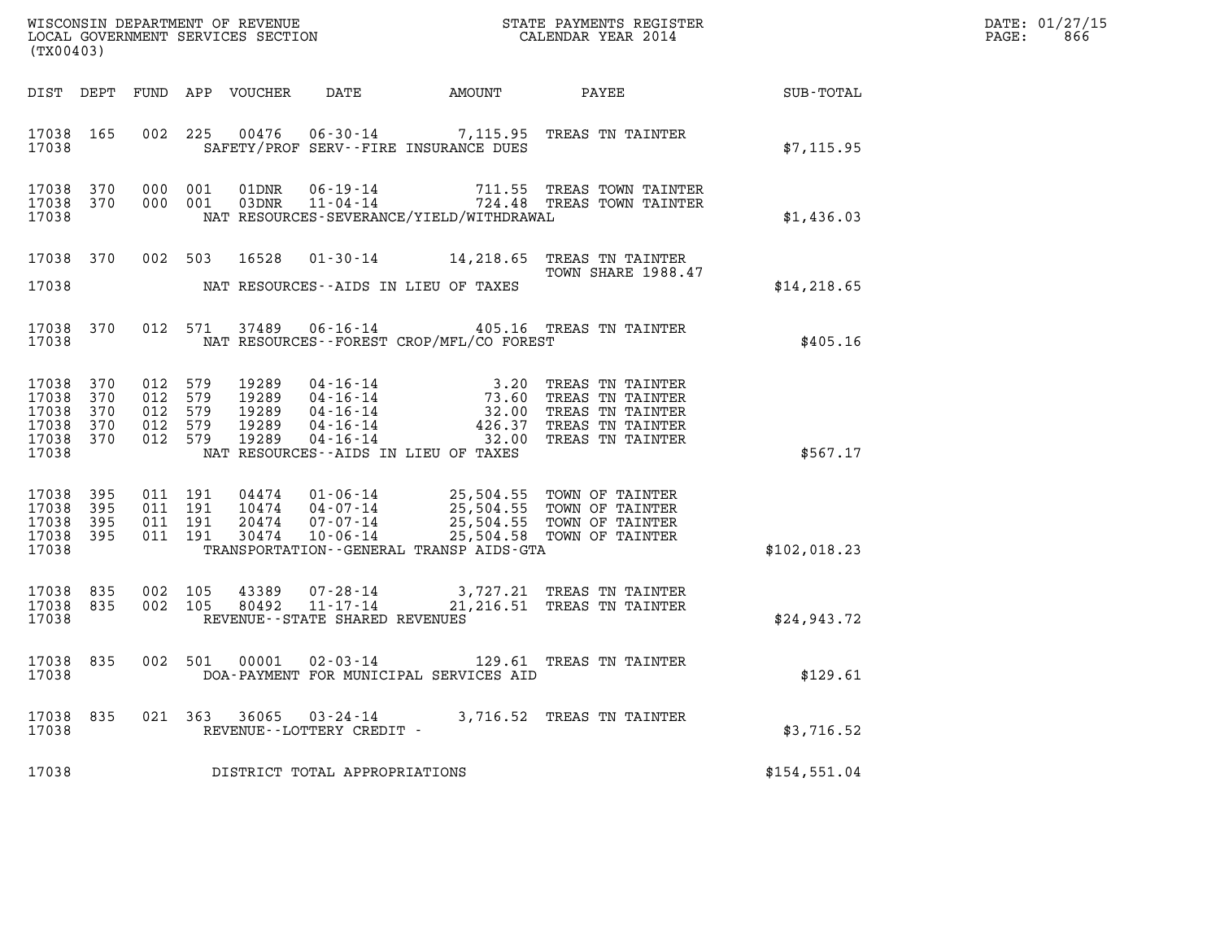| (TX00403)                                                  |                   |                                                     |                                           |                                                     |                                          |                                                                                                                                                                                                                      |              | DATE: 01/27/15<br>PAGE:<br>866 |
|------------------------------------------------------------|-------------------|-----------------------------------------------------|-------------------------------------------|-----------------------------------------------------|------------------------------------------|----------------------------------------------------------------------------------------------------------------------------------------------------------------------------------------------------------------------|--------------|--------------------------------|
|                                                            |                   |                                                     | DIST DEPT FUND APP VOUCHER                | DATE                                                |                                          |                                                                                                                                                                                                                      |              |                                |
| 17038 165<br>17038                                         |                   |                                                     |                                           |                                                     | SAFETY/PROF SERV--FIRE INSURANCE DUES    | 002 225 00476 06-30-14 7,115.95 TREAS TN TAINTER                                                                                                                                                                     | \$7,115.95   |                                |
| 17038 370<br>17038                                         | 17038 370 000 001 | 000 001                                             |                                           |                                                     | NAT RESOURCES-SEVERANCE/YIELD/WITHDRAWAL | 01DNR  06-19-14  711.55 TREAS TOWN TAINTER<br>03DNR  11-04-14  724.48 TREAS TOWN TAINTER                                                                                                                             | \$1,436.03   |                                |
| 17038 370<br>17038                                         |                   |                                                     |                                           |                                                     | NAT RESOURCES--AIDS IN LIEU OF TAXES     | 002 503 16528 01-30-14 14,218.65 TREAS TN TAINTER<br>TOWN SHARE 1988.47                                                                                                                                              | \$14, 218.65 |                                |
| 17038                                                      |                   |                                                     |                                           |                                                     | NAT RESOURCES--FOREST CROP/MFL/CO FOREST | 17038 370 012 571 37489 06-16-14 405.16 TREAS TN TAINTER                                                                                                                                                             | \$405.16     |                                |
| 17038 370<br>17038<br>17038<br>17038<br>17038 370<br>17038 | 370<br>370<br>370 | 012 579<br>012 579<br>012 579<br>012 579<br>012 579 | 19289<br>19289<br>19289<br>19289<br>19289 |                                                     | NAT RESOURCES--AIDS IN LIEU OF TAXES     | 04-16-14<br>04-16-14<br>04-16-14<br>04-16-14<br>04-16-14<br>04-16-14<br>04-16-14<br>04-16-14<br>04-16-14<br>04-16-14<br>04-16-14<br>04-16-14<br>04-16-14<br>04-16-14<br>04-16-14<br>04-16-14<br>04-16-14<br>04-16-14 | \$567.17     |                                |
| 17038 395<br>17038<br>17038<br>17038 395<br>17038          | 395<br>395        | 011 191<br>011 191<br>011 191<br>011 191            |                                           |                                                     | TRANSPORTATION--GENERAL TRANSP AIDS-GTA  | 04474  01-06-14  25,504.55  TOWN OF TAINTER<br>10474  04-07-14  25,504.55  TOWN OF TAINTER<br>20474  07-07-14  25,504.55  TOWN OF TAINTER<br>30474  10-06-14  25,504.58  TOWN OF TAINTER                             | \$102,018.23 |                                |
| 17038 835<br>17038 835<br>17038                            |                   | 002 105<br>002 105                                  | 43389<br>80492                            | REVENUE--STATE SHARED REVENUES                      |                                          | 07-28-14 3,727.21 TREAS TN TAINTER<br>11-17-14 21,216.51 TREAS TN TAINTER                                                                                                                                            | \$24,943.72  |                                |
| 17038                                                      |                   |                                                     |                                           |                                                     | DOA-PAYMENT FOR MUNICIPAL SERVICES AID   | 17038 835 002 501 00001 02-03-14 129.61 TREAS TN TAINTER                                                                                                                                                             | \$129.61     |                                |
| 17038 835<br>17038                                         |                   |                                                     |                                           | 021 363 36065 03-24-14<br>REVENUE--LOTTERY CREDIT - |                                          | 3,716.52 TREAS TN TAINTER                                                                                                                                                                                            | \$3,716.52   |                                |
| 17038                                                      |                   |                                                     |                                           | DISTRICT TOTAL APPROPRIATIONS                       |                                          |                                                                                                                                                                                                                      | \$154,551.04 |                                |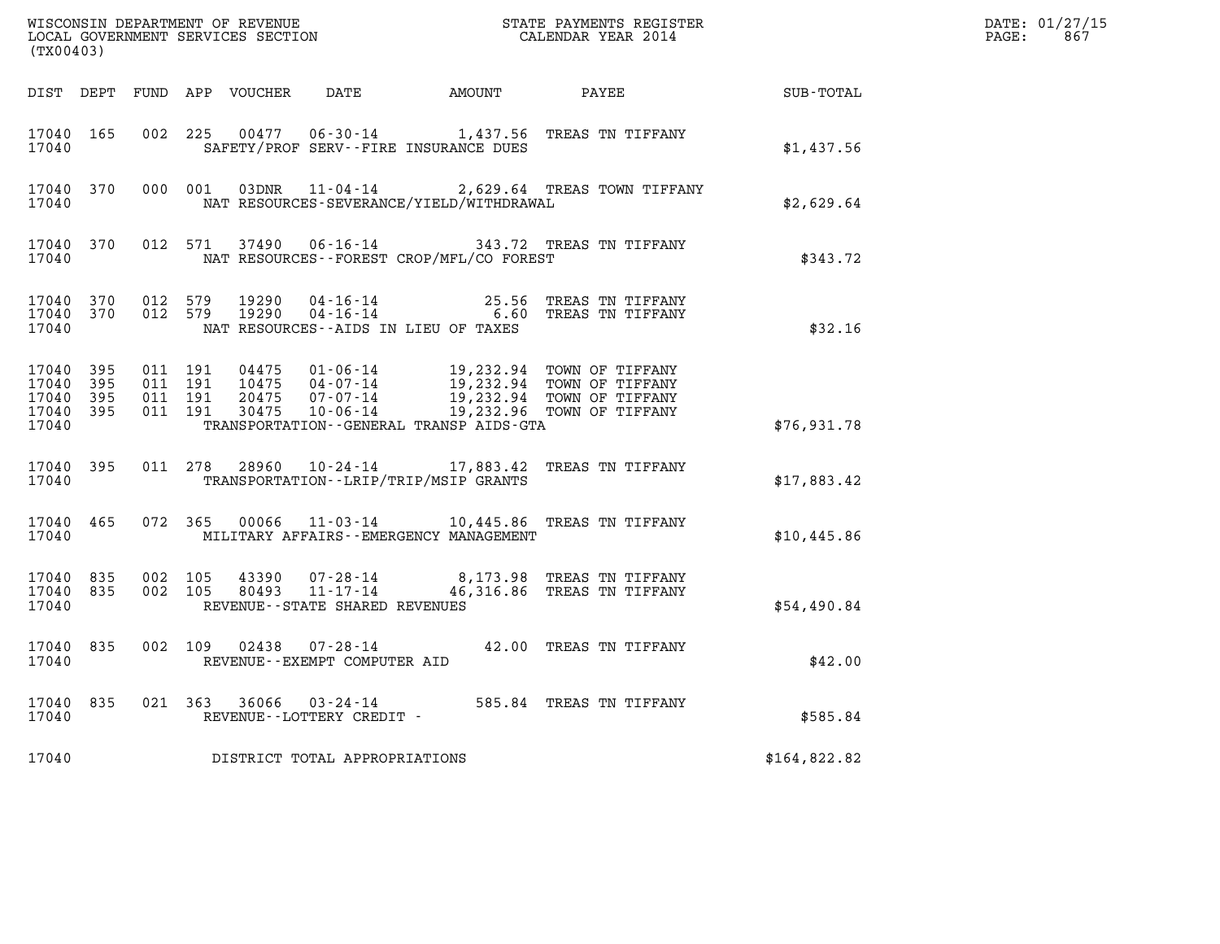| (TX00403)                            |                         |                    |                    |                                |                                              | $\tt WISCONSIM DEPARTMENT OF REVENUE$ $\tt WISCONSIMENT$ SERVICES SECTION $\tt WISCONBINENT$ SERVICES SECTION $\tt CALENDAR$ YEAR 2014                                       |                                                    | DATE: 01/27/15<br>$\mathtt{PAGE:}$<br>867 |
|--------------------------------------|-------------------------|--------------------|--------------------|--------------------------------|----------------------------------------------|------------------------------------------------------------------------------------------------------------------------------------------------------------------------------|----------------------------------------------------|-------------------------------------------|
|                                      |                         |                    |                    |                                |                                              |                                                                                                                                                                              | DIST DEPT FUND APP VOUCHER DATE AMOUNT PAYEE TOTAL |                                           |
| 17040 165<br>17040                   |                         |                    |                    |                                | SAFETY/PROF SERV--FIRE INSURANCE DUES        | 002 225 00477 06-30-14 1,437.56 TREAS TN TIFFANY                                                                                                                             | \$1,437.56                                         |                                           |
| 17040                                | 17040 370               |                    |                    |                                | NAT RESOURCES-SEVERANCE/YIELD/WITHDRAWAL     | 000 001 03DNR 11-04-14 2,629.64 TREAS TOWN TIFFANY                                                                                                                           | \$2,629.64                                         |                                           |
| 17040                                |                         |                    |                    |                                | NAT RESOURCES--FOREST CROP/MFL/CO FOREST     | 17040 370 012 571 37490 06-16-14 343.72 TREAS TN TIFFANY                                                                                                                     | \$343.72                                           |                                           |
| 17040 370<br>17040                   | 17040 370 012 579       |                    | 012 579            |                                | NAT RESOURCES--AIDS IN LIEU OF TAXES         | 19290  04-16-14  25.56 TREAS TN TIFFANY<br>19290  04-16-14  6.60 TREAS TN TIFFANY                                                                                            | \$32.16                                            |                                           |
| 17040 395<br>17040<br>17040<br>17040 | 395<br>395<br>17040 395 | 011 191<br>011 191 | 011 191<br>011 191 |                                | TRANSPORTATION - - GENERAL TRANSP AIDS - GTA | 04475 01-06-14 19,232.94 TOWN OF TIFFANY<br>10475 04-07-14 19,232.94 TOWN OF TIFFANY<br>20475 07-07-14 19,232.94 TOWN OF TIFFANY<br>30475 10-06-14 19,232.96 TOWN OF TIFFANY | \$76,931.78                                        |                                           |
| 17040                                | 17040 395               |                    |                    |                                | TRANSPORTATION--LRIP/TRIP/MSIP GRANTS        | 011 278 28960 10-24-14 17,883.42 TREAS TN TIFFANY                                                                                                                            | \$17,883.42                                        |                                           |
| 17040                                | 17040 465               |                    |                    |                                | MILITARY AFFAIRS - - EMERGENCY MANAGEMENT    | 072 365 00066 11-03-14 10,445.86 TREAS TN TIFFANY                                                                                                                            | \$10,445.86                                        |                                           |
| 17040 835<br>17040                   | 17040 835               | 002 105<br>002 105 |                    | REVENUE--STATE SHARED REVENUES |                                              | 43390  07-28-14  8,173.98  TREAS TN TIFFANY<br>80493  11-17-14  46,316.86  TREAS TN TIFFANY                                                                                  | \$54,490.84                                        |                                           |
| 17040                                | 17040 835               |                    |                    | REVENUE--EXEMPT COMPUTER AID   |                                              | 002 109 02438 07-28-14 42.00 TREAS TN TIFFANY                                                                                                                                | \$42.00                                            |                                           |
| 17040                                | 17040 835               |                    |                    | REVENUE--LOTTERY CREDIT -      |                                              | 021  363  36066  03-24-14  585.84  TREAS TN TIFFANY                                                                                                                          | \$585.84                                           |                                           |
| 17040                                |                         |                    |                    | DISTRICT TOTAL APPROPRIATIONS  |                                              |                                                                                                                                                                              | \$164,822.82                                       |                                           |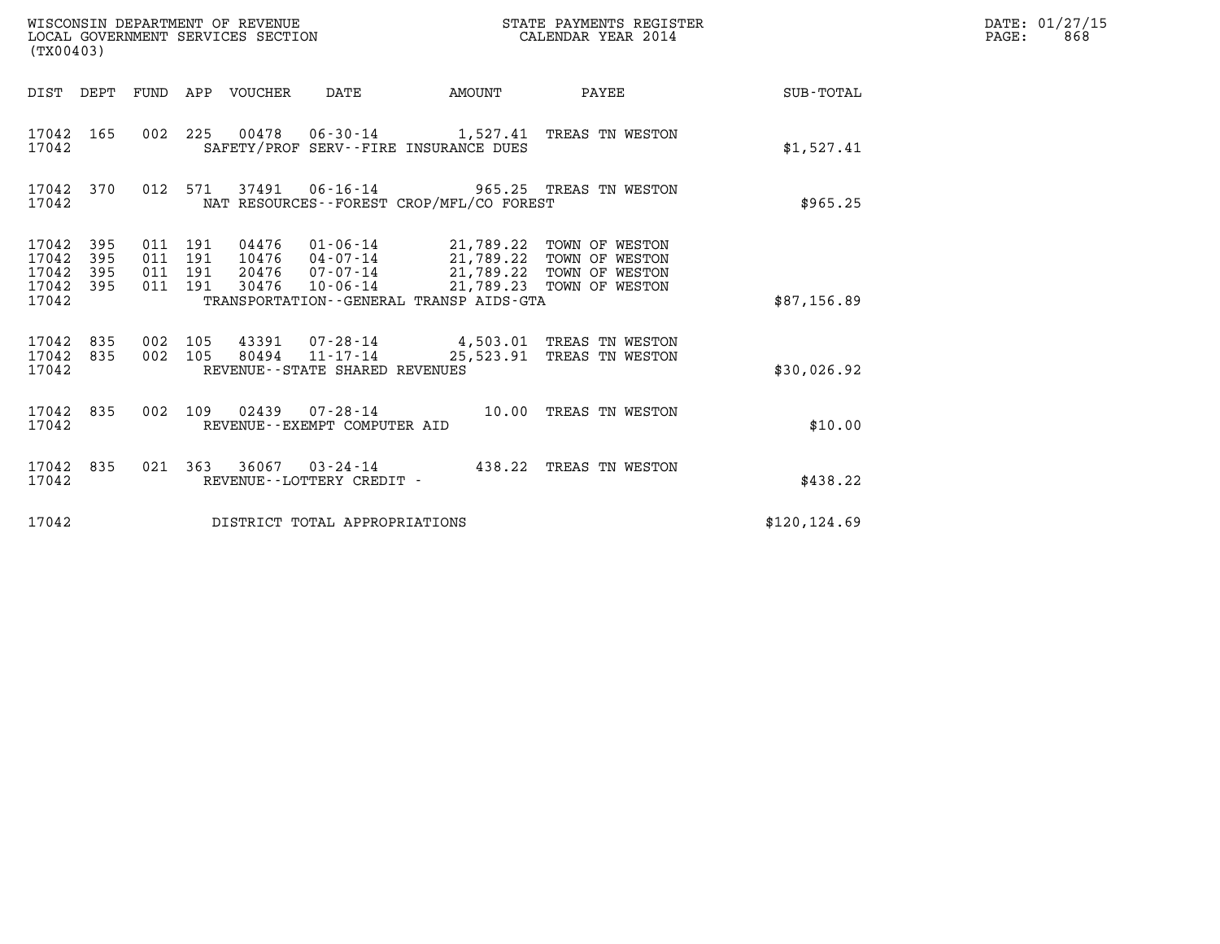| (TX00403)                                     |                   |                                  |            | WISCONSIN DEPARTMENT OF REVENUE<br>LOCAL GOVERNMENT SERVICES SECTION |                                   | STATE PAYMENTS REGISTER<br>CALENDAR YEAR 2014                                                                                                                                                             |                                                                                        |                 | DATE: 01/27/15<br>$\mathtt{PAGE}$ :<br>868 |
|-----------------------------------------------|-------------------|----------------------------------|------------|----------------------------------------------------------------------|-----------------------------------|-----------------------------------------------------------------------------------------------------------------------------------------------------------------------------------------------------------|----------------------------------------------------------------------------------------|-----------------|--------------------------------------------|
|                                               |                   |                                  |            | DIST DEPT FUND APP VOUCHER DATE                                      |                                   | AMOUNT                                                                                                                                                                                                    |                                                                                        | PAYEE SUB-TOTAL |                                            |
| 17042 165<br>17042                            |                   |                                  |            |                                                                      |                                   | SAFETY/PROF SERV--FIRE INSURANCE DUES                                                                                                                                                                     | 002 225 00478 06-30-14 1,527.41 TREAS TN WESTON                                        | \$1,527.41      |                                            |
| 17042 370<br>17042                            |                   | 012 571                          |            |                                                                      |                                   | NAT RESOURCES - - FOREST CROP/MFL/CO FOREST                                                                                                                                                               | 37491  06-16-14  965.25  TREAS TN WESTON                                               | \$965.25        |                                            |
| 17042 395<br>17042<br>17042<br>17042<br>17042 | 395<br>395<br>395 | 011 191<br>011<br>011<br>011 191 | 191<br>191 | 10476<br>20476<br>30476                                              |                                   | 04476  01-06-14  21,789.22  TOWN OF WESTON<br>04-07-14 21,789.22 TOWN OF WESTON<br>07-07-14 21,789.22 TOWN OF WESTON<br>10-06-14 21,789.23 TOWN OF WESTON<br>TRANSPORTATION - - GENERAL TRANSP AIDS - GTA |                                                                                        | \$87,156.89     |                                            |
| 17042 835<br>17042 835<br>17042               |                   | 002 105<br>002 105               |            |                                                                      | REVENUE - - STATE SHARED REVENUES |                                                                                                                                                                                                           | 43391  07-28-14  4,503.01  TREAS TN WESTON<br>80494 11-17-14 25,523.91 TREAS TN WESTON | \$30,026.92     |                                            |
| 17042 835<br>17042                            |                   |                                  |            |                                                                      | REVENUE--EXEMPT COMPUTER AID      |                                                                                                                                                                                                           | 002 109 02439 07-28-14 10.00 TREAS TN WESTON                                           | \$10.00         |                                            |
| 17042 835<br>17042                            |                   |                                  |            |                                                                      | REVENUE--LOTTERY CREDIT -         |                                                                                                                                                                                                           | 021 363 36067 03-24-14 438.22 TREAS TN WESTON                                          | \$438.22        |                                            |
| 17042                                         |                   |                                  |            |                                                                      | DISTRICT TOTAL APPROPRIATIONS     |                                                                                                                                                                                                           |                                                                                        | \$120, 124.69   |                                            |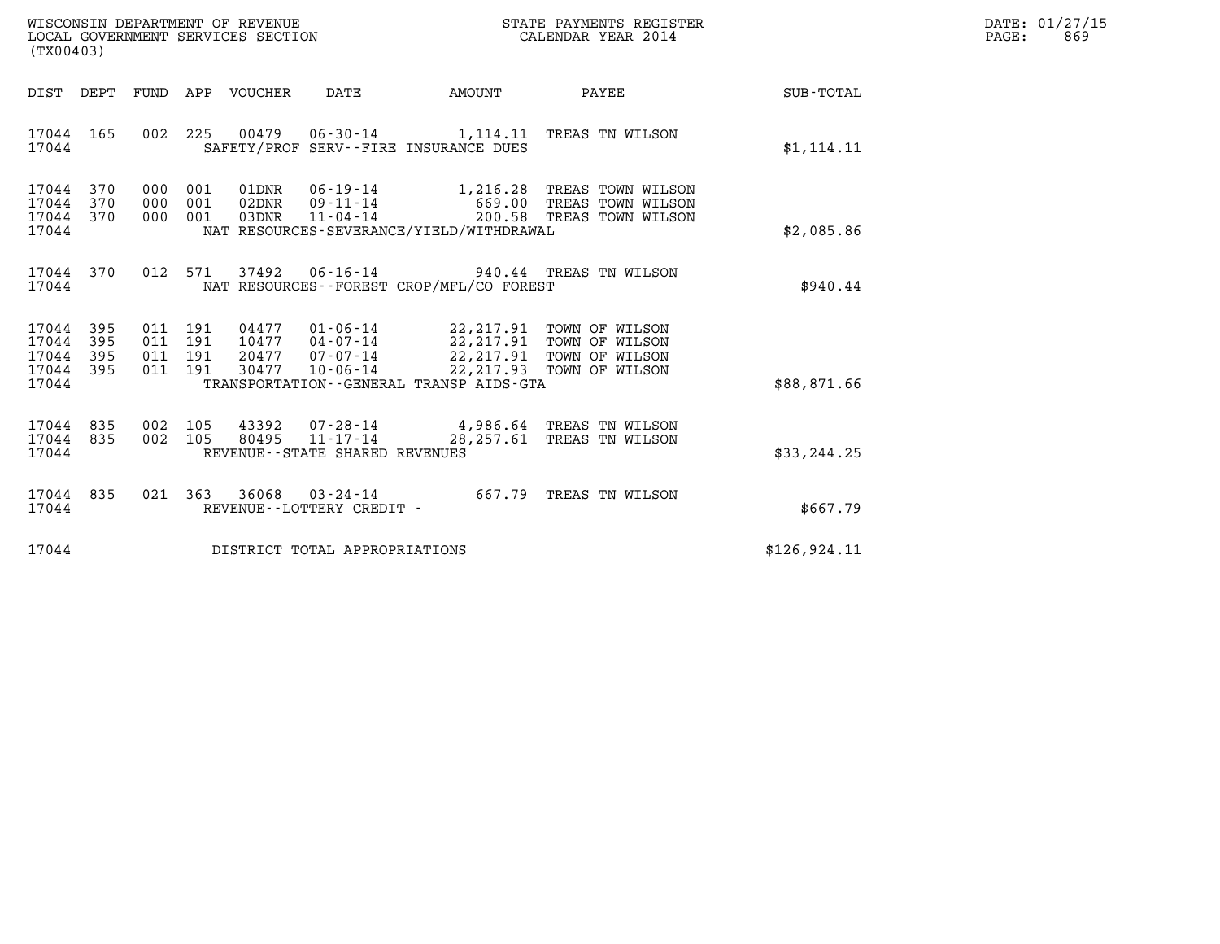| WISCONSIN DEPARTMENT OF REVENUE   | STATE PAYMENTS REGISTER | DATE: 01/27/15 |
|-----------------------------------|-------------------------|----------------|
| LOCAL GOVERNMENT SERVICES SECTION | CALENDAR YEAR 2014      | 869<br>PAGE:   |

| (TX00403)                                                             |                                                                                                                                                                                                                                                                                         |               |
|-----------------------------------------------------------------------|-----------------------------------------------------------------------------------------------------------------------------------------------------------------------------------------------------------------------------------------------------------------------------------------|---------------|
| DIST<br>DEPT<br>FUND                                                  | VOUCHER<br><b>DATE</b><br>PAYEE<br>APP<br>AMOUNT                                                                                                                                                                                                                                        | SUB-TOTAL     |
| 165<br>17044<br>17044                                                 | 002<br>225<br>00479<br>$06 - 30 - 14$<br>1,114.11 TREAS TN WILSON<br>SAFETY/PROF SERV--FIRE INSURANCE DUES                                                                                                                                                                              | \$1, 114.11   |
| 17044<br>370<br>370<br>17044<br>370<br>17044<br>17044                 | 000<br>001<br>01DNR<br>$06 - 19 - 14$<br>1,216.28<br>TREAS TOWN WILSON<br>000<br>001<br>$09 - 11 - 14$<br>02DNR<br>669.00<br>TREAS TOWN WILSON<br>$11 - 04 - 14$<br>200.58<br>001<br>TREAS TOWN WILSON<br>000<br>03DNR<br>NAT RESOURCES-SEVERANCE/YIELD/WITHDRAWAL                      | \$2,085.86    |
| 370<br>17044<br>17044                                                 | 012<br>571<br>$06 - 16 - 14$<br>37492<br>940.44 TREAS TN WILSON<br>NAT RESOURCES - - FOREST CROP/MFL/CO FOREST                                                                                                                                                                          | \$940.44      |
| 17044<br>395<br>17044<br>395<br>17044<br>395<br>17044<br>395<br>17044 | 011<br>191<br>04477 01-06-14<br>22,217.91<br>TOWN OF WILSON<br>011<br>191<br>22,217.91 TOWN OF WILSON<br>20477 07-07-14<br>011<br>191<br>22,217.91<br>TOWN OF WILSON<br>22,217.93<br>011<br>191<br>30477<br>$10 - 06 - 14$<br>TOWN OF WILSON<br>TRANSPORTATION--GENERAL TRANSP AIDS-GTA | \$88,871.66   |
| 835<br>17044<br>17044<br>835<br>17044                                 | 002<br>105<br>43392 07-28-14 4,986.64 TREAS TN WILSON<br>002<br>$11 - 17 - 14$<br>105<br>80495<br>28,257.61<br>TREAS TN WILSON<br>REVENUE - - STATE SHARED REVENUES                                                                                                                     | \$33,244.25   |
| 835<br>17044<br>17044                                                 | 021<br>363<br>36068<br>667.79<br>$03 - 24 - 14$<br>TREAS TN WILSON<br>REVENUE - - LOTTERY CREDIT -                                                                                                                                                                                      | \$667.79      |
| 17044                                                                 | DISTRICT TOTAL APPROPRIATIONS                                                                                                                                                                                                                                                           | \$126, 924.11 |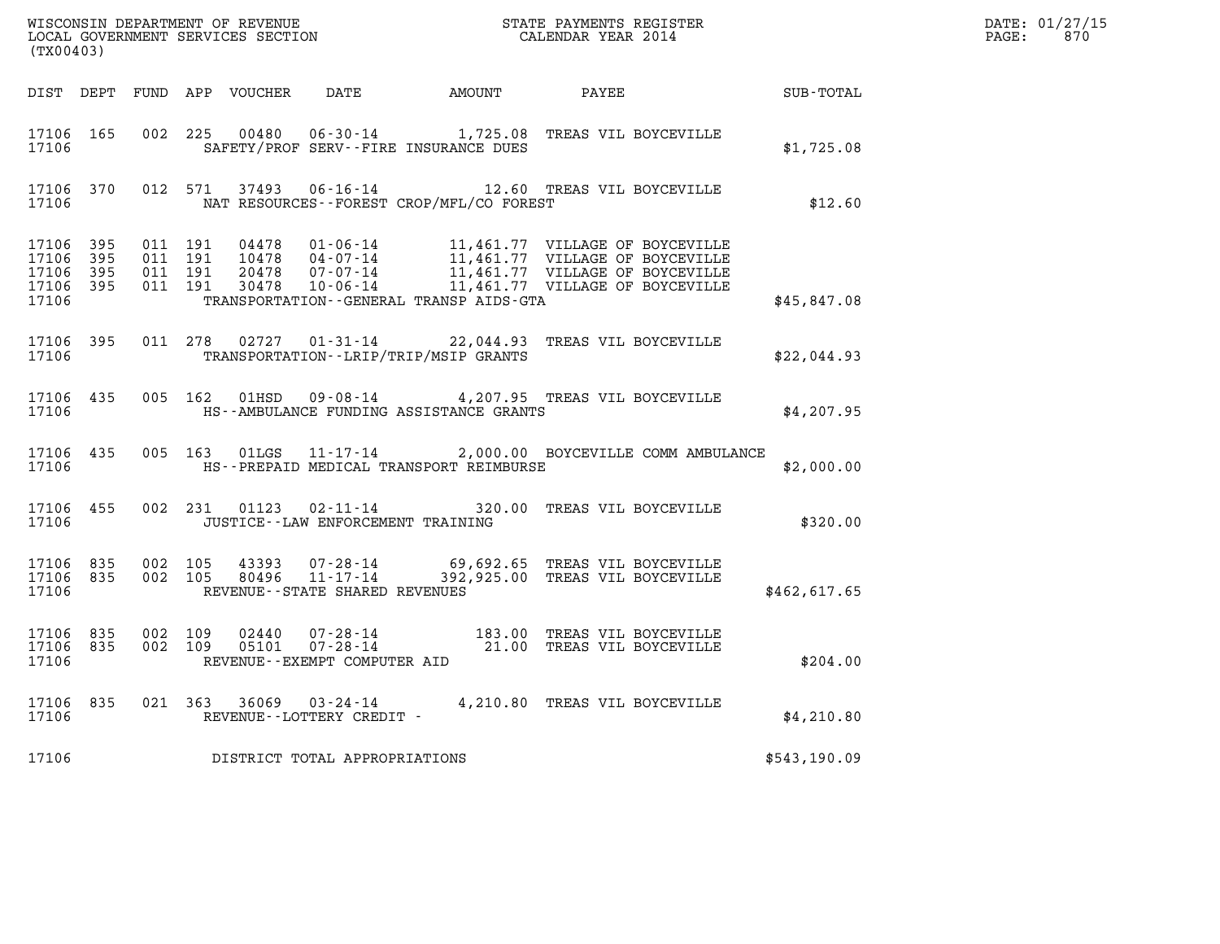| ${\tt WISCONSIM\ DEPARTMENT\ OF\ REVENUE}\ {\tt NICCALENDAR\ NEGISTER}\label{thm:2014}$ LOCAL GOVERNMENT SERVICES SECTION ${\tt CALEINDAR\ YEAR\ 2014}$<br>(TX00403) |                        |                   |         |                         |                                      |                                             |                                                                                                       | $\mathcal{L}(\mathcal{L}^{\mathcal{L}}_{\mathcal{L}})$ and $\mathcal{L}^{\mathcal{L}}_{\mathcal{L}}$ and $\mathcal{L}^{\mathcal{L}}_{\mathcal{L}}$ and $\mathcal{L}^{\mathcal{L}}_{\mathcal{L}}$ | DATE: 01/27/15<br>$\mathtt{PAGE:}$<br>870 |
|----------------------------------------------------------------------------------------------------------------------------------------------------------------------|------------------------|-------------------|---------|-------------------------|--------------------------------------|---------------------------------------------|-------------------------------------------------------------------------------------------------------|--------------------------------------------------------------------------------------------------------------------------------------------------------------------------------------------------|-------------------------------------------|
|                                                                                                                                                                      |                        |                   |         |                         |                                      |                                             | DIST DEPT FUND APP VOUCHER DATE AMOUNT PAYEE PATE SUB-TOTAL                                           |                                                                                                                                                                                                  |                                           |
| 17106                                                                                                                                                                | 17106 165              |                   |         |                         |                                      | SAFETY/PROF SERV--FIRE INSURANCE DUES       | 002 225 00480 06-30-14 1,725.08 TREAS VIL BOYCEVILLE                                                  | \$1,725.08                                                                                                                                                                                       |                                           |
| 17106                                                                                                                                                                |                        |                   |         | 17106 370 012 571 37493 |                                      | NAT RESOURCES - - FOREST CROP/MFL/CO FOREST | 06-16-14 12.60 TREAS VIL BOYCEVILLE                                                                   | \$12.60                                                                                                                                                                                          |                                           |
| 17106 395<br>17106<br>17106 395<br>17106                                                                                                                             | 395<br>17106 395       |                   |         |                         |                                      | TRANSPORTATION--GENERAL TRANSP AIDS-GTA     |                                                                                                       | \$45,847.08                                                                                                                                                                                      |                                           |
| 17106                                                                                                                                                                |                        |                   |         |                         |                                      | TRANSPORTATION - - LRIP/TRIP/MSIP GRANTS    | 17106 395 011 278 02727 01-31-14 22,044.93 TREAS VIL BOYCEVILLE                                       | \$22,044.93                                                                                                                                                                                      |                                           |
| 17106                                                                                                                                                                | 17106 435              |                   |         |                         |                                      | HS--AMBULANCE FUNDING ASSISTANCE GRANTS     | 005 162 01HSD 09-08-14 4, 207.95 TREAS VIL BOYCEVILLE                                                 | \$4,207.95                                                                                                                                                                                       |                                           |
| 17106                                                                                                                                                                | 17106 435              |                   |         |                         |                                      | HS--PREPAID MEDICAL TRANSPORT REIMBURSE     | 005 163 01LGS 11-17-14 2,000.00 BOYCEVILLE COMM AMBULANCE                                             | \$2,000.00                                                                                                                                                                                       |                                           |
| 17106                                                                                                                                                                | 17106 455              |                   |         |                         | JUSTICE - - LAW ENFORCEMENT TRAINING |                                             | 002 231 01123 02-11-14 320.00 TREAS VIL BOYCEVILLE                                                    | \$320.00                                                                                                                                                                                         |                                           |
| 17106                                                                                                                                                                | 17106 835              | 17106 835 002 105 | 002 105 |                         | REVENUE--STATE SHARED REVENUES       |                                             | 43393  07-28-14  69,692.65  TREAS VIL BOYCEVILLE<br>80496  11-17-14  392,925.00  TREAS VIL BOYCEVILLE | \$462,617.65                                                                                                                                                                                     |                                           |
| 17106                                                                                                                                                                | 17106 835<br>17106 835 | 002 109           | 002 109 |                         | REVENUE--EXEMPT COMPUTER AID         |                                             | 02440  07-28-14   183.00 TREAS VIL BOYCEVILLE<br>05101  07-28-14   21.00 TREAS VIL BOYCEVILLE         | \$204.00                                                                                                                                                                                         |                                           |
| 17106                                                                                                                                                                |                        |                   |         |                         | REVENUE--LOTTERY CREDIT -            |                                             | 17106 835 021 363 36069 03-24-14 4,210.80 TREAS VIL BOYCEVILLE                                        | \$4,210.80                                                                                                                                                                                       |                                           |
| 17106                                                                                                                                                                |                        |                   |         |                         | DISTRICT TOTAL APPROPRIATIONS        |                                             |                                                                                                       | \$543,190.09                                                                                                                                                                                     |                                           |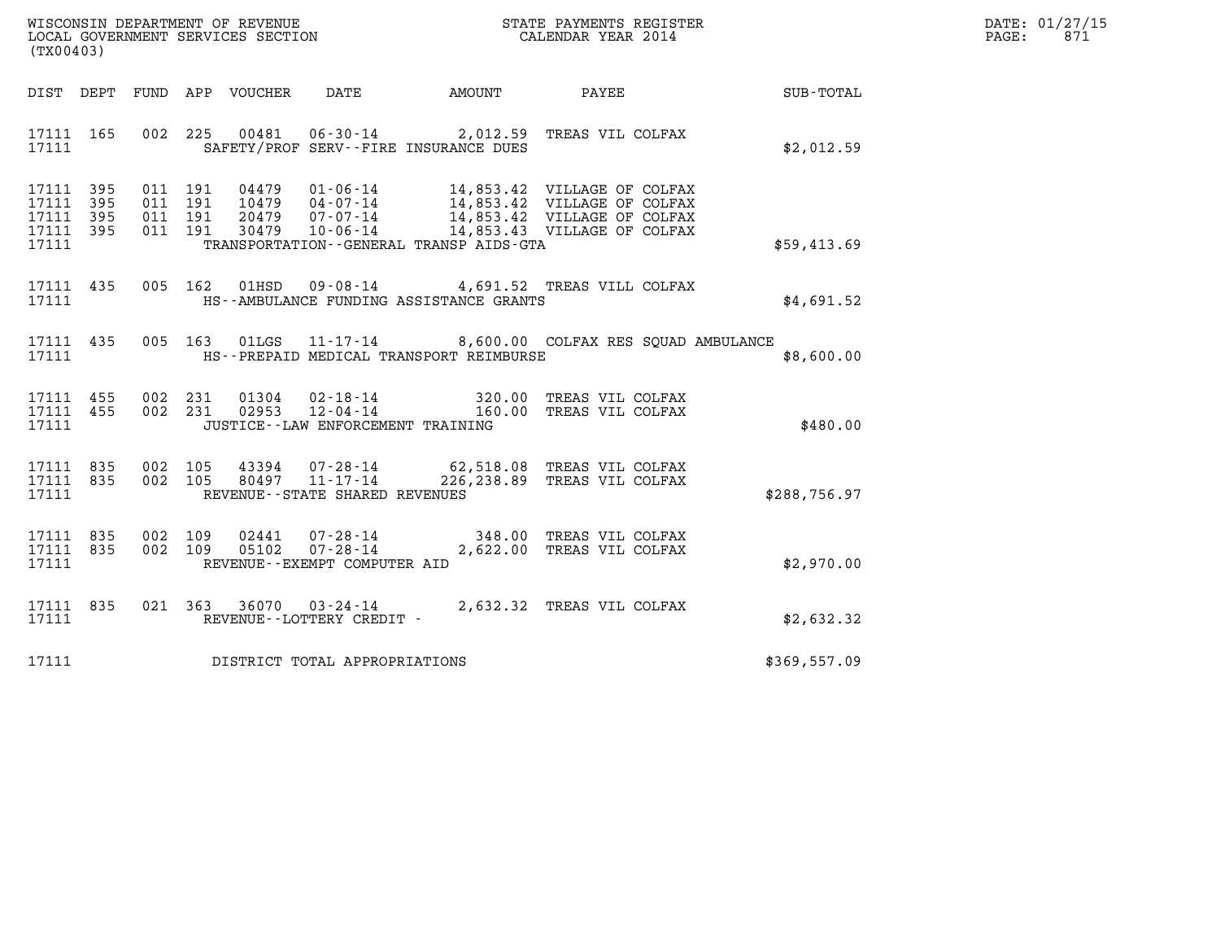| WISCONSIN DEPARTMENT OF REVENUE   | STATE PAYMENTS REGISTER | DATE: 01/27/15 |
|-----------------------------------|-------------------------|----------------|
| LOCAL GOVERNMENT SERVICES SECTION | CALENDAR YEAR 2014      | 871<br>PAGE:   |

| (TX00403) |       |  |                                       |                                                  | WISCONSIN DEPARTMENT OF REVENUE<br>LOCAL GOVERNMENT SERVICES SECTION<br>(TWAR 1991) CALENDAR YEAR 2014                                                                                                                                                                                                                                       | $\mathbf{F} \mathbf{E} \mathbf{R}$                           | DATE: 01/27/15<br>PAGE: 871 |
|-----------|-------|--|---------------------------------------|--------------------------------------------------|----------------------------------------------------------------------------------------------------------------------------------------------------------------------------------------------------------------------------------------------------------------------------------------------------------------------------------------------|--------------------------------------------------------------|-----------------------------|
|           |       |  |                                       |                                                  |                                                                                                                                                                                                                                                                                                                                              | DIST DEPT FUND APP VOUCHER DATE AMOUNT PAYEE PAYER SUB-TOTAL |                             |
|           |       |  |                                       |                                                  | 17111 165 002 225 00481 06-30-14 2,012.59 TREAS VIL COLFAX<br>17111 SAFETY/PROF SERV--FIRE INSURANCE DUES                                                                                                                                                                                                                                    | \$2,012.59                                                   |                             |
|           |       |  |                                       | 17111 TRANSPORTATION - GENERAL TRANSP AIDS - GTA | $\begin{array}{cccccccc} 17111 & 395 & 011 & 191 & 04479 & 01\texttt{-}06\texttt{-}14 & & 14\texttt{,}853.42 & \text{VILLAGE OF COLFAX} \\ 17111 & 395 & 011 & 191 & 10479 & 04\texttt{-}07\texttt{-}14 & & 14\texttt{,}853.42 & \text{VILLAGE OF COLFAX} \\ 17111 & 395 & 011 & 191 & 20479 & 07\texttt{-}07\texttt{-}14 & & 14\texttt{,}8$ | \$59,413.69                                                  |                             |
|           |       |  |                                       | 17111 HS--AMBULANCE FUNDING ASSISTANCE GRANTS    | 17111 435 005 162 01HSD 09-08-14 4,691.52 TREAS VILL COLFAX                                                                                                                                                                                                                                                                                  | \$4,691.52                                                   |                             |
|           |       |  |                                       | 17111 HS--PREPAID MEDICAL TRANSPORT REIMBURSE    | 17111 435 005 163 01LGS 11-17-14 8,600.00 COLFAX RES SQUAD AMBULANCE                                                                                                                                                                                                                                                                         | \$8,600.00                                                   |                             |
|           |       |  |                                       | 17111 JUSTICE -- LAW ENFORCEMENT TRAINING        | $\begin{array}{cccccc} 17111 & 455 & 002 & 231 & 01304 & 02 \cdot 18 \cdot 14 & & & 320.00 & \text{TREAS VIL COLFAX} \\ 17111 & 455 & 002 & 231 & 02953 & 12 \cdot 04 \cdot 14 & & & 160.00 & \text{TREAS VIL COLFAX} \end{array}$                                                                                                           | \$480.00                                                     |                             |
|           | 17111 |  | REVENUE--STATE SHARED REVENUES        |                                                  | 17111 835 002 105 43394 07-28-14 62,518.08 TREAS VIL COLFAX 17111 835 002 105 80497 11-17-14 226,238.89 TREAS VIL COLFAX                                                                                                                                                                                                                     | \$288,756.97                                                 |                             |
|           |       |  | 17111 REVENUE - - EXEMPT COMPUTER AID |                                                  | $\begin{array}{cccc} 17111 & 835 & 002 & 109 & 02441 & 07\,\text{-}\,28\,\text{-}\,14 & & & & 348\,\text{-}\,00 & \text{TREAS VIL COLFAX} \\ 17111 & 835 & 002 & 109 & 05102 & 07\,\text{-}\,28\,\text{-}\,14 & & & 2\,\text{,}622\,\text{-}\,00 & \text{TREAS VIL COLFAX} \end{array}$                                                      | \$2,970.00                                                   |                             |
|           |       |  | 17111 REVENUE - - LOTTERY CREDIT -    |                                                  | 17111 835 021 363 36070 03-24-14 2,632.32 TREAS VIL COLFAX                                                                                                                                                                                                                                                                                   | \$2,632.32                                                   |                             |
|           |       |  | 17111 DISTRICT TOTAL APPROPRIATIONS   |                                                  |                                                                                                                                                                                                                                                                                                                                              | \$369,557.09                                                 |                             |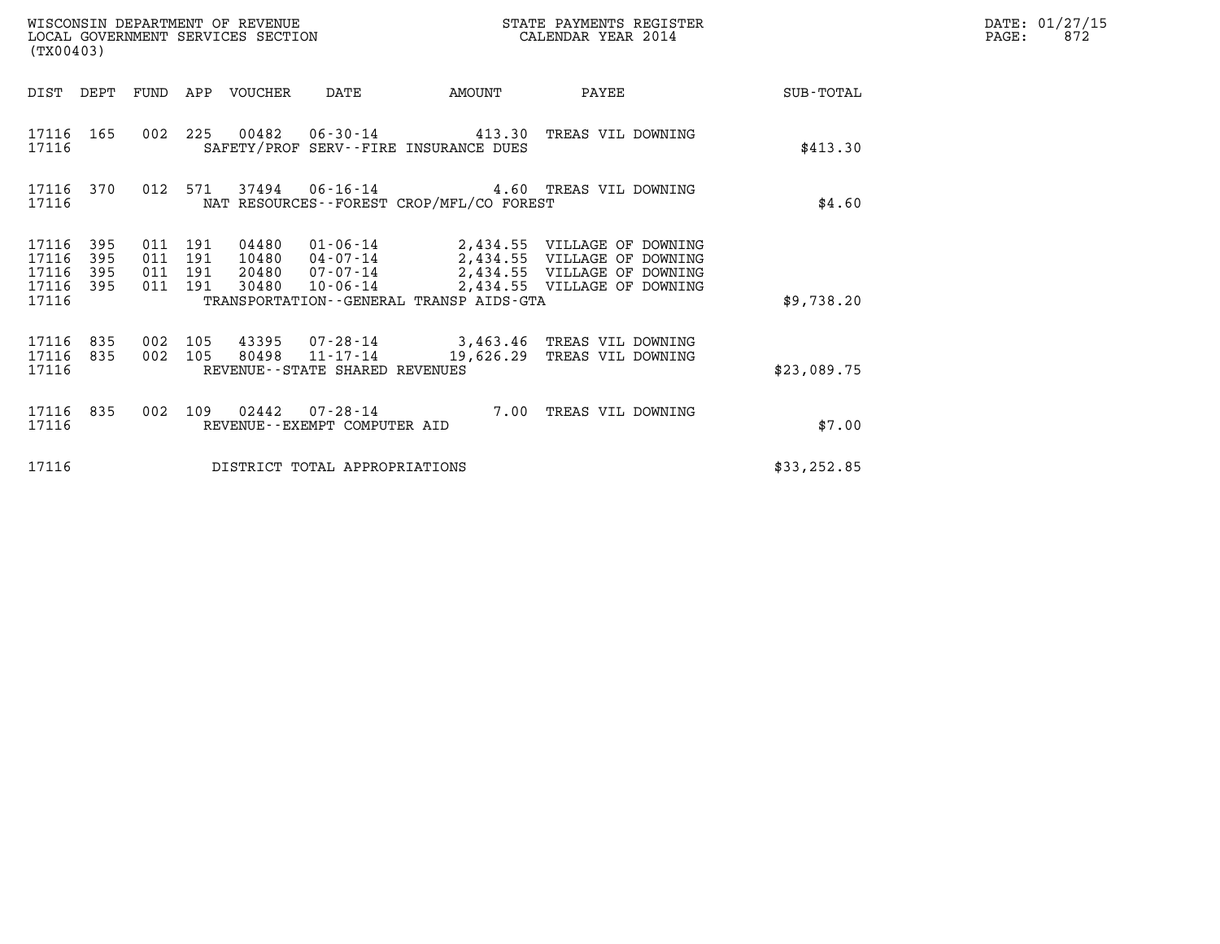| (TX00403)                                     |                   |                                      |         | WISCONSIN DEPARTMENT OF REVENUE<br>LOCAL GOVERNMENT SERVICES SECTION |                                   |                                                                                                                                           | STATE PAYMENTS REGISTER<br>CALENDAR YEAR 2014              | DATE: 01/27/15<br>PAGE:<br>872 |  |
|-----------------------------------------------|-------------------|--------------------------------------|---------|----------------------------------------------------------------------|-----------------------------------|-------------------------------------------------------------------------------------------------------------------------------------------|------------------------------------------------------------|--------------------------------|--|
|                                               |                   |                                      |         | DIST DEPT FUND APP VOUCHER                                           | DATE                              | AMOUNT                                                                                                                                    | PAYEE                                                      | SUB-TOTAL                      |  |
| 17116                                         | 17116 165         |                                      |         |                                                                      |                                   | 002  225  00482  06-30-14  413.30  TREAS VIL DOWNING<br>SAFETY/PROF SERV--FIRE INSURANCE DUES                                             |                                                            | \$413.30                       |  |
| 17116                                         | 17116 370         |                                      | 012 571 |                                                                      | 37494 06-16-14                    | NAT RESOURCES - - FOREST CROP/MFL/CO FOREST                                                                                               | 4.60 TREAS VIL DOWNING                                     | \$4.60                         |  |
| 17116 395<br>17116<br>17116<br>17116<br>17116 | 395<br>395<br>395 | 011 191<br>011<br>011 191<br>011 191 | 191     |                                                                      | 20480  07-07-14<br>30480 10-06-14 | 04480  01-06-14  2,434.55  VILLAGE OF DOWNING<br>10480  04-07-14  2,434.55  VILLAGE OF DOWNING<br>TRANSPORTATION--GENERAL TRANSP AIDS-GTA | 2,434.55 VILLAGE OF DOWNING<br>2,434.55 VILLAGE OF DOWNING | \$9,738.20                     |  |
| 17116 835<br>17116<br>17116                   | 835               | 002 105<br>002 105                   |         |                                                                      | REVENUE - - STATE SHARED REVENUES | 43395 07-28-14 3,463.46 TREAS VIL DOWNING<br>80498 11-17-14 19,626.29 TREAS VIL DOWNING                                                   |                                                            | \$23,089.75                    |  |
| 17116 835<br>17116                            |                   | 002                                  | 109     |                                                                      | REVENUE--EXEMPT COMPUTER AID      |                                                                                                                                           | 7.00 TREAS VIL DOWNING                                     | \$7.00                         |  |
| 17116                                         |                   |                                      |         |                                                                      | DISTRICT TOTAL APPROPRIATIONS     |                                                                                                                                           |                                                            | \$33, 252.85                   |  |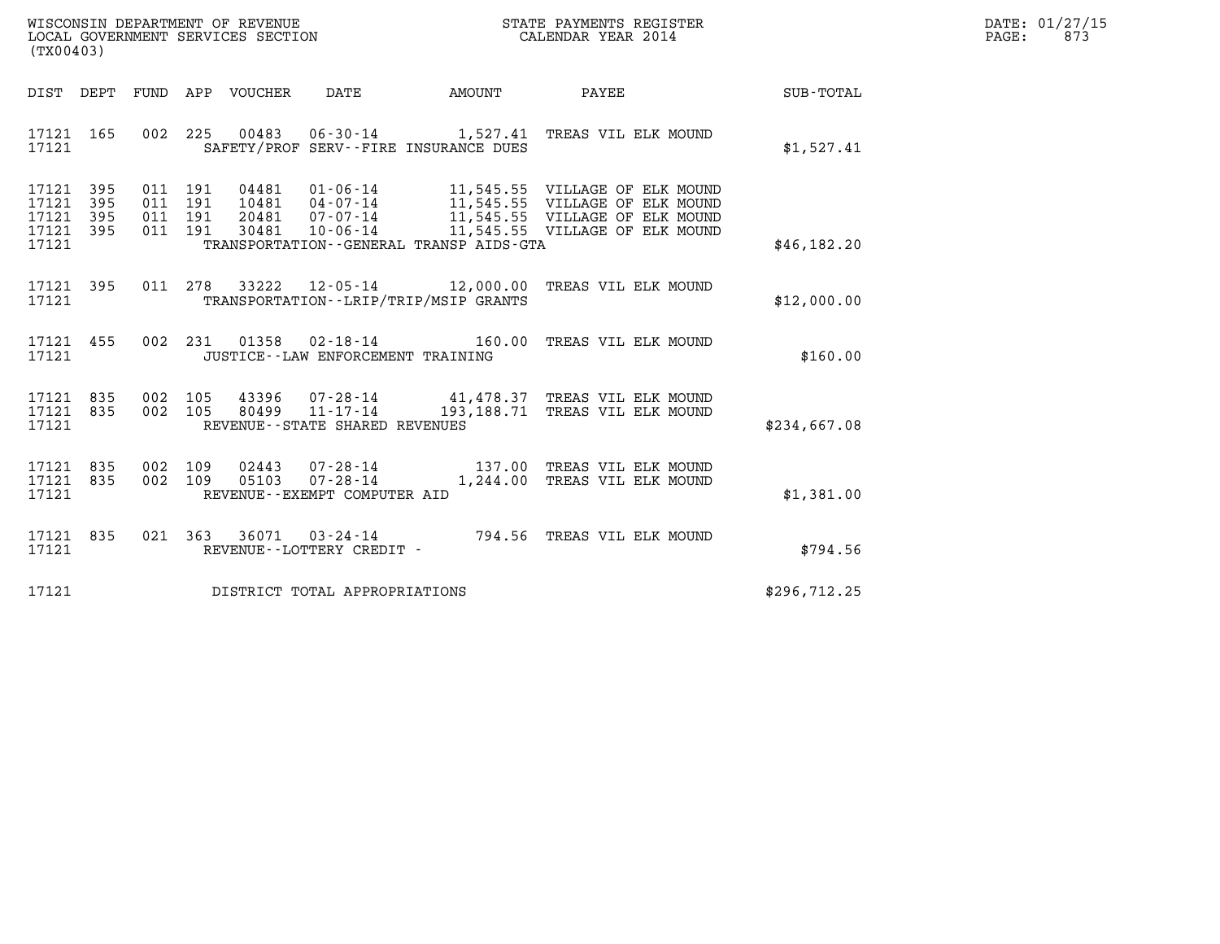| WISCONSIN DEPARTMENT OF REVENUE   | STATE PAYMENTS REGISTER | DATE: 01/27/15 |
|-----------------------------------|-------------------------|----------------|
| LOCAL GOVERNMENT SERVICES SECTION | CALENDAR YEAR 2014      | 873<br>PAGE:   |

| (TX00403)                                                             |                                                                     |                                                                             |        |                                                                                                                                               |                  |
|-----------------------------------------------------------------------|---------------------------------------------------------------------|-----------------------------------------------------------------------------|--------|-----------------------------------------------------------------------------------------------------------------------------------------------|------------------|
| DIST<br>DEPT                                                          | APP VOUCHER<br>FUND                                                 | DATE                                                                        | AMOUNT | PAYEE                                                                                                                                         | <b>SUB-TOTAL</b> |
| 165<br>17121<br>17121                                                 | 002<br>225                                                          | SAFETY/PROF SERV--FIRE INSURANCE DUES                                       |        | 00483  06-30-14  1,527.41  TREAS VIL ELK MOUND                                                                                                | \$1,527.41       |
| 17121<br>395<br>17121<br>395<br>17121<br>395<br>17121<br>395<br>17121 | 04481<br>011<br>191<br>011<br>191<br>011 191<br>011<br>30481<br>191 | $01 - 06 - 14$<br>20481 07-07-14<br>TRANSPORTATION--GENERAL TRANSP AIDS-GTA |        | 11,545.55 VILLAGE OF ELK MOUND<br>11,545.55 VILLAGE OF ELK MOUND<br>11,545.55 VILLAGE OF ELK MOUND<br>10-06-14 11,545.55 VILLAGE OF ELK MOUND | \$46, 182.20     |
| 395<br>17121<br>17121                                                 | 011<br>278<br>33222                                                 | TRANSPORTATION - - LRIP/TRIP/MSIP GRANTS                                    |        | 12-05-14 12,000.00 TREAS VIL ELK MOUND                                                                                                        | \$12,000.00      |
| 17121<br>455<br>17121                                                 | 002<br>231                                                          | $01358$ $02 - 18 - 14$ 160.00<br>JUSTICE - - LAW ENFORCEMENT TRAINING       |        | TREAS VIL ELK MOUND                                                                                                                           | \$160.00         |
| 835<br>17121<br>835<br>17121<br>17121                                 | 002<br>105<br>002<br>105                                            | REVENUE - - STATE SHARED REVENUES                                           |        | 43396 07-28-14 41,478.37 TREAS VIL ELK MOUND<br>80499  11-17-14  193,188.71  TREAS VIL ELK MOUND                                              | \$234,667.08     |
| 17121<br>835<br>835<br>17121<br>17121                                 | 002<br>109<br>02443<br>002<br>109<br>05103                          | $07 - 28 - 14$<br>REVENUE--EXEMPT COMPUTER AID                              |        | 1,244.00 TREAS VIL ELK MOUND                                                                                                                  | \$1,381.00       |
| 17121<br>835<br>17121                                                 | 021<br>363                                                          | $36071$ 03-24-14<br>REVENUE - - LOTTERY CREDIT -                            |        | 794.56 TREAS VIL ELK MOUND                                                                                                                    | \$794.56         |
| 17121                                                                 |                                                                     | DISTRICT TOTAL APPROPRIATIONS                                               |        |                                                                                                                                               | \$296, 712.25    |

(TX00403)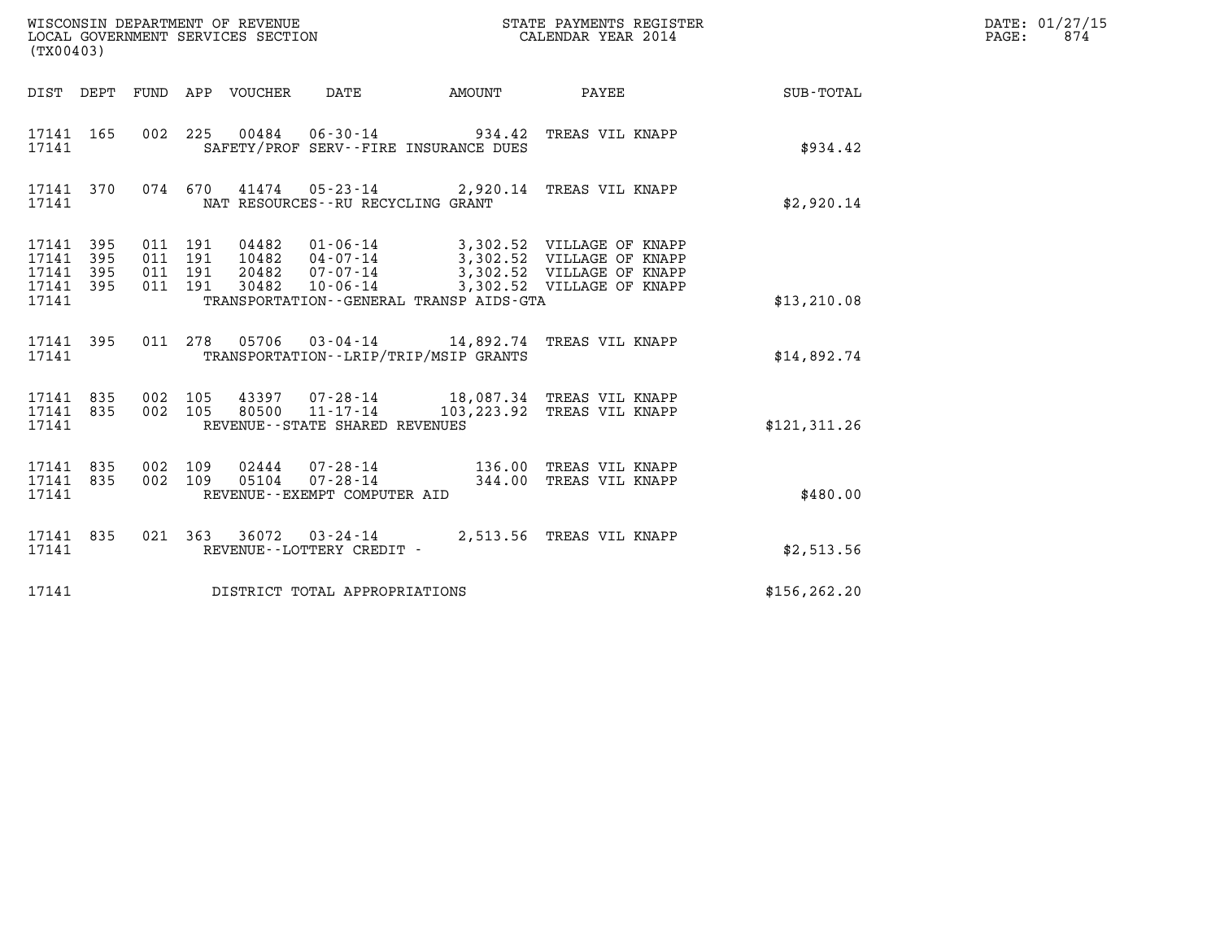| (TX00403)                                         |            |                               |         |                                                     | ${\tt WISCONSIM\ DEPARTMENT\ OF\ REVENUE}\qquad \qquad {\tt STATE\ PAYMENTS\ REGISTER}\nonumber\\ {\tt LOCAL\ GOVERNMENT\ SERVICES\ SECTION}\qquad \qquad {\tt CALENDAR\ YEAR\ 2014}$ |                  | DATE: 01/27/15<br>$\mathtt{PAGE:}$<br>874 |
|---------------------------------------------------|------------|-------------------------------|---------|-----------------------------------------------------|---------------------------------------------------------------------------------------------------------------------------------------------------------------------------------------|------------------|-------------------------------------------|
|                                                   |            |                               |         | DIST DEPT FUND APP VOUCHER DATE AMOUNT PAYEE        |                                                                                                                                                                                       | <b>SUB-TOTAL</b> |                                           |
| 17141 165<br>17141                                |            |                               |         | SAFETY/PROF SERV--FIRE INSURANCE DUES               | 002 225 00484 06-30-14 934.42 TREAS VIL KNAPP                                                                                                                                         | \$934.42         |                                           |
| 17141 370<br>17141                                |            |                               |         | NAT RESOURCES - - RU RECYCLING GRANT                | 074 670 41474 05-23-14 2,920.14 TREAS VIL KNAPP                                                                                                                                       | \$2,920.14       |                                           |
| 17141 395<br>17141<br>17141<br>17141 395<br>17141 | 395<br>395 | 011 191<br>011 191<br>011 191 | 011 191 | TRANSPORTATION--GENERAL TRANSP AIDS-GTA             | 04482 01-06-14 3,302.52 VILLAGE OF KNAPP<br>10482 04-07-14 3,302.52 VILLAGE OF KNAPP<br>20482  07-07-14  3,302.52  VILLAGE OF KNAPP<br>30482  10-06-14  3,302.52  VILLAGE OF KNAPP    | \$13,210.08      |                                           |
| 17141 395<br>17141                                |            |                               |         | TRANSPORTATION - - LRIP/TRIP/MSIP GRANTS            | 011  278  05706  03-04-14  14,892.74  TREAS VIL KNAPP                                                                                                                                 | \$14,892.74      |                                           |
| 17141 835<br>17141 835<br>17141                   |            | 002 105                       |         | 80500 11-17-14<br>REVENUE - - STATE SHARED REVENUES | 002 105 43397 07-28-14 18,087.34 TREAS VIL KNAPP<br>103,223.92 TREAS VIL KNAPP                                                                                                        | \$121.311.26     |                                           |
| 17141 835<br>17141 835<br>17141                   |            | 002 109<br>002 109            |         | REVENUE--EXEMPT COMPUTER AID                        | 02444  07-28-14   136.00 TREAS VIL KNAPP<br>05104  07-28-14   344.00 TREAS VIL KNAPP                                                                                                  | \$480.00         |                                           |
| 17141 835<br>17141                                |            |                               |         | REVENUE--LOTTERY CREDIT -                           | 021 363 36072 03-24-14 2,513.56 TREAS VIL KNAPP                                                                                                                                       | \$2,513.56       |                                           |
| 17141                                             |            |                               |         | DISTRICT TOTAL APPROPRIATIONS                       |                                                                                                                                                                                       | \$156, 262.20    |                                           |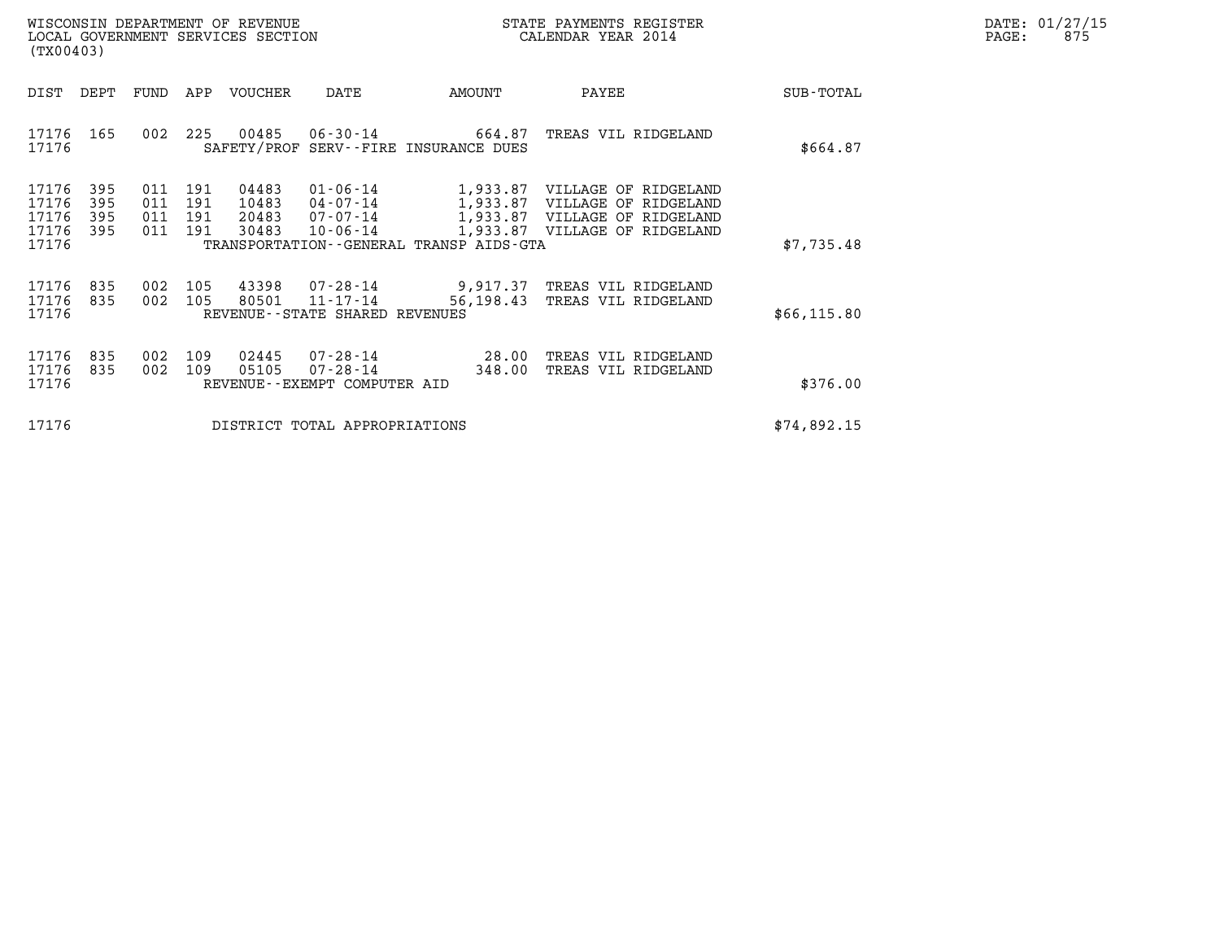| WISCONSIN DEPARTMENT OF REVENUE   | STATE PAYMENTS REGISTER | DATE: 01/27/15 |
|-----------------------------------|-------------------------|----------------|
| LOCAL GOVERNMENT SERVICES SECTION | CALENDAR YEAR 2014      | 875<br>PAGE:   |

| WISCONSIN DEPARTMENT OF REVENUE<br>LOCAL GOVERNMENT SERVICES SECTION<br>(TX00403) |                          |                          |                          |                                  |                                                               |                                                                 | STATE PAYMENTS REGISTER<br>CALENDAR YEAR 2014                                                                  |              | DATE: 01/27/15<br>PAGE:<br>875 |
|-----------------------------------------------------------------------------------|--------------------------|--------------------------|--------------------------|----------------------------------|---------------------------------------------------------------|-----------------------------------------------------------------|----------------------------------------------------------------------------------------------------------------|--------------|--------------------------------|
| DIST                                                                              | DEPT                     | FUND                     | APP                      | VOUCHER                          | DATE                                                          | AMOUNT                                                          | PAYEE                                                                                                          | SUB-TOTAL    |                                |
| 17176 165<br>17176                                                                |                          | 002                      | 225                      | 00485                            | 06-30-14                                                      | 664.87<br>SAFETY/PROF SERV--FIRE INSURANCE DUES                 | TREAS VIL RIDGELAND                                                                                            | \$664.87     |                                |
| 17176<br>17176<br>17176<br>17176<br>17176                                         | 395<br>395<br>395<br>395 | 011<br>011<br>011<br>011 | 191<br>191<br>191<br>191 | 04483<br>10483<br>20483<br>30483 | $01 - 06 - 14$<br>04-07-14<br>07-07-14<br>10-06-14            | 1,933.87<br>1,933.87<br>TRANSPORTATION--GENERAL TRANSP AIDS-GTA | 1,933.87 VILLAGE OF RIDGELAND<br>VILLAGE OF RIDGELAND<br>VILLAGE OF RIDGELAND<br>1,933.87 VILLAGE OF RIDGELAND | \$7,735.48   |                                |
| 17176<br>17176<br>17176                                                           | 835<br>835               | 002<br>002               | 105<br>105               | 43398<br>80501                   | 07-28-14<br>11-17-14<br>REVENUE--STATE SHARED REVENUES        | 9,917.37<br>56,198.43                                           | TREAS VIL RIDGELAND<br>TREAS VIL RIDGELAND                                                                     | \$66, 115.80 |                                |
| 17176<br>17176<br>17176                                                           | 835<br>835               | 002<br>002               | 109<br>109               | 02445<br>05105                   | 07-28-14<br>$07 - 28 - 14$<br>REVENUE - - EXEMPT COMPUTER AID | 28.00<br>348.00                                                 | TREAS VIL RIDGELAND<br>TREAS VIL RIDGELAND                                                                     | \$376.00     |                                |
| 17176<br>DISTRICT TOTAL APPROPRIATIONS                                            |                          |                          |                          |                                  |                                                               |                                                                 |                                                                                                                | \$74,892.15  |                                |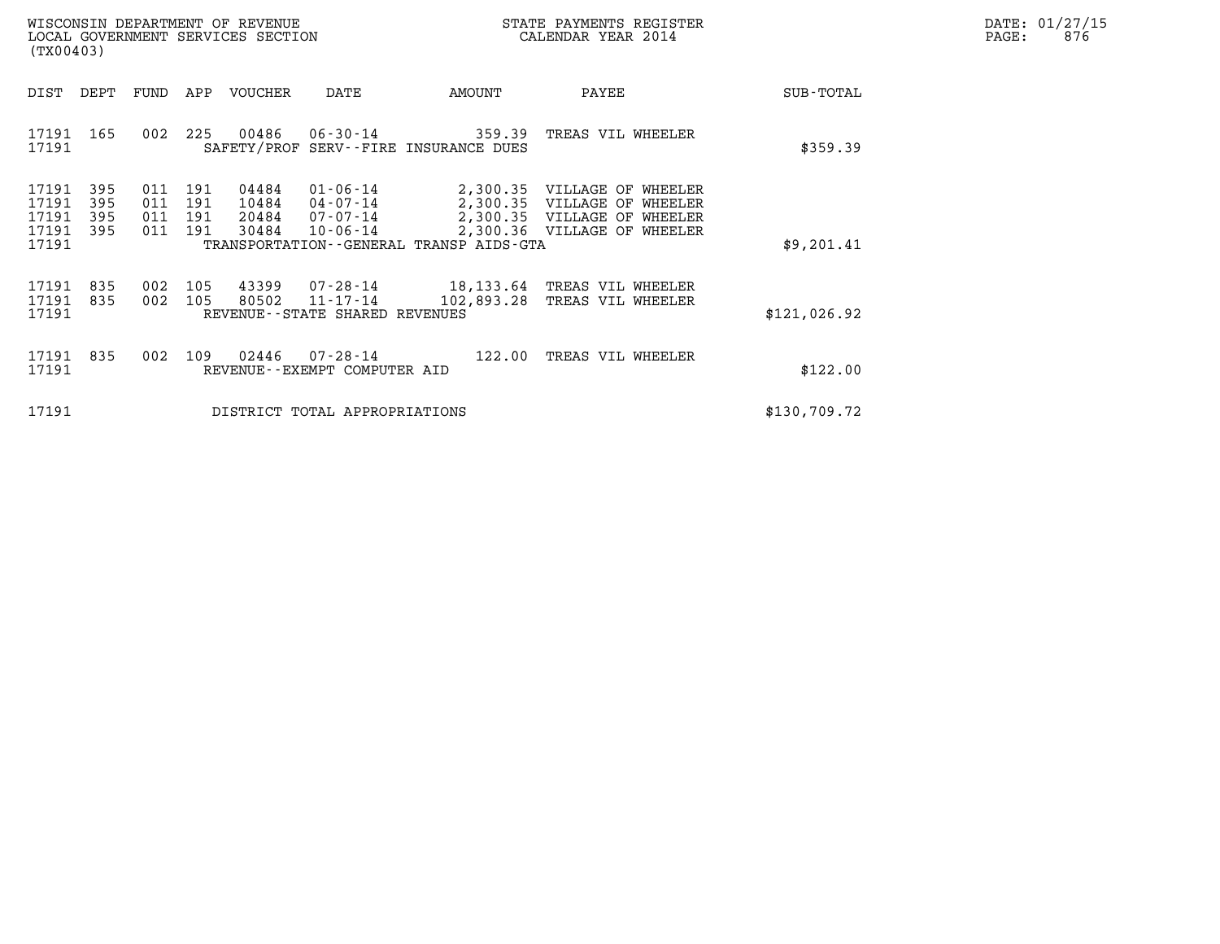|       | DATE: 01/27/15 |
|-------|----------------|
| PAGE: | 876            |

| WISCONSIN DEPARTMENT OF REVENUE<br>LOCAL GOVERNMENT SERVICES SECTION<br>(TX00403)                                                                                 |                                                                                                                                                                                                                                | STATE PAYMENTS REGISTER<br>CALENDAR YEAR 2014 |              | DATE: 01/27/15<br>876<br>PAGE: |
|-------------------------------------------------------------------------------------------------------------------------------------------------------------------|--------------------------------------------------------------------------------------------------------------------------------------------------------------------------------------------------------------------------------|-----------------------------------------------|--------------|--------------------------------|
| DEPT<br>APP VOUCHER<br>DIST<br>FUND                                                                                                                               | AMOUNT<br>DATE                                                                                                                                                                                                                 | PAYEE                                         | SUB-TOTAL    |                                |
| 00486<br>17191 165<br>225<br>002<br>17191                                                                                                                         | 06-30-14 359.39<br>SAFETY/PROF SERV--FIRE INSURANCE DUES                                                                                                                                                                       | TREAS VIL WHEELER                             | \$359.39     |                                |
| 04484<br>17191<br>395<br>191<br>011<br>17191<br>395<br>011<br>191<br>10484<br>17191<br>011<br>20484<br>395<br>191<br>17191<br>395<br>011<br>30484<br>191<br>17191 | 01-06-14<br>2,300.35 VILLAGE OF WHEELER<br>2,300.35 VILLAGE OF WHEELER<br>04-07-14<br>07-07-14<br>2,300.35 VILLAGE OF WHEELER<br>2,300.36 VILLAGE OF WHEELER<br>$10 - 06 - 14$<br>TRANSPORTATION - - GENERAL TRANSP AIDS - GTA | \$9,201.41                                    |              |                                |
| 17191<br>835<br>105<br>43399<br>002<br>002<br>105<br>80502<br>17191<br>835<br>17191                                                                               | 07-28-14 18,133.64 TREAS VIL WHEELER<br>11-17-14<br>102,893.28<br>REVENUE--STATE SHARED REVENUES                                                                                                                               | TREAS VIL WHEELER                             | \$121,026.92 |                                |
| 002 109 02446<br>17191 835<br>17191                                                                                                                               | 07-28-14<br>122.00<br>REVENUE--EXEMPT COMPUTER AID                                                                                                                                                                             | TREAS VIL WHEELER                             | \$122.00     |                                |
| 17191                                                                                                                                                             | DISTRICT TOTAL APPROPRIATIONS                                                                                                                                                                                                  |                                               | \$130,709.72 |                                |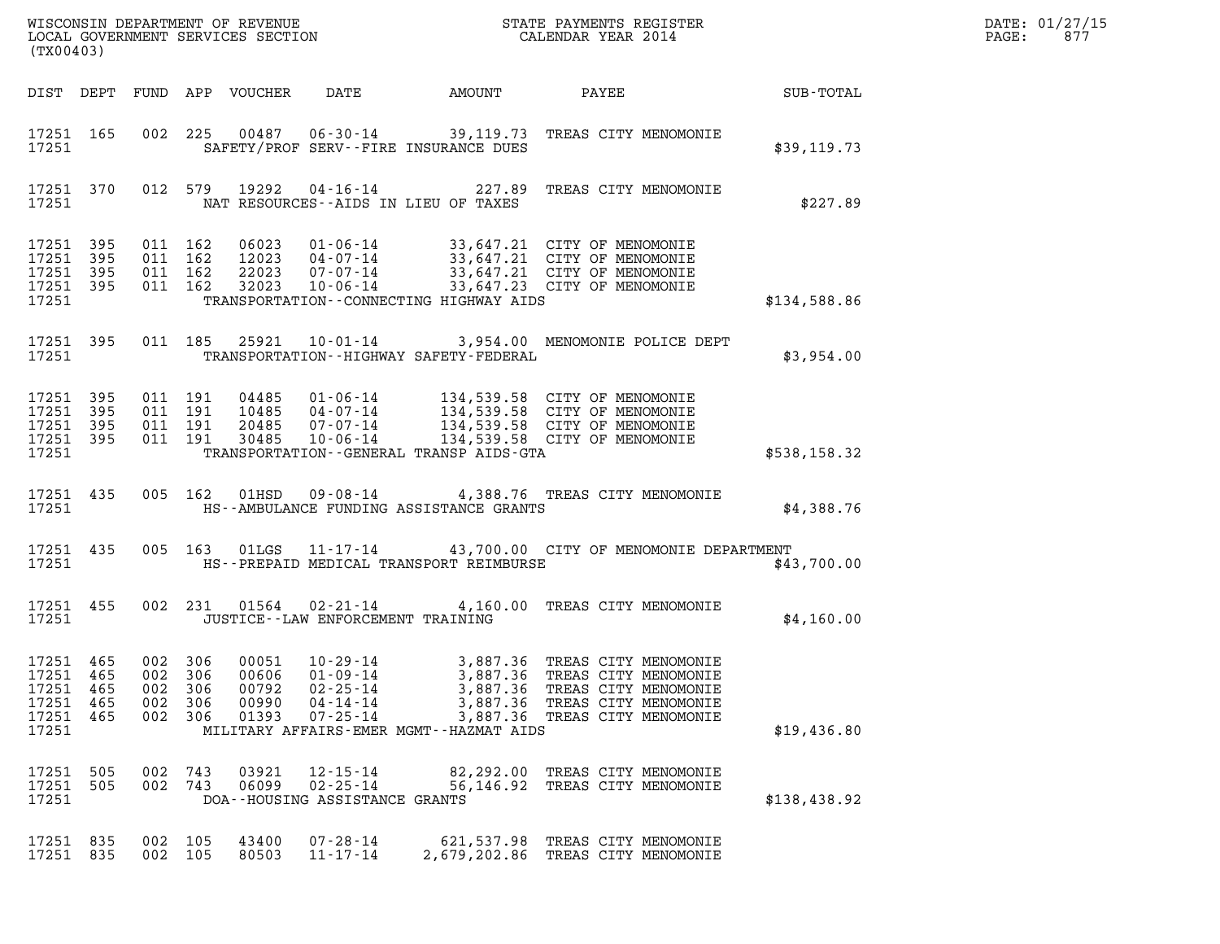| (TX00403)                                                 |                           |                          |                                     |                                           |                                                                                        |                                                                                         |                                                                                                                                                                                                      | DATE: 01/27/15<br>$\mathtt{PAGE}$ :<br>877 |  |
|-----------------------------------------------------------|---------------------------|--------------------------|-------------------------------------|-------------------------------------------|----------------------------------------------------------------------------------------|-----------------------------------------------------------------------------------------|------------------------------------------------------------------------------------------------------------------------------------------------------------------------------------------------------|--------------------------------------------|--|
|                                                           |                           |                          |                                     | DIST DEPT FUND APP VOUCHER                | DATE                                                                                   | AMOUNT                                                                                  | PAYEE                                                                                                                                                                                                | SUB-TOTAL                                  |  |
| 17251 165<br>17251                                        |                           |                          |                                     |                                           |                                                                                        | SAFETY/PROF SERV--FIRE INSURANCE DUES                                                   | 002 225 00487 06-30-14 39,119.73 TREAS CITY MENOMONIE                                                                                                                                                | \$39,119.73                                |  |
| 17251 370<br>17251                                        |                           |                          |                                     | 012 579 19292                             |                                                                                        | NAT RESOURCES--AIDS IN LIEU OF TAXES                                                    | 04-16-14 227.89 TREAS CITY MENOMONIE                                                                                                                                                                 | \$227.89                                   |  |
| 17251 395<br>17251<br>17251 395<br>17251 395<br>17251     | 395                       | 011 162<br>011 162       | 011 162<br>011 162                  |                                           |                                                                                        | TRANSPORTATION--CONNECTING HIGHWAY AIDS                                                 | 06023  01-06-14  33,647.21  CITY OF MENOMONIE<br>12023  04-07-14  33,647.21  CITY OF MENOMONIE<br>22023  07-07-14  33,647.21  CITY OF MENOMONIE<br>32023  10-06-14  33,647.23  CITY OF MENOMONIE     | \$134,588.86                               |  |
| 17251 395<br>17251                                        |                           |                          | 011 185                             | 25921                                     |                                                                                        | TRANSPORTATION - - HIGHWAY SAFETY - FEDERAL                                             | 10-01-14 3,954.00 MENOMONIE POLICE DEPT                                                                                                                                                              | \$3,954.00                                 |  |
| 17251 395<br>17251 395<br>17251 395<br>17251 395<br>17251 |                           | 011 191<br>011 191       | 011 191<br>011 191                  |                                           |                                                                                        | TRANSPORTATION--GENERAL TRANSP AIDS-GTA                                                 | 04485  01-06-14  134,539.58  CITY OF MENOMONIE<br>10485  04-07-14  134,539.58  CITY OF MENOMONIE<br>20485  07-07-14  134,539.58  CITY OF MENOMONIE<br>30485  10-06-14  134,539.58  CITY OF MENOMONIE | \$538,158.32                               |  |
| 17251 435<br>17251                                        |                           |                          | 005 162                             | 01HSD                                     |                                                                                        | HS--AMBULANCE FUNDING ASSISTANCE GRANTS                                                 | 09-08-14 4,388.76 TREAS CITY MENOMONIE                                                                                                                                                               | \$4,388.76                                 |  |
| 17251 435<br>17251                                        |                           |                          |                                     |                                           |                                                                                        | HS--PREPAID MEDICAL TRANSPORT REIMBURSE                                                 | 005 163 01LGS 11-17-14 43,700.00 CITY OF MENOMONIE DEPARTMENT                                                                                                                                        | \$43,700.00                                |  |
| 17251 455<br>17251                                        |                           |                          |                                     |                                           | JUSTICE - - LAW ENFORCEMENT TRAINING                                                   |                                                                                         | 002 231 01564 02-21-14 4,160.00 TREAS CITY MENOMONIE                                                                                                                                                 | \$4,160.00                                 |  |
| 17251 465<br>17251<br>17251<br>17251<br>17251<br>17251    | 465<br>-465<br>465<br>465 | 002<br>002<br>002<br>002 | 002 306<br>306<br>306<br>306<br>306 | 00051<br>00606<br>00792<br>00990<br>01393 | $10 - 29 - 14$<br>$01 - 09 - 14$<br>$02 - 25 - 14$<br>$04 - 14 - 14$<br>$07 - 25 - 14$ | 3,887.36<br>3,887.36<br>3,887.36<br>3,887.36<br>MILITARY AFFAIRS-EMER MGMT--HAZMAT AIDS | 3,887.36 TREAS CITY MENOMONIE<br>TREAS CITY MENOMONIE<br>TREAS CITY MENOMONIE<br>TREAS CITY MENOMONIE<br>TREAS CITY MENOMONIE                                                                        | \$19,436.80                                |  |
| 17251 505<br>17251<br>17251                               | 505                       | 002 743<br>002 743       |                                     | 03921<br>06099                            | $12 - 15 - 14$<br>$02 - 25 - 14$<br>DOA--HOUSING ASSISTANCE GRANTS                     | 56,146.92                                                                               | 82,292.00 TREAS CITY MENOMONIE<br>TREAS CITY MENOMONIE                                                                                                                                               | \$138,438.92                               |  |
| 17251 835<br>17251 835                                    |                           | 002 105<br>002 105       |                                     | 43400<br>80503                            | $07 - 28 - 14$<br>$11 - 17 - 14$                                                       |                                                                                         | 621,537.98 TREAS CITY MENOMONIE<br>2,679,202.86 TREAS CITY MENOMONIE                                                                                                                                 |                                            |  |